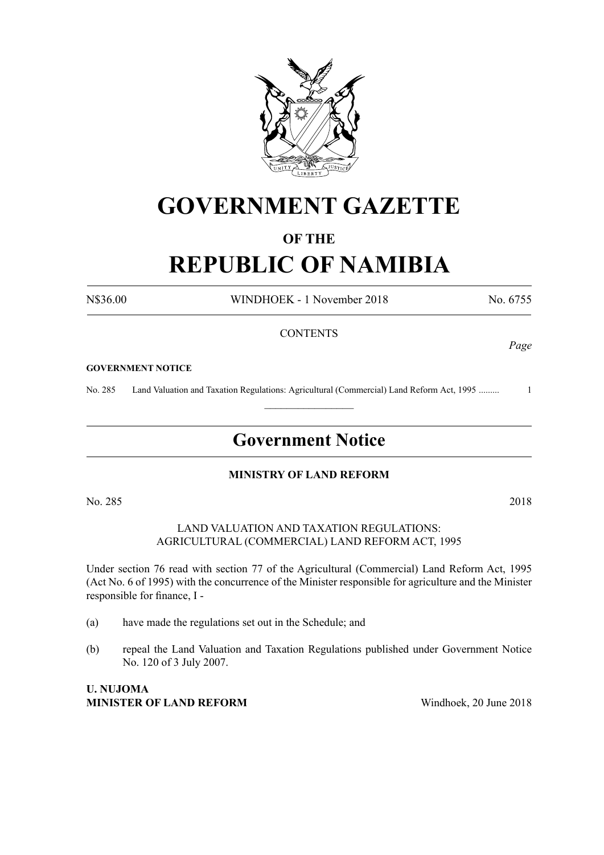

## **GOVERNMENT GAZETTE**

#### **OF THE**

# **REPUBLIC OF NAMIBIA**

N\$36.00 WINDHOEK - 1 November 2018 No. 6755

#### **CONTENTS**

#### **GOVERNMENT NOTICE**

No. 285 Land Valuation and Taxation Regulations: Agricultural (Commercial) Land Reform Act, 1995 ......... 1  $\frac{1}{2}$ 

## **Government Notice**

#### **MINISTRY OF LAND REFORM**

No. 285 2018

#### LAND VALUATION AND TAXATION REGULATIONS: AGRICULTURAL (COMMERCIAL) LAND REFORM ACT, 1995

Under section 76 read with section 77 of the Agricultural (Commercial) Land Reform Act, 1995 (Act No. 6 of 1995) with the concurrence of the Minister responsible for agriculture and the Minister responsible for finance, I -

- (a) have made the regulations set out in the Schedule; and
- (b) repeal the Land Valuation and Taxation Regulations published under Government Notice No. 120 of 3 July 2007.

#### **U. NUJOMA MINISTER OF LAND REFORM** Windhoek, 20 June 2018

*Page*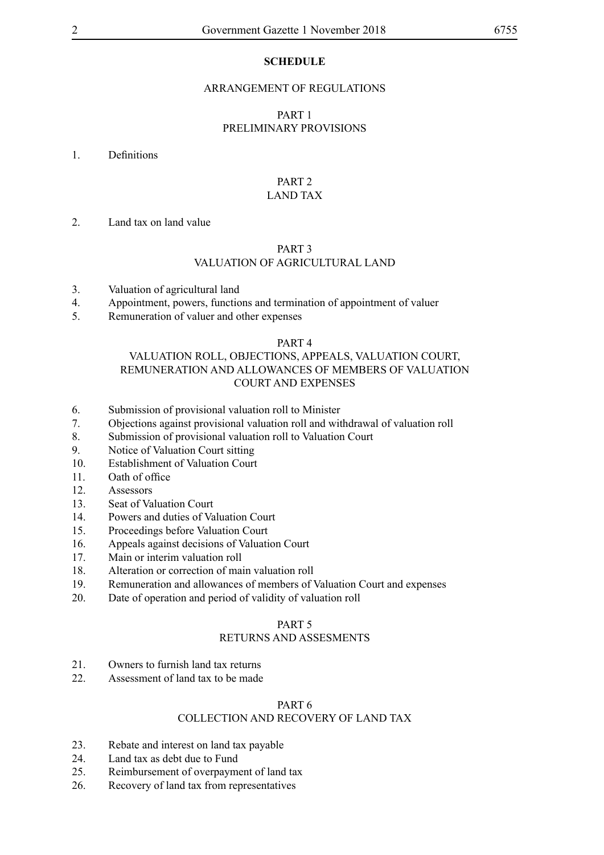#### **SCHEDULE**

#### ARRANGEMENT OF REGULATIONS

#### PART 1 PRELIMINARY PROVISIONS

#### 1. Definitions

#### PART 2 LAND TAX

#### 2. Land tax on land value

#### PART 3

#### VALUATION OF AGRICULTURAL LAND

- 3. Valuation of agricultural land
- 4. Appointment, powers, functions and termination of appointment of valuer
- 5. Remuneration of valuer and other expenses

#### PART 4

#### VALUATION ROLL, OBJECTIONS, APPEALS, VALUATION COURT, REMUNERATION AND ALLOWANCES OF MEMBERS OF VALUATION COURT AND EXPENSES

- 6. Submission of provisional valuation roll to Minister
- 7. Objections against provisional valuation roll and withdrawal of valuation roll
- 8. Submission of provisional valuation roll to Valuation Court
- 9. Notice of Valuation Court sitting
- 10. Establishment of Valuation Court
- 11. Oath of office
- 12. Assessors
- 13. Seat of Valuation Court
- 14. Powers and duties of Valuation Court
- 15. Proceedings before Valuation Court
- 16. Appeals against decisions of Valuation Court
- 17. Main or interim valuation roll
- 18. Alteration or correction of main valuation roll
- 19. Remuneration and allowances of members of Valuation Court and expenses
- 20. Date of operation and period of validity of valuation roll

#### PART 5

#### RETURNS AND ASSESMENTS

- 21. Owners to furnish land tax returns
- 22. Assessment of land tax to be made

#### PART 6

#### COLLECTION AND RECOVERY OF LAND TAX

- 23. Rebate and interest on land tax payable
- 24. Land tax as debt due to Fund
- 25. Reimbursement of overpayment of land tax
- 26. Recovery of land tax from representatives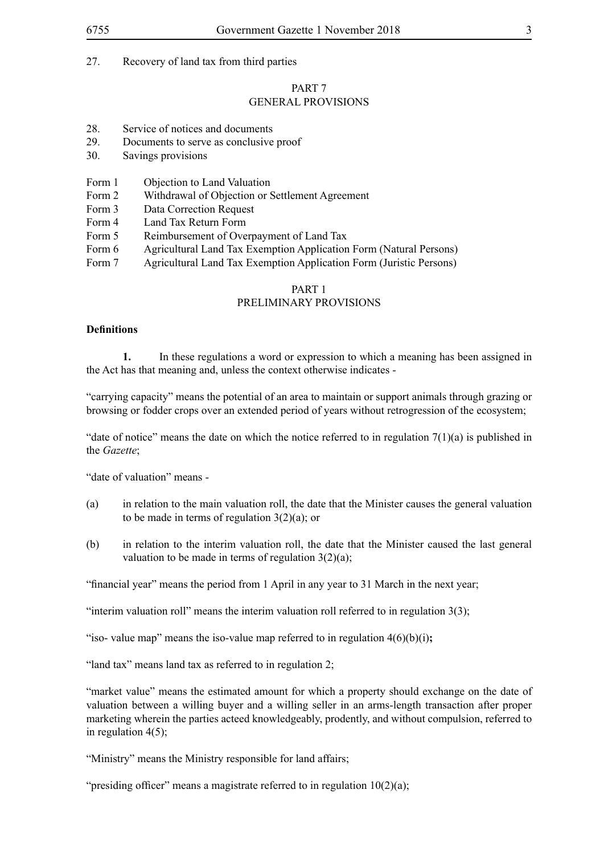#### PART 7 GENERAL PROVISIONS

- 28. Service of notices and documents
- 29. Documents to serve as conclusive proof
- 30. Savings provisions
- Form 1 Objection to Land Valuation
- Form 2 Withdrawal of Objection or Settlement Agreement
- Form 3 Data Correction Request
- Form 4 Land Tax Return Form
- Form 5 Reimbursement of Overpayment of Land Tax
- Form 6 Agricultural Land Tax Exemption Application Form (Natural Persons)
- Form 7 Agricultural Land Tax Exemption Application Form (Juristic Persons)

#### PART 1

#### PRELIMINARY PROVISIONS

#### **Definitions**

**1.** In these regulations a word or expression to which a meaning has been assigned in the Act has that meaning and, unless the context otherwise indicates -

"carrying capacity" means the potential of an area to maintain or support animals through grazing or browsing or fodder crops over an extended period of years without retrogression of the ecosystem;

"date of notice" means the date on which the notice referred to in regulation  $7(1)(a)$  is published in the *Gazette*;

"date of valuation" means -

- (a) in relation to the main valuation roll, the date that the Minister causes the general valuation to be made in terms of regulation  $3(2)(a)$ ; or
- (b) in relation to the interim valuation roll, the date that the Minister caused the last general valuation to be made in terms of regulation  $3(2)(a)$ ;

"financial year" means the period from 1 April in any year to 31 March in the next year;

"interim valuation roll" means the interim valuation roll referred to in regulation  $3(3)$ ;

"iso- value map" means the iso-value map referred to in regulation  $4(6)(b)(i)$ ;

"land tax" means land tax as referred to in regulation 2;

"market value" means the estimated amount for which a property should exchange on the date of valuation between a willing buyer and a willing seller in an arms-length transaction after proper marketing wherein the parties acteed knowledgeably, prodently, and without compulsion, referred to in regulation 4(5);

"Ministry" means the Ministry responsible for land affairs;

"presiding officer" means a magistrate referred to in regulation  $10(2)(a)$ ;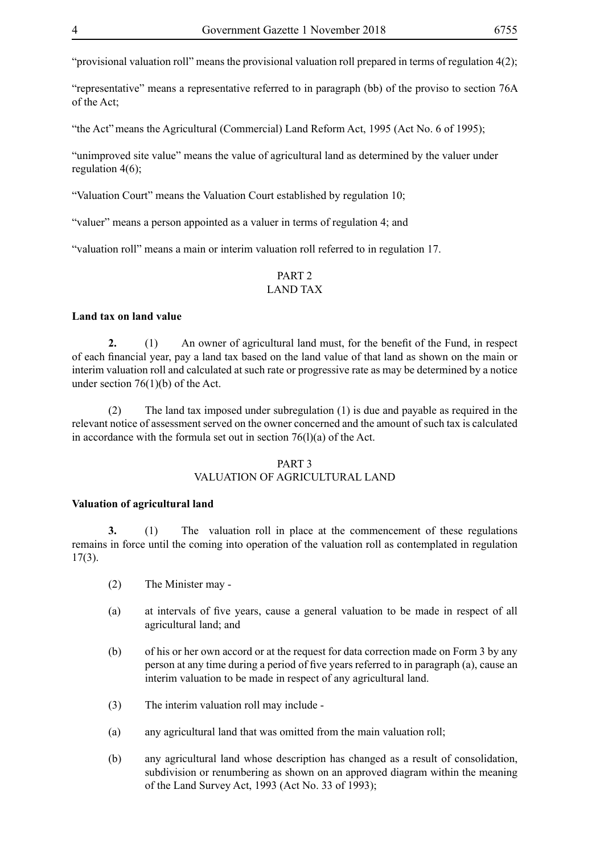"provisional valuation roll" means the provisional valuation roll prepared in terms of regulation 4(2);

"representative" means a representative referred to in paragraph (bb) of the proviso to section 76A of the Act;

"the Act"means the Agricultural (Commercial) Land Reform Act, 1995 (Act No. 6 of 1995);

"unimproved site value" means the value of agricultural land as determined by the valuer under regulation 4(6);

"Valuation Court" means the Valuation Court established by regulation 10;

"valuer" means a person appointed as a valuer in terms of regulation 4; and

"valuation roll" means a main or interim valuation roll referred to in regulation 17.

#### PART 2 LAND TAX

#### **Land tax on land value**

**2.** (1) An owner of agricultural land must, for the benefit of the Fund, in respect of each financial year, pay a land tax based on the land value of that land as shown on the main or interim valuation roll and calculated at such rate or progressive rate as may be determined by a notice under section 76(1)(b) of the Act.

(2) The land tax imposed under subregulation (1) is due and payable as required in the relevant notice of assessment served on the owner concerned and the amount of such tax is calculated in accordance with the formula set out in section  $76(1)(a)$  of the Act.

#### PART 3 VALUATION OF AGRICULTURAL LAND

#### **Valuation of agricultural land**

**3.** (1) The valuation roll in place at the commencement of these regulations remains in force until the coming into operation of the valuation roll as contemplated in regulation 17(3).

- (2) The Minister may -
- (a) at intervals of five years, cause a general valuation to be made in respect of all agricultural land; and
- (b) of his or her own accord or at the request for data correction made on Form 3 by any person at any time during a period of five years referred to in paragraph (a), cause an interim valuation to be made in respect of any agricultural land.
- (3) The interim valuation roll may include -
- (a) any agricultural land that was omitted from the main valuation roll;
- (b) any agricultural land whose description has changed as a result of consolidation, subdivision or renumbering as shown on an approved diagram within the meaning of the Land Survey Act, 1993 (Act No. 33 of 1993);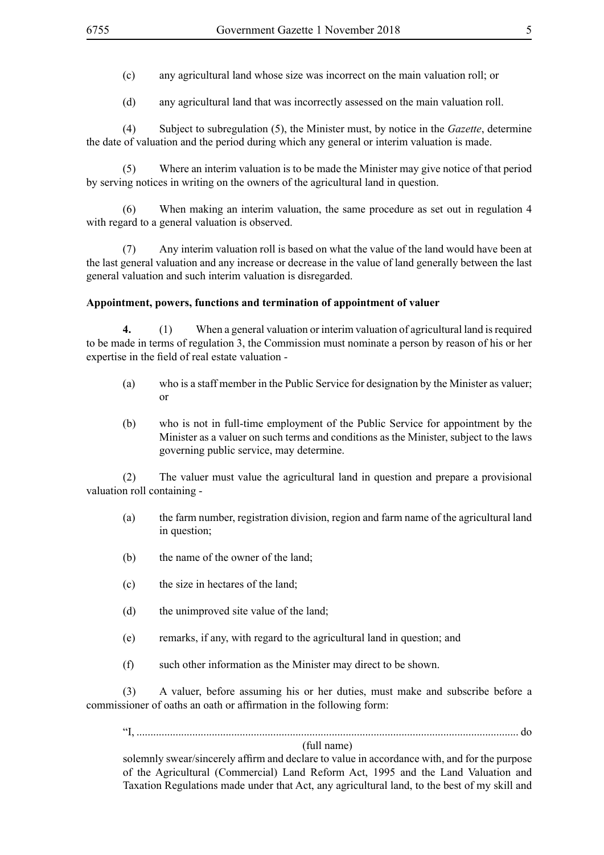(c) any agricultural land whose size was incorrect on the main valuation roll; or

(d) any agricultural land that was incorrectly assessed on the main valuation roll.

(4) Subject to subregulation (5), the Minister must, by notice in the *Gazette*, determine the date of valuation and the period during which any general or interim valuation is made.

(5) Where an interim valuation is to be made the Minister may give notice of that period by serving notices in writing on the owners of the agricultural land in question.

(6) When making an interim valuation, the same procedure as set out in regulation 4 with regard to a general valuation is observed.

(7) Any interim valuation roll is based on what the value of the land would have been at the last general valuation and any increase or decrease in the value of land generally between the last general valuation and such interim valuation is disregarded.

#### **Appointment, powers, functions and termination of appointment of valuer**

**4.** (1) When a general valuation or interim valuation of agricultural land is required to be made in terms of regulation 3, the Commission must nominate a person by reason of his or her expertise in the field of real estate valuation -

- (a) who is a staff member in the Public Service for designation by the Minister as valuer; or
- (b) who is not in full-time employment of the Public Service for appointment by the Minister as a valuer on such terms and conditions as the Minister, subject to the laws governing public service, may determine.

(2) The valuer must value the agricultural land in question and prepare a provisional valuation roll containing -

- (a) the farm number, registration division, region and farm name of the agricultural land in question;
- (b) the name of the owner of the land;
- (c) the size in hectares of the land;
- (d) the unimproved site value of the land;
- (e) remarks, if any, with regard to the agricultural land in question; and
- (f) such other information as the Minister may direct to be shown.

(3) A valuer, before assuming his or her duties, must make and subscribe before a commissioner of oaths an oath or affirmation in the following form:

"I, ......................................................................................................................................... do

#### (full name)

solemnly swear/sincerely affirm and declare to value in accordance with, and for the purpose of the Agricultural (Commercial) Land Reform Act, 1995 and the Land Valuation and Taxation Regulations made under that Act, any agricultural land, to the best of my skill and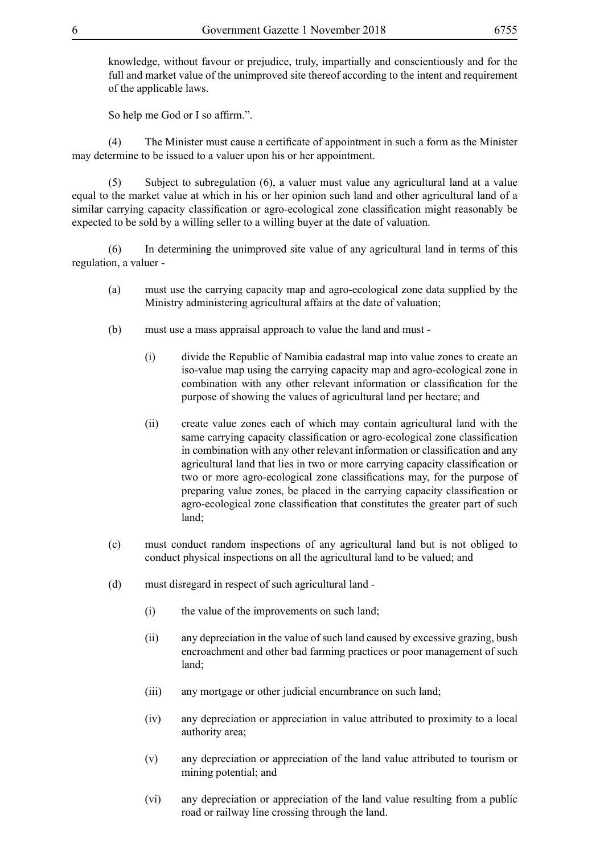knowledge, without favour or prejudice, truly, impartially and conscientiously and for the full and market value of the unimproved site thereof according to the intent and requirement of the applicable laws.

So help me God or I so affirm.".

(4) The Minister must cause a certificate of appointment in such a form as the Minister may determine to be issued to a valuer upon his or her appointment.

(5) Subject to subregulation (6), a valuer must value any agricultural land at a value equal to the market value at which in his or her opinion such land and other agricultural land of a similar carrying capacity classification or agro-ecological zone classification might reasonably be expected to be sold by a willing seller to a willing buyer at the date of valuation.

(6) In determining the unimproved site value of any agricultural land in terms of this regulation, a valuer -

- (a) must use the carrying capacity map and agro-ecological zone data supplied by the Ministry administering agricultural affairs at the date of valuation;
- (b) must use a mass appraisal approach to value the land and must
	- (i) divide the Republic of Namibia cadastral map into value zones to create an iso-value map using the carrying capacity map and agro-ecological zone in combination with any other relevant information or classification for the purpose of showing the values of agricultural land per hectare; and
	- (ii) create value zones each of which may contain agricultural land with the same carrying capacity classification or agro-ecological zone classification in combination with any other relevant information or classification and any agricultural land that lies in two or more carrying capacity classification or two or more agro-ecological zone classifications may, for the purpose of preparing value zones, be placed in the carrying capacity classification or agro-ecological zone classification that constitutes the greater part of such land;
- (c) must conduct random inspections of any agricultural land but is not obliged to conduct physical inspections on all the agricultural land to be valued; and
- (d) must disregard in respect of such agricultural land
	- (i) the value of the improvements on such land;
	- (ii) any depreciation in the value of such land caused by excessive grazing, bush encroachment and other bad farming practices or poor management of such land;
	- (iii) any mortgage or other judicial encumbrance on such land;
	- (iv) any depreciation or appreciation in value attributed to proximity to a local authority area;
	- (v) any depreciation or appreciation of the land value attributed to tourism or mining potential; and
	- (vi) any depreciation or appreciation of the land value resulting from a public road or railway line crossing through the land.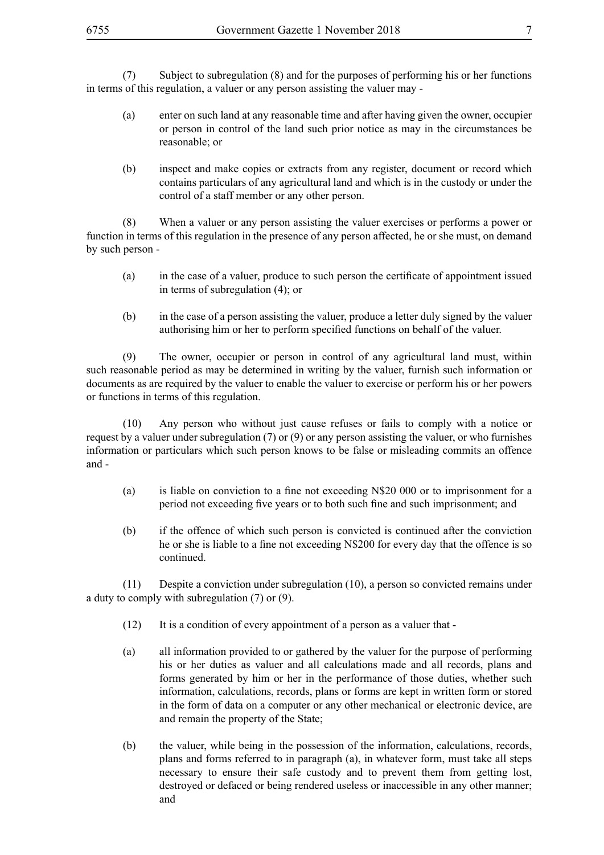(7) Subject to subregulation (8) and for the purposes of performing his or her functions in terms of this regulation, a valuer or any person assisting the valuer may -

- (a) enter on such land at any reasonable time and after having given the owner, occupier or person in control of the land such prior notice as may in the circumstances be reasonable; or
- (b) inspect and make copies or extracts from any register, document or record which contains particulars of any agricultural land and which is in the custody or under the control of a staff member or any other person.

(8) When a valuer or any person assisting the valuer exercises or performs a power or function in terms of this regulation in the presence of any person affected, he or she must, on demand by such person -

- (a) in the case of a valuer, produce to such person the certificate of appointment issued in terms of subregulation (4); or
- (b) in the case of a person assisting the valuer, produce a letter duly signed by the valuer authorising him or her to perform specified functions on behalf of the valuer.

(9) The owner, occupier or person in control of any agricultural land must, within such reasonable period as may be determined in writing by the valuer, furnish such information or documents as are required by the valuer to enable the valuer to exercise or perform his or her powers or functions in terms of this regulation.

(10) Any person who without just cause refuses or fails to comply with a notice or request by a valuer under subregulation (7) or (9) or any person assisting the valuer, or who furnishes information or particulars which such person knows to be false or misleading commits an offence and -

- (a) is liable on conviction to a fine not exceeding N\$20 000 or to imprisonment for a period not exceeding five years or to both such fine and such imprisonment; and
- (b) if the offence of which such person is convicted is continued after the conviction he or she is liable to a fine not exceeding N\$200 for every day that the offence is so continued.

(11) Despite a conviction under subregulation (10), a person so convicted remains under a duty to comply with subregulation (7) or (9).

- (12) It is a condition of every appointment of a person as a valuer that -
- (a) all information provided to or gathered by the valuer for the purpose of performing his or her duties as valuer and all calculations made and all records, plans and forms generated by him or her in the performance of those duties, whether such information, calculations, records, plans or forms are kept in written form or stored in the form of data on a computer or any other mechanical or electronic device, are and remain the property of the State;
- (b) the valuer, while being in the possession of the information, calculations, records, plans and forms referred to in paragraph (a), in whatever form, must take all steps necessary to ensure their safe custody and to prevent them from getting lost, destroyed or defaced or being rendered useless or inaccessible in any other manner; and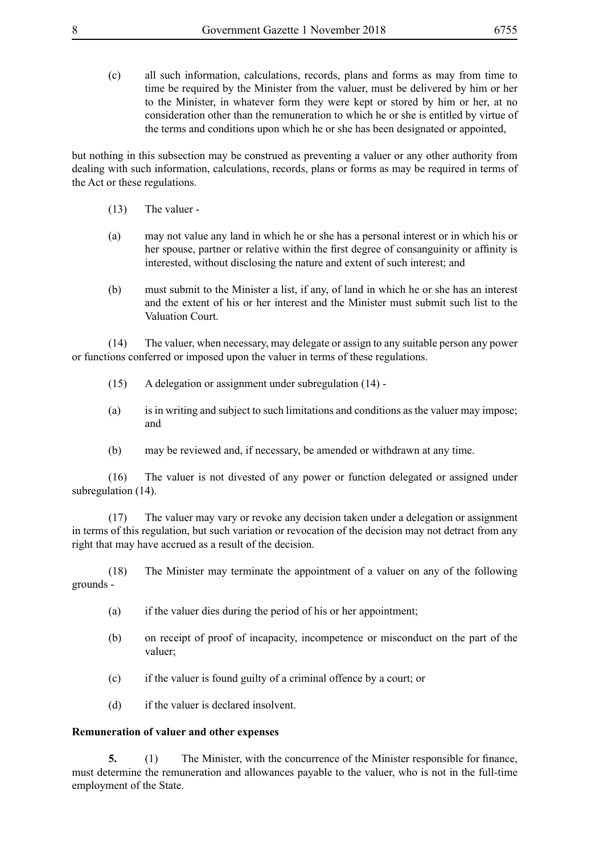(c) all such information, calculations, records, plans and forms as may from time to time be required by the Minister from the valuer, must be delivered by him or her to the Minister, in whatever form they were kept or stored by him or her, at no consideration other than the remuneration to which he or she is entitled by virtue of the terms and conditions upon which he or she has been designated or appointed,

but nothing in this subsection may be construed as preventing a valuer or any other authority from dealing with such information, calculations, records, plans or forms as may be required in terms of the Act or these regulations.

- (13) The valuer -
- (a) may not value any land in which he or she has a personal interest or in which his or her spouse, partner or relative within the first degree of consanguinity or affinity is interested, without disclosing the nature and extent of such interest; and
- (b) must submit to the Minister a list, if any, of land in which he or she has an interest and the extent of his or her interest and the Minister must submit such list to the Valuation Court.

(14) The valuer, when necessary, may delegate or assign to any suitable person any power or functions conferred or imposed upon the valuer in terms of these regulations.

- (15) A delegation or assignment under subregulation (14) -
- (a) is in writing and subject to such limitations and conditions as the valuer may impose; and
- (b) may be reviewed and, if necessary, be amended or withdrawn at any time.

(16) The valuer is not divested of any power or function delegated or assigned under subregulation (14).

(17) The valuer may vary or revoke any decision taken under a delegation or assignment in terms of this regulation, but such variation or revocation of the decision may not detract from any right that may have accrued as a result of the decision.

(18) The Minister may terminate the appointment of a valuer on any of the following grounds -

- (a) if the valuer dies during the period of his or her appointment;
- (b) on receipt of proof of incapacity, incompetence or misconduct on the part of the valuer;
- (c) if the valuer is found guilty of a criminal offence by a court; or
- (d) if the valuer is declared insolvent.

#### **Remuneration of valuer and other expenses**

**5.** (1) The Minister, with the concurrence of the Minister responsible for finance, must determine the remuneration and allowances payable to the valuer, who is not in the full-time employment of the State.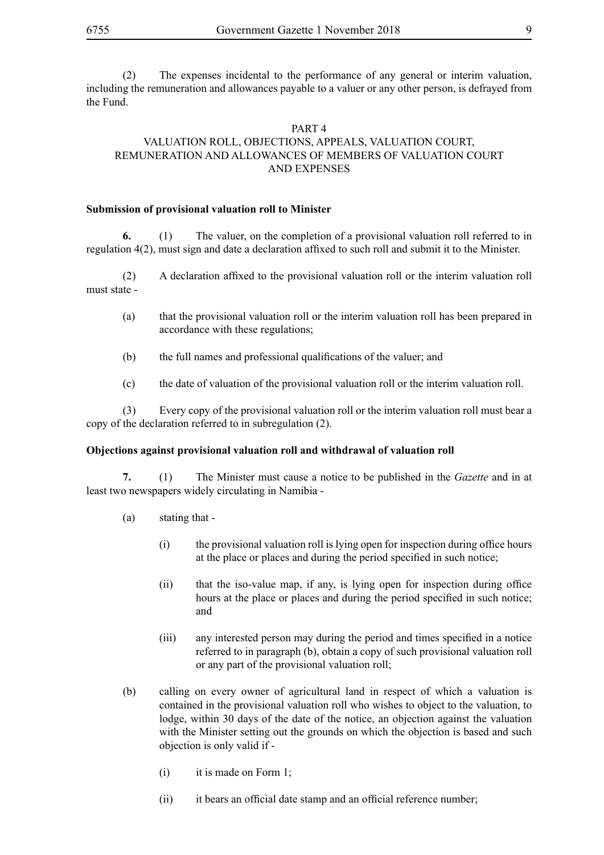(2) The expenses incidental to the performance of any general or interim valuation, including the remuneration and allowances payable to a valuer or any other person, is defrayed from the Fund.

#### PART 4 VALUATION ROLL, OBJECTIONS, APPEALS, VALUATION COURT, REMUNERATION AND ALLOWANCES OF MEMBERS OF VALUATION COURT AND EXPENSES

#### **Submission of provisional valuation roll to Minister**

**6.** (1) The valuer, on the completion of a provisional valuation roll referred to in regulation 4(2), must sign and date a declaration affixed to such roll and submit it to the Minister.

(2) A declaration affixed to the provisional valuation roll or the interim valuation roll must state -

- (a) that the provisional valuation roll or the interim valuation roll has been prepared in accordance with these regulations;
- (b) the full names and professional qualifications of the valuer; and
- (c) the date of valuation of the provisional valuation roll or the interim valuation roll.

(3) Every copy of the provisional valuation roll or the interim valuation roll must bear a copy of the declaration referred to in subregulation (2).

#### **Objections against provisional valuation roll and withdrawal of valuation roll**

**7.** (1) The Minister must cause a notice to be published in the *Gazette* and in at least two newspapers widely circulating in Namibia -

- (a) stating that
	- (i) the provisional valuation roll is lying open for inspection during office hours at the place or places and during the period specified in such notice;
	- (ii) that the iso-value map, if any, is lying open for inspection during office hours at the place or places and during the period specified in such notice; and
	- (iii) any interested person may during the period and times specified in a notice referred to in paragraph (b), obtain a copy of such provisional valuation roll or any part of the provisional valuation roll;
- (b) calling on every owner of agricultural land in respect of which a valuation is contained in the provisional valuation roll who wishes to object to the valuation, to lodge, within 30 days of the date of the notice, an objection against the valuation with the Minister setting out the grounds on which the objection is based and such objection is only valid if -
	- (i) it is made on Form 1;
	- (ii) it bears an official date stamp and an official reference number;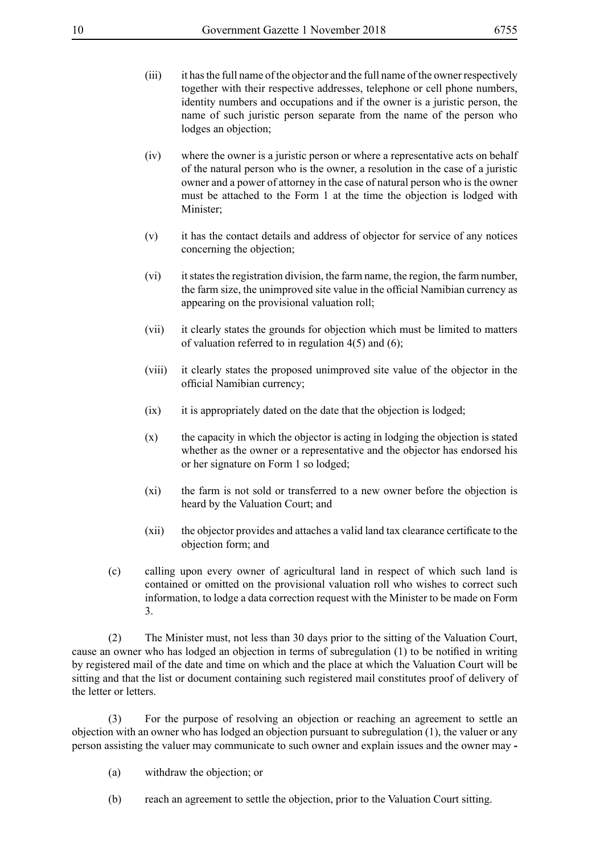- (iii) it has the full name of the objector and the full name of the owner respectively together with their respective addresses, telephone or cell phone numbers, identity numbers and occupations and if the owner is a juristic person, the name of such juristic person separate from the name of the person who lodges an objection;
- (iv) where the owner is a juristic person or where a representative acts on behalf of the natural person who is the owner, a resolution in the case of a juristic owner and a power of attorney in the case of natural person who is the owner must be attached to the Form 1 at the time the objection is lodged with Minister;
- (v) it has the contact details and address of objector for service of any notices concerning the objection;
- (vi) it states the registration division, the farm name, the region, the farm number, the farm size, the unimproved site value in the official Namibian currency as appearing on the provisional valuation roll;
- (vii) it clearly states the grounds for objection which must be limited to matters of valuation referred to in regulation  $4(5)$  and  $(6)$ ;
- (viii) it clearly states the proposed unimproved site value of the objector in the official Namibian currency;
- (ix) it is appropriately dated on the date that the objection is lodged;
- (x) the capacity in which the objector is acting in lodging the objection is stated whether as the owner or a representative and the objector has endorsed his or her signature on Form 1 so lodged;
- (xi) the farm is not sold or transferred to a new owner before the objection is heard by the Valuation Court; and
- (xii) the objector provides and attaches a valid land tax clearance certificate to the objection form; and
- (c) calling upon every owner of agricultural land in respect of which such land is contained or omitted on the provisional valuation roll who wishes to correct such information, to lodge a data correction request with the Minister to be made on Form 3.

(2) The Minister must, not less than 30 days prior to the sitting of the Valuation Court, cause an owner who has lodged an objection in terms of subregulation (1) to be notified in writing by registered mail of the date and time on which and the place at which the Valuation Court will be sitting and that the list or document containing such registered mail constitutes proof of delivery of the letter or letters.

(3) For the purpose of resolving an objection or reaching an agreement to settle an objection with an owner who has lodged an objection pursuant to subregulation (1), the valuer or any person assisting the valuer may communicate to such owner and explain issues and the owner may **-**

- (a) withdraw the objection; or
- (b) reach an agreement to settle the objection, prior to the Valuation Court sitting.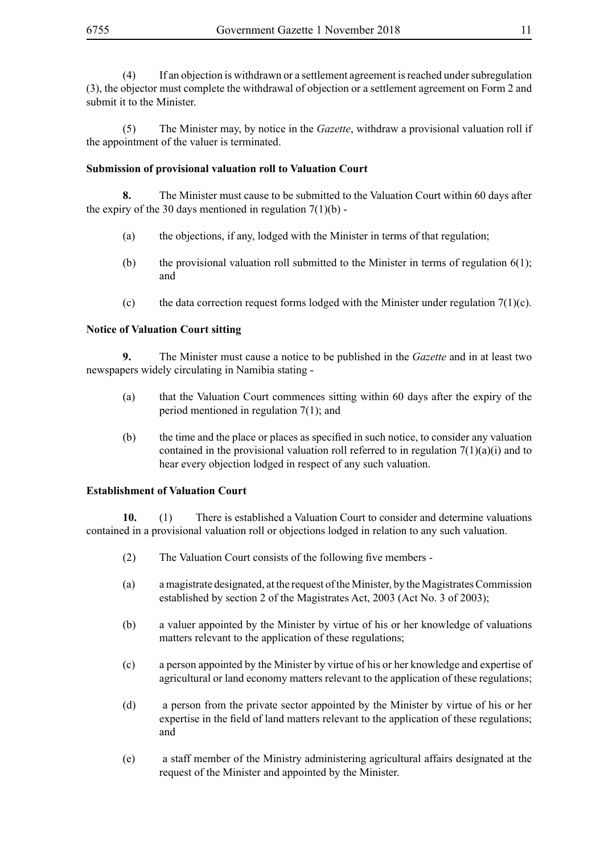(4) If an objection is withdrawn or a settlement agreement is reached under subregulation (3), the objector must complete the withdrawal of objection or a settlement agreement on Form 2 and submit it to the Minister.

(5) The Minister may, by notice in the *Gazette*, withdraw a provisional valuation roll if the appointment of the valuer is terminated.

#### **Submission of provisional valuation roll to Valuation Court**

**8.** The Minister must cause to be submitted to the Valuation Court within 60 days after the expiry of the 30 days mentioned in regulation  $7(1)(b)$ .

- (a) the objections, if any, lodged with the Minister in terms of that regulation;
- (b) the provisional valuation roll submitted to the Minister in terms of regulation  $6(1)$ ; and
- (c) the data correction request forms lodged with the Minister under regulation  $7(1)(c)$ .

#### **Notice of Valuation Court sitting**

**9.** The Minister must cause a notice to be published in the *Gazette* and in at least two newspapers widely circulating in Namibia stating -

- (a) that the Valuation Court commences sitting within 60 days after the expiry of the period mentioned in regulation 7(1); and
- (b) the time and the place or places as specified in such notice, to consider any valuation contained in the provisional valuation roll referred to in regulation  $7(1)(a)(i)$  and to hear every objection lodged in respect of any such valuation.

#### **Establishment of Valuation Court**

**10.** (1) There is established a Valuation Court to consider and determine valuations contained in a provisional valuation roll or objections lodged in relation to any such valuation.

- (2) The Valuation Court consists of the following five members -
- (a) a magistrate designated, at the request of the Minister, by the Magistrates Commission established by section 2 of the Magistrates Act, 2003 (Act No. 3 of 2003);
- (b) a valuer appointed by the Minister by virtue of his or her knowledge of valuations matters relevant to the application of these regulations;
- (c) a person appointed by the Minister by virtue of his or her knowledge and expertise of agricultural or land economy matters relevant to the application of these regulations;
- (d) a person from the private sector appointed by the Minister by virtue of his or her expertise in the field of land matters relevant to the application of these regulations; and
- (e) a staff member of the Ministry administering agricultural affairs designated at the request of the Minister and appointed by the Minister.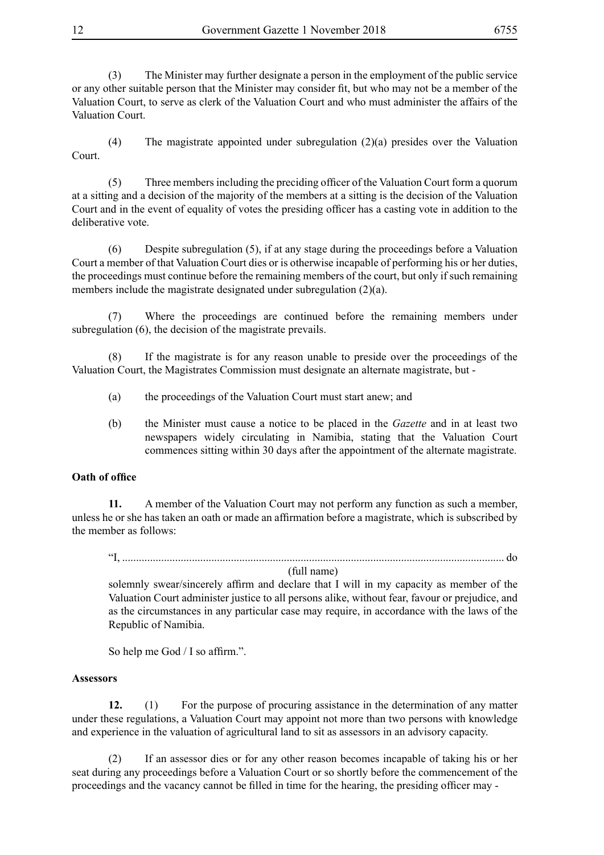(3) The Minister may further designate a person in the employment of the public service or any other suitable person that the Minister may consider fit, but who may not be a member of the Valuation Court, to serve as clerk of the Valuation Court and who must administer the affairs of the Valuation Court.

(4) The magistrate appointed under subregulation (2)(a) presides over the Valuation Court.

(5) Three members including the preciding officer of the Valuation Court form a quorum at a sitting and a decision of the majority of the members at a sitting is the decision of the Valuation Court and in the event of equality of votes the presiding officer has a casting vote in addition to the deliberative vote.

(6) Despite subregulation (5), if at any stage during the proceedings before a Valuation Court a member of that Valuation Court dies or is otherwise incapable of performing his or her duties, the proceedings must continue before the remaining members of the court, but only if such remaining members include the magistrate designated under subregulation (2)(a).

(7) Where the proceedings are continued before the remaining members under subregulation (6), the decision of the magistrate prevails.

(8) If the magistrate is for any reason unable to preside over the proceedings of the Valuation Court, the Magistrates Commission must designate an alternate magistrate, but -

- (a) the proceedings of the Valuation Court must start anew; and
- (b) the Minister must cause a notice to be placed in the *Gazette* and in at least two newspapers widely circulating in Namibia, stating that the Valuation Court commences sitting within 30 days after the appointment of the alternate magistrate.

#### **Oath of office**

**11.** A member of the Valuation Court may not perform any function as such a member, unless he or she has taken an oath or made an affirmation before a magistrate, which is subscribed by the member as follows:

"I, ......................................................................................................................................... do

(full name)

solemnly swear/sincerely affirm and declare that I will in my capacity as member of the Valuation Court administer justice to all persons alike, without fear, favour or prejudice, and as the circumstances in any particular case may require, in accordance with the laws of the Republic of Namibia.

So help me God / I so affirm.".

#### **Assessors**

**12.** (1) For the purpose of procuring assistance in the determination of any matter under these regulations, a Valuation Court may appoint not more than two persons with knowledge and experience in the valuation of agricultural land to sit as assessors in an advisory capacity.

(2) If an assessor dies or for any other reason becomes incapable of taking his or her seat during any proceedings before a Valuation Court or so shortly before the commencement of the proceedings and the vacancy cannot be filled in time for the hearing, the presiding officer may -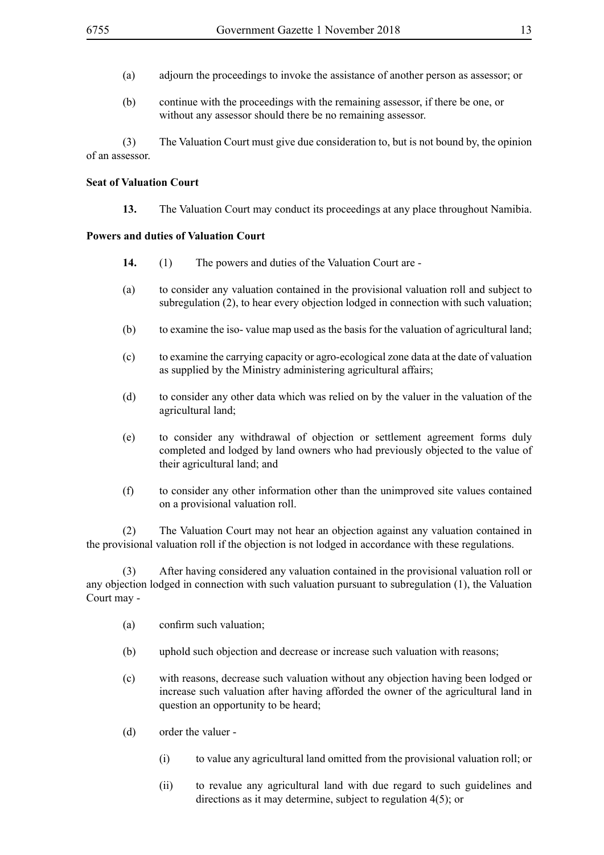- (a) adjourn the proceedings to invoke the assistance of another person as assessor; or
- (b) continue with the proceedings with the remaining assessor, if there be one, or without any assessor should there be no remaining assessor.

(3) The Valuation Court must give due consideration to, but is not bound by, the opinion of an assessor.

#### **Seat of Valuation Court**

**13.** The Valuation Court may conduct its proceedings at any place throughout Namibia.

#### **Powers and duties of Valuation Court**

- **14.** (1) The powers and duties of the Valuation Court are -
- (a) to consider any valuation contained in the provisional valuation roll and subject to subregulation (2), to hear every objection lodged in connection with such valuation;
- (b) to examine the iso- value map used as the basis for the valuation of agricultural land;
- (c) to examine the carrying capacity or agro-ecological zone data at the date of valuation as supplied by the Ministry administering agricultural affairs;
- (d) to consider any other data which was relied on by the valuer in the valuation of the agricultural land;
- (e) to consider any withdrawal of objection or settlement agreement forms duly completed and lodged by land owners who had previously objected to the value of their agricultural land; and
- (f) to consider any other information other than the unimproved site values contained on a provisional valuation roll.

(2) The Valuation Court may not hear an objection against any valuation contained in the provisional valuation roll if the objection is not lodged in accordance with these regulations.

(3) After having considered any valuation contained in the provisional valuation roll or any objection lodged in connection with such valuation pursuant to subregulation (1), the Valuation Court may -

- (a) confirm such valuation;
- (b) uphold such objection and decrease or increase such valuation with reasons;
- (c) with reasons, decrease such valuation without any objection having been lodged or increase such valuation after having afforded the owner of the agricultural land in question an opportunity to be heard;
- (d) order the valuer
	- (i) to value any agricultural land omitted from the provisional valuation roll; or
	- (ii) to revalue any agricultural land with due regard to such guidelines and directions as it may determine, subject to regulation 4(5); or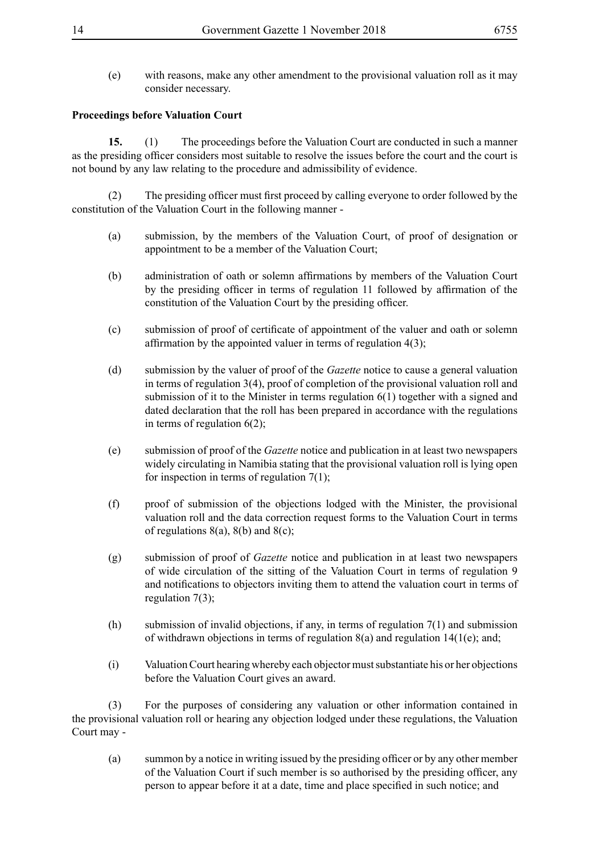(e) with reasons, make any other amendment to the provisional valuation roll as it may consider necessary.

#### **Proceedings before Valuation Court**

**15.** (1) The proceedings before the Valuation Court are conducted in such a manner as the presiding officer considers most suitable to resolve the issues before the court and the court is not bound by any law relating to the procedure and admissibility of evidence.

(2) The presiding officer must first proceed by calling everyone to order followed by the constitution of the Valuation Court in the following manner -

- (a) submission, by the members of the Valuation Court, of proof of designation or appointment to be a member of the Valuation Court;
- (b) administration of oath or solemn affirmations by members of the Valuation Court by the presiding officer in terms of regulation 11 followed by affirmation of the constitution of the Valuation Court by the presiding officer.
- (c) submission of proof of certificate of appointment of the valuer and oath or solemn affirmation by the appointed valuer in terms of regulation 4(3);
- (d) submission by the valuer of proof of the *Gazette* notice to cause a general valuation in terms of regulation 3(4), proof of completion of the provisional valuation roll and submission of it to the Minister in terms regulation 6(1) together with a signed and dated declaration that the roll has been prepared in accordance with the regulations in terms of regulation  $6(2)$ ;
- (e) submission of proof of the *Gazette* notice and publication in at least two newspapers widely circulating in Namibia stating that the provisional valuation roll is lying open for inspection in terms of regulation 7(1);
- (f) proof of submission of the objections lodged with the Minister, the provisional valuation roll and the data correction request forms to the Valuation Court in terms of regulations  $8(a)$ ,  $8(b)$  and  $8(c)$ ;
- (g) submission of proof of *Gazette* notice and publication in at least two newspapers of wide circulation of the sitting of the Valuation Court in terms of regulation 9 and notifications to objectors inviting them to attend the valuation court in terms of regulation 7(3);
- (h) submission of invalid objections, if any, in terms of regulation 7(1) and submission of withdrawn objections in terms of regulation  $8(a)$  and regulation  $14(1(e))$ ; and;
- (i) Valuation Court hearing whereby each objector must substantiate his or her objections before the Valuation Court gives an award.

(3) For the purposes of considering any valuation or other information contained in the provisional valuation roll or hearing any objection lodged under these regulations, the Valuation Court may -

(a) summon by a notice in writing issued by the presiding officer or by any other member of the Valuation Court if such member is so authorised by the presiding officer, any person to appear before it at a date, time and place specified in such notice; and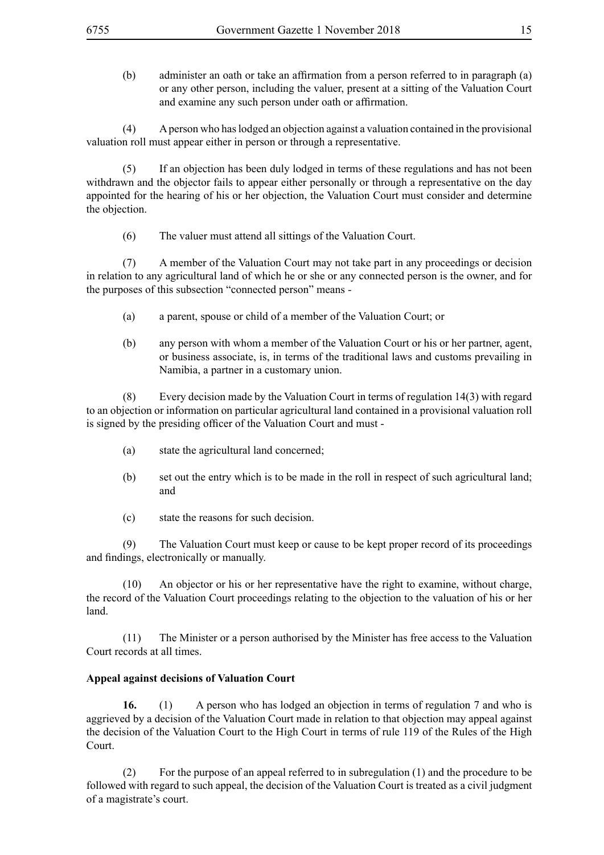(b) administer an oath or take an affirmation from a person referred to in paragraph (a) or any other person, including the valuer, present at a sitting of the Valuation Court and examine any such person under oath or affirmation.

(4) A person who has lodged an objection against a valuation contained in the provisional valuation roll must appear either in person or through a representative.

(5) If an objection has been duly lodged in terms of these regulations and has not been withdrawn and the objector fails to appear either personally or through a representative on the day appointed for the hearing of his or her objection, the Valuation Court must consider and determine the objection.

(6) The valuer must attend all sittings of the Valuation Court.

(7) A member of the Valuation Court may not take part in any proceedings or decision in relation to any agricultural land of which he or she or any connected person is the owner, and for the purposes of this subsection "connected person" means -

- (a) a parent, spouse or child of a member of the Valuation Court; or
- (b) any person with whom a member of the Valuation Court or his or her partner, agent, or business associate, is, in terms of the traditional laws and customs prevailing in Namibia, a partner in a customary union.

(8) Every decision made by the Valuation Court in terms of regulation 14(3) with regard to an objection or information on particular agricultural land contained in a provisional valuation roll is signed by the presiding officer of the Valuation Court and must -

- (a) state the agricultural land concerned;
- (b) set out the entry which is to be made in the roll in respect of such agricultural land; and
- (c) state the reasons for such decision.

(9) The Valuation Court must keep or cause to be kept proper record of its proceedings and findings, electronically or manually.

(10) An objector or his or her representative have the right to examine, without charge, the record of the Valuation Court proceedings relating to the objection to the valuation of his or her land.

(11) The Minister or a person authorised by the Minister has free access to the Valuation Court records at all times.

#### **Appeal against decisions of Valuation Court**

**16.** (1) A person who has lodged an objection in terms of regulation 7 and who is aggrieved by a decision of the Valuation Court made in relation to that objection may appeal against the decision of the Valuation Court to the High Court in terms of rule 119 of the Rules of the High Court.

(2) For the purpose of an appeal referred to in subregulation (1) and the procedure to be followed with regard to such appeal, the decision of the Valuation Court is treated as a civil judgment of a magistrate's court.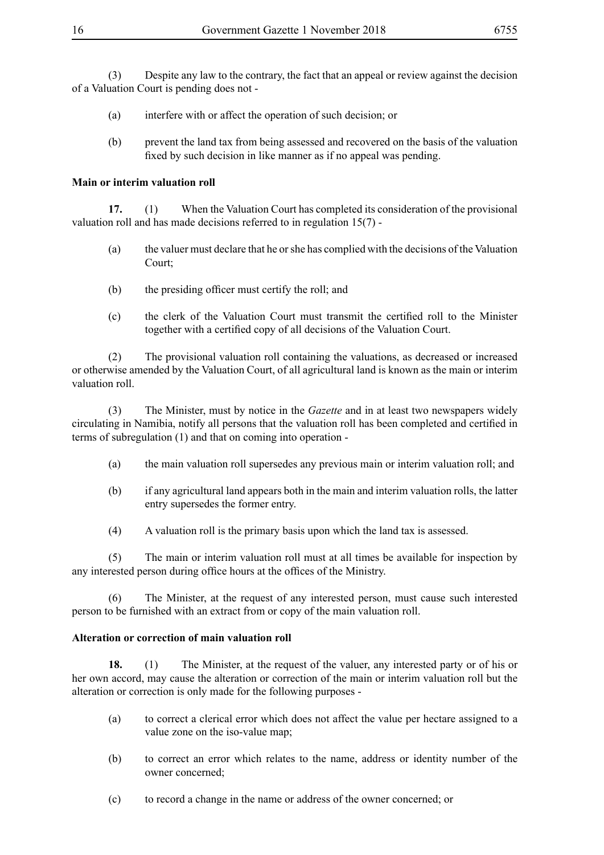(3) Despite any law to the contrary, the fact that an appeal or review against the decision of a Valuation Court is pending does not -

- (a) interfere with or affect the operation of such decision; or
- (b) prevent the land tax from being assessed and recovered on the basis of the valuation fixed by such decision in like manner as if no appeal was pending.

#### **Main or interim valuation roll**

**17.** (1) When the Valuation Court has completed its consideration of the provisional valuation roll and has made decisions referred to in regulation 15(7) -

- (a) the valuer must declare that he or she has complied with the decisions of the Valuation Court;
- (b) the presiding officer must certify the roll; and
- (c) the clerk of the Valuation Court must transmit the certified roll to the Minister together with a certified copy of all decisions of the Valuation Court.

(2) The provisional valuation roll containing the valuations, as decreased or increased or otherwise amended by the Valuation Court, of all agricultural land is known as the main or interim valuation roll.

(3) The Minister, must by notice in the *Gazette* and in at least two newspapers widely circulating in Namibia, notify all persons that the valuation roll has been completed and certified in terms of subregulation (1) and that on coming into operation -

- (a) the main valuation roll supersedes any previous main or interim valuation roll; and
- (b) if any agricultural land appears both in the main and interim valuation rolls, the latter entry supersedes the former entry.
- (4) A valuation roll is the primary basis upon which the land tax is assessed.

(5) The main or interim valuation roll must at all times be available for inspection by any interested person during office hours at the offices of the Ministry.

(6) The Minister, at the request of any interested person, must cause such interested person to be furnished with an extract from or copy of the main valuation roll.

#### **Alteration or correction of main valuation roll**

**18.** (1) The Minister, at the request of the valuer, any interested party or of his or her own accord, may cause the alteration or correction of the main or interim valuation roll but the alteration or correction is only made for the following purposes -

- (a) to correct a clerical error which does not affect the value per hectare assigned to a value zone on the iso-value map;
- (b) to correct an error which relates to the name, address or identity number of the owner concerned;
- (c) to record a change in the name or address of the owner concerned; or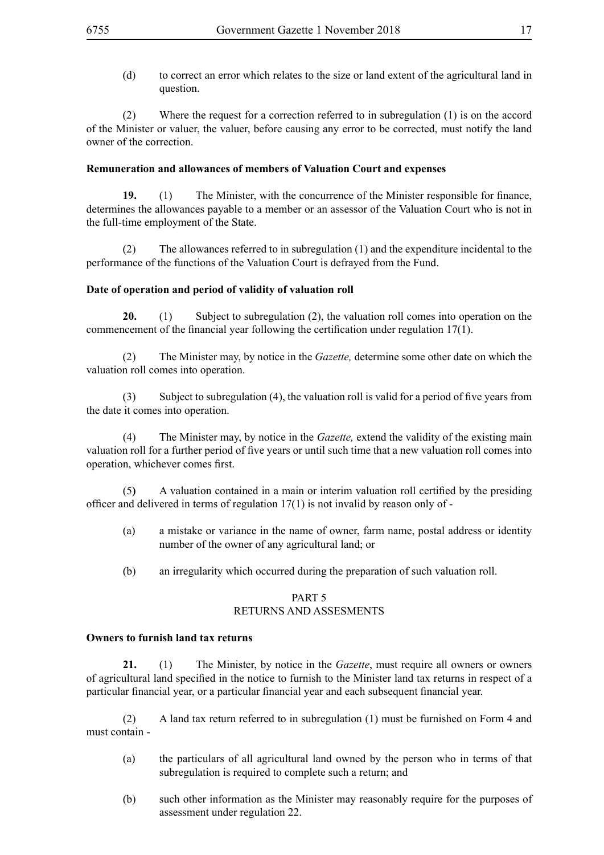(d) to correct an error which relates to the size or land extent of the agricultural land in question.

(2) Where the request for a correction referred to in subregulation (1) is on the accord of the Minister or valuer, the valuer, before causing any error to be corrected, must notify the land owner of the correction.

#### **Remuneration and allowances of members of Valuation Court and expenses**

**19.** (1) The Minister, with the concurrence of the Minister responsible for finance, determines the allowances payable to a member or an assessor of the Valuation Court who is not in the full-time employment of the State.

(2) The allowances referred to in subregulation (1) and the expenditure incidental to the performance of the functions of the Valuation Court is defrayed from the Fund.

#### **Date of operation and period of validity of valuation roll**

**20.** (1) Subject to subregulation (2), the valuation roll comes into operation on the commencement of the financial year following the certification under regulation  $17(1)$ .

(2) The Minister may, by notice in the *Gazette,* determine some other date on which the valuation roll comes into operation.

(3) Subject to subregulation (4), the valuation roll is valid for a period of five years from the date it comes into operation.

(4) The Minister may, by notice in the *Gazette,* extend the validity of the existing main valuation roll for a further period of five years or until such time that a new valuation roll comes into operation, whichever comes first.

(5**)** A valuation contained in a main or interim valuation roll certified by the presiding officer and delivered in terms of regulation 17(1) is not invalid by reason only of -

- (a) a mistake or variance in the name of owner, farm name, postal address or identity number of the owner of any agricultural land; or
- (b) an irregularity which occurred during the preparation of such valuation roll.

#### PART 5 RETURNS AND ASSESMENTS

#### **Owners to furnish land tax returns**

**21.** (1) The Minister, by notice in the *Gazette*, must require all owners or owners of agricultural land specified in the notice to furnish to the Minister land tax returns in respect of a particular financial year, or a particular financial year and each subsequent financial year.

(2) A land tax return referred to in subregulation (1) must be furnished on Form 4 and must contain -

- (a) the particulars of all agricultural land owned by the person who in terms of that subregulation is required to complete such a return; and
- (b) such other information as the Minister may reasonably require for the purposes of assessment under regulation 22.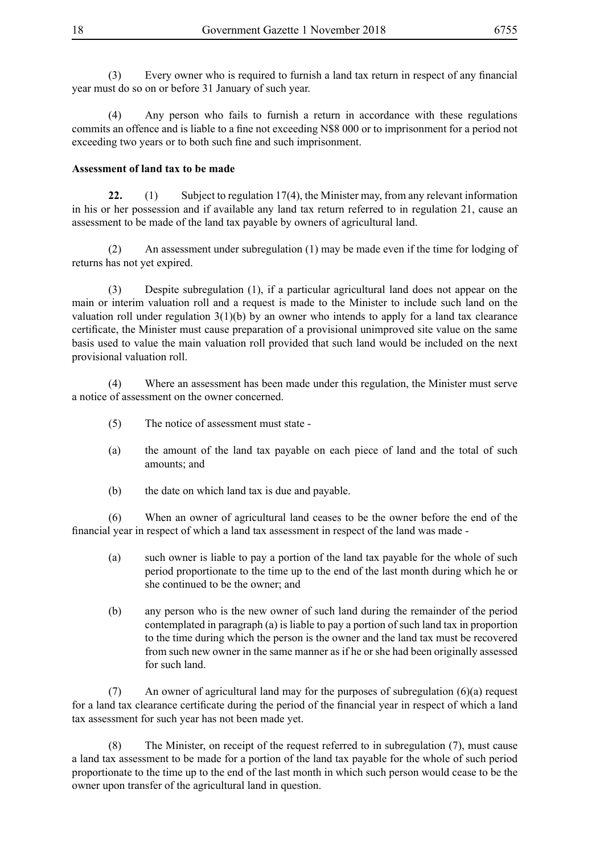(3) Every owner who is required to furnish a land tax return in respect of any financial year must do so on or before 31 January of such year.

(4) Any person who fails to furnish a return in accordance with these regulations commits an offence and is liable to a fine not exceeding N\$8 000 or to imprisonment for a period not exceeding two years or to both such fine and such imprisonment.

#### **Assessment of land tax to be made**

**22.** (1) Subject to regulation 17(4), the Minister may, from any relevant information in his or her possession and if available any land tax return referred to in regulation 21, cause an assessment to be made of the land tax payable by owners of agricultural land.

(2) An assessment under subregulation (1) may be made even if the time for lodging of returns has not yet expired.

(3) Despite subregulation (1), if a particular agricultural land does not appear on the main or interim valuation roll and a request is made to the Minister to include such land on the valuation roll under regulation  $3(1)(b)$  by an owner who intends to apply for a land tax clearance certificate, the Minister must cause preparation of a provisional unimproved site value on the same basis used to value the main valuation roll provided that such land would be included on the next provisional valuation roll.

(4) Where an assessment has been made under this regulation, the Minister must serve a notice of assessment on the owner concerned.

- (5) The notice of assessment must state -
- (a) the amount of the land tax payable on each piece of land and the total of such amounts; and
- (b) the date on which land tax is due and payable.

(6) When an owner of agricultural land ceases to be the owner before the end of the financial year in respect of which a land tax assessment in respect of the land was made -

- (a) such owner is liable to pay a portion of the land tax payable for the whole of such period proportionate to the time up to the end of the last month during which he or she continued to be the owner; and
- (b) any person who is the new owner of such land during the remainder of the period contemplated in paragraph (a) is liable to pay a portion of such land tax in proportion to the time during which the person is the owner and the land tax must be recovered from such new owner in the same manner as if he or she had been originally assessed for such land.

(7) An owner of agricultural land may for the purposes of subregulation (6)(a) request for a land tax clearance certificate during the period of the financial year in respect of which a land tax assessment for such year has not been made yet.

(8) The Minister, on receipt of the request referred to in subregulation (7), must cause a land tax assessment to be made for a portion of the land tax payable for the whole of such period proportionate to the time up to the end of the last month in which such person would cease to be the owner upon transfer of the agricultural land in question.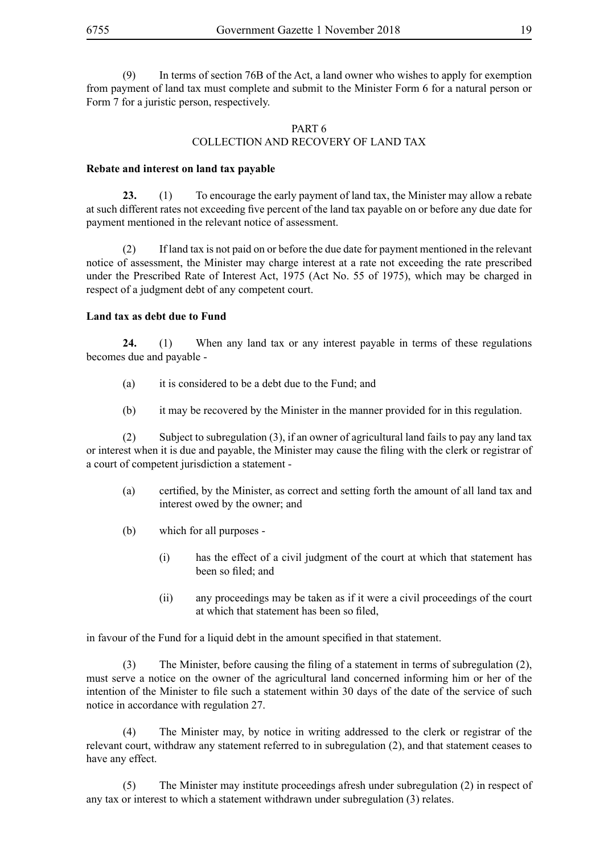(9) In terms of section 76B of the Act, a land owner who wishes to apply for exemption from payment of land tax must complete and submit to the Minister Form 6 for a natural person or Form 7 for a juristic person, respectively.

#### PART 6 COLLECTION AND RECOVERY OF LAND TAX

#### **Rebate and interest on land tax payable**

**23.** (1) To encourage the early payment of land tax, the Minister may allow a rebate at such different rates not exceeding five percent of the land tax payable on or before any due date for payment mentioned in the relevant notice of assessment.

(2) If land tax is not paid on or before the due date for payment mentioned in the relevant notice of assessment, the Minister may charge interest at a rate not exceeding the rate prescribed under the Prescribed Rate of Interest Act, 1975 (Act No. 55 of 1975), which may be charged in respect of a judgment debt of any competent court.

#### **Land tax as debt due to Fund**

**24.** (1) When any land tax or any interest payable in terms of these regulations becomes due and payable -

- (a) it is considered to be a debt due to the Fund; and
- (b) it may be recovered by the Minister in the manner provided for in this regulation.

(2) Subject to subregulation (3), if an owner of agricultural land fails to pay any land tax or interest when it is due and payable, the Minister may cause the filing with the clerk or registrar of a court of competent jurisdiction a statement -

- (a) certified, by the Minister, as correct and setting forth the amount of all land tax and interest owed by the owner; and
- (b) which for all purposes
	- (i) has the effect of a civil judgment of the court at which that statement has been so filed; and
	- (ii) any proceedings may be taken as if it were a civil proceedings of the court at which that statement has been so filed,

in favour of the Fund for a liquid debt in the amount specified in that statement.

(3) The Minister, before causing the filing of a statement in terms of subregulation (2), must serve a notice on the owner of the agricultural land concerned informing him or her of the intention of the Minister to file such a statement within 30 days of the date of the service of such notice in accordance with regulation 27.

(4) The Minister may, by notice in writing addressed to the clerk or registrar of the relevant court, withdraw any statement referred to in subregulation (2), and that statement ceases to have any effect.

(5) The Minister may institute proceedings afresh under subregulation (2) in respect of any tax or interest to which a statement withdrawn under subregulation (3) relates.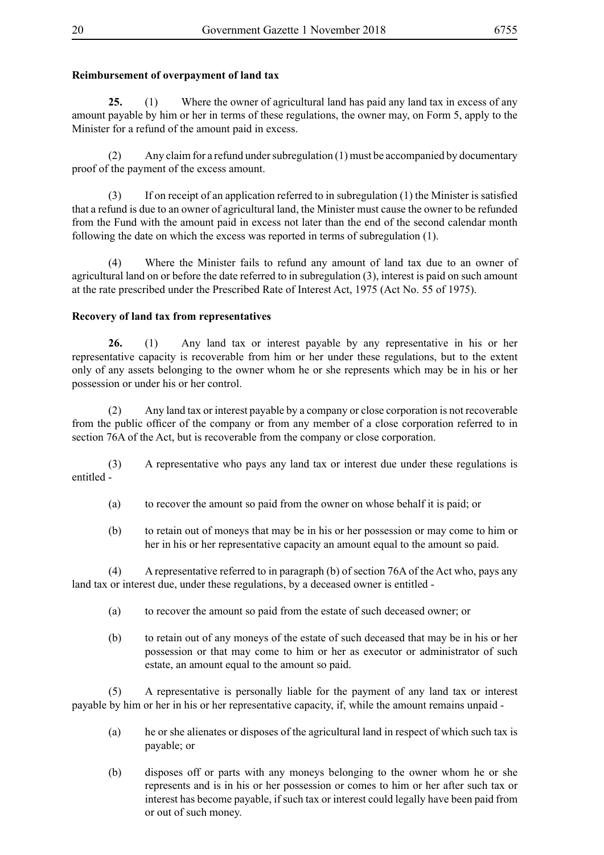#### **Reimbursement of overpayment of land tax**

**25.** (1) Where the owner of agricultural land has paid any land tax in excess of any amount payable by him or her in terms of these regulations, the owner may, on Form 5, apply to the Minister for a refund of the amount paid in excess.

(2) Any claim for a refund under subregulation (1) must be accompanied by documentary proof of the payment of the excess amount.

(3) If on receipt of an application referred to in subregulation (1) the Minister is satisfied that a refund is due to an owner of agricultural land, the Minister must cause the owner to be refunded from the Fund with the amount paid in excess not later than the end of the second calendar month following the date on which the excess was reported in terms of subregulation (1).

(4) Where the Minister fails to refund any amount of land tax due to an owner of agricultural land on or before the date referred to in subregulation (3), interest is paid on such amount at the rate prescribed under the Prescribed Rate of Interest Act, 1975 (Act No. 55 of 1975).

#### **Recovery of land tax from representatives**

**26.** (1) Any land tax or interest payable by any representative in his or her representative capacity is recoverable from him or her under these regulations, but to the extent only of any assets belonging to the owner whom he or she represents which may be in his or her possession or under his or her control.

(2) Any land tax or interest payable by a company or close corporation is not recoverable from the public officer of the company or from any member of a close corporation referred to in section 76A of the Act, but is recoverable from the company or close corporation.

(3) A representative who pays any land tax or interest due under these regulations is entitled -

- (a) to recover the amount so paid from the owner on whose behalf it is paid; or
- (b) to retain out of moneys that may be in his or her possession or may come to him or her in his or her representative capacity an amount equal to the amount so paid.

(4) A representative referred to in paragraph (b) of section 76A of the Act who, pays any land tax or interest due, under these regulations, by a deceased owner is entitled -

- (a) to recover the amount so paid from the estate of such deceased owner; or
- (b) to retain out of any moneys of the estate of such deceased that may be in his or her possession or that may come to him or her as executor or administrator of such estate, an amount equal to the amount so paid.

(5) A representative is personally liable for the payment of any land tax or interest payable by him or her in his or her representative capacity, if, while the amount remains unpaid -

- (a) he or she alienates or disposes of the agricultural land in respect of which such tax is payable; or
- (b) disposes off or parts with any moneys belonging to the owner whom he or she represents and is in his or her possession or comes to him or her after such tax or interest has become payable, if such tax or interest could legally have been paid from or out of such money.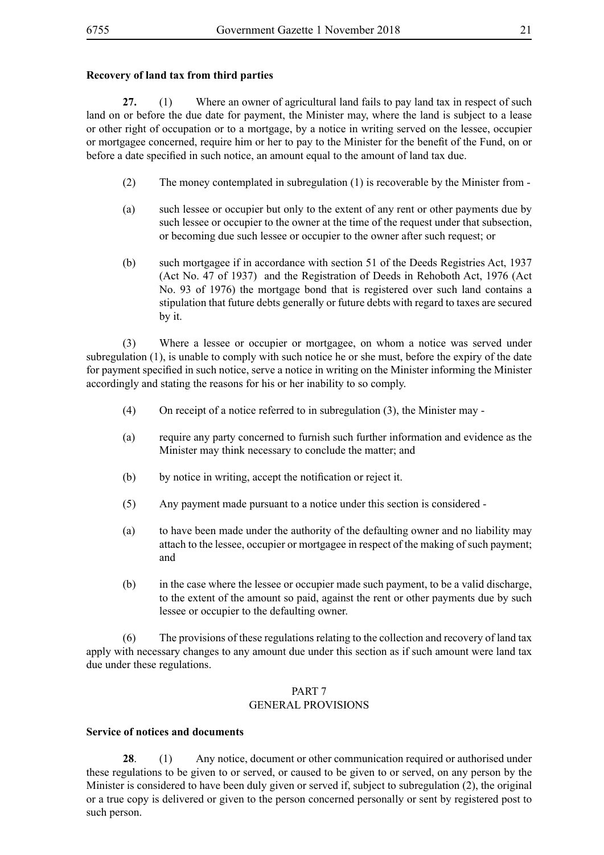#### **Recovery of land tax from third parties**

**27.** (1) Where an owner of agricultural land fails to pay land tax in respect of such land on or before the due date for payment, the Minister may, where the land is subject to a lease or other right of occupation or to a mortgage, by a notice in writing served on the lessee, occupier or mortgagee concerned, require him or her to pay to the Minister for the benefit of the Fund, on or before a date specified in such notice, an amount equal to the amount of land tax due.

- (2) The money contemplated in subregulation (1) is recoverable by the Minister from -
- (a) such lessee or occupier but only to the extent of any rent or other payments due by such lessee or occupier to the owner at the time of the request under that subsection, or becoming due such lessee or occupier to the owner after such request; or
- (b) such mortgagee if in accordance with section 51 of the Deeds Registries Act, 1937 (Act No. 47 of 1937) and the Registration of Deeds in Rehoboth Act, 1976 (Act No. 93 of 1976) the mortgage bond that is registered over such land contains a stipulation that future debts generally or future debts with regard to taxes are secured by it.

(3) Where a lessee or occupier or mortgagee, on whom a notice was served under subregulation (1), is unable to comply with such notice he or she must, before the expiry of the date for payment specified in such notice, serve a notice in writing on the Minister informing the Minister accordingly and stating the reasons for his or her inability to so comply.

- (4) On receipt of a notice referred to in subregulation (3), the Minister may -
- (a) require any party concerned to furnish such further information and evidence as the Minister may think necessary to conclude the matter; and
- (b) by notice in writing, accept the notification or reject it.
- (5) Any payment made pursuant to a notice under this section is considered -
- (a) to have been made under the authority of the defaulting owner and no liability may attach to the lessee, occupier or mortgagee in respect of the making of such payment; and
- (b) in the case where the lessee or occupier made such payment, to be a valid discharge, to the extent of the amount so paid, against the rent or other payments due by such lessee or occupier to the defaulting owner.

(6) The provisions of these regulations relating to the collection and recovery of land tax apply with necessary changes to any amount due under this section as if such amount were land tax due under these regulations.

#### PART 7

#### GENERAL PROVISIONS

#### **Service of notices and documents**

**28**. (1) Any notice, document or other communication required or authorised under these regulations to be given to or served, or caused to be given to or served, on any person by the Minister is considered to have been duly given or served if, subject to subregulation (2), the original or a true copy is delivered or given to the person concerned personally or sent by registered post to such person.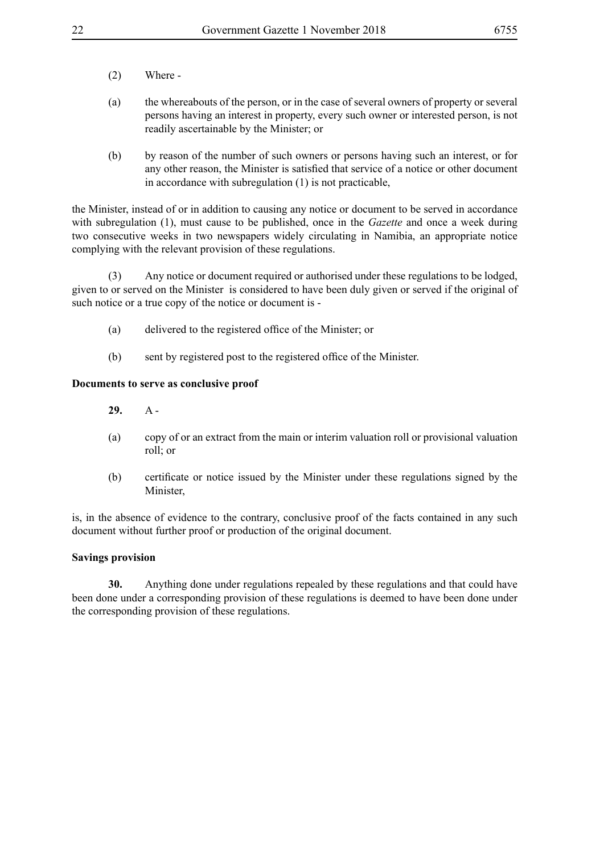- (2) Where -
- (a) the whereabouts of the person, or in the case of several owners of property or several persons having an interest in property, every such owner or interested person, is not readily ascertainable by the Minister; or
- (b) by reason of the number of such owners or persons having such an interest, or for any other reason, the Minister is satisfied that service of a notice or other document in accordance with subregulation (1) is not practicable,

the Minister, instead of or in addition to causing any notice or document to be served in accordance with subregulation (1), must cause to be published, once in the *Gazette* and once a week during two consecutive weeks in two newspapers widely circulating in Namibia, an appropriate notice complying with the relevant provision of these regulations.

(3) Any notice or document required or authorised under these regulations to be lodged, given to or served on the Minister is considered to have been duly given or served if the original of such notice or a true copy of the notice or document is -

- (a) delivered to the registered office of the Minister; or
- (b) sent by registered post to the registered office of the Minister.

#### **Documents to serve as conclusive proof**

**29.** A -

- (a) copy of or an extract from the main or interim valuation roll or provisional valuation roll; or
- (b) certificate or notice issued by the Minister under these regulations signed by the Minister,

is, in the absence of evidence to the contrary, conclusive proof of the facts contained in any such document without further proof or production of the original document.

#### **Savings provision**

**30.** Anything done under regulations repealed by these regulations and that could have been done under a corresponding provision of these regulations is deemed to have been done under the corresponding provision of these regulations.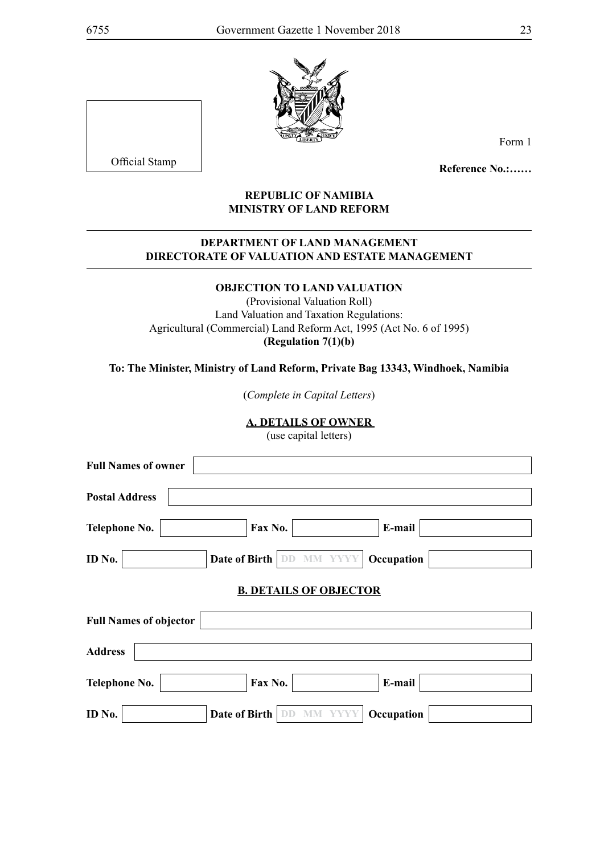

Official Stamp

Form 1

**Reference No.:……**

#### **REPUBLIC OF NAMIBIA MINISTRY OF LAND REFORM**

#### **DEPARTMENT OF LAND MANAGEMENT DIRECTORATE OF VALUATION AND ESTATE MANAGEMENT**

#### **OBJECTION TO LAND VALUATION**

(Provisional Valuation Roll) Land Valuation and Taxation Regulations: Agricultural (Commercial) Land Reform Act, 1995 (Act No. 6 of 1995) **(Regulation 7(1)(b)**

**To: The Minister, Ministry of Land Reform, Private Bag 13343, Windhoek, Namibia**

(*Complete in Capital Letters*)

#### **A. DETAILS OF OWNER**

(use capital letters)

| <b>Full Names of owner</b>    |                                 |            |  |
|-------------------------------|---------------------------------|------------|--|
| <b>Postal Address</b>         |                                 |            |  |
| <b>Telephone No.</b>          | Fax No.                         | E-mail     |  |
| ID No.                        | <b>Date of Birth DD MM YYYY</b> | Occupation |  |
|                               | <b>B. DETAILS OF OBJECTOR</b>   |            |  |
| <b>Full Names of objector</b> |                                 |            |  |
| <b>Address</b>                |                                 |            |  |
| <b>Telephone No.</b>          | Fax No.                         | E-mail     |  |
| ID No.                        | Date of Birth                   | Occupation |  |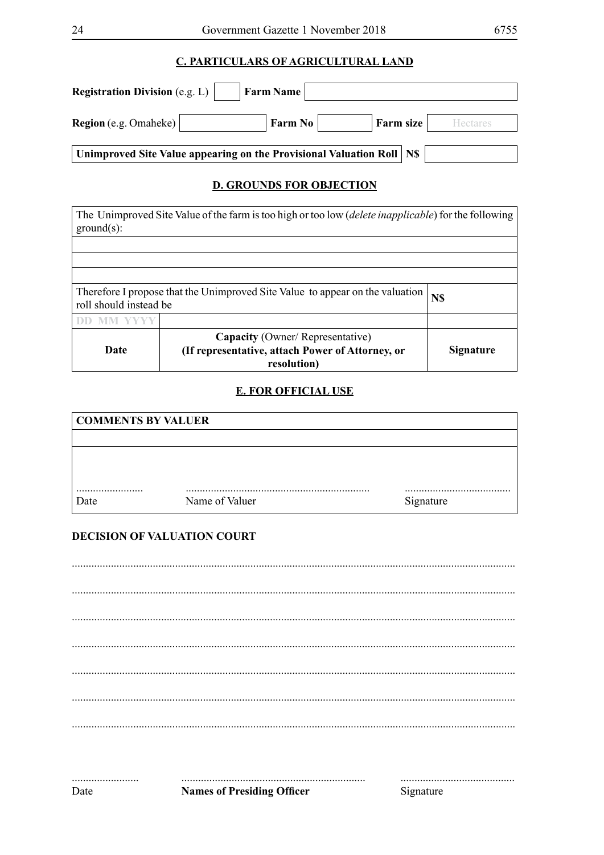## **C. PARTICULARS OF AGRICULTURAL LAND**

| <b>Registration Division</b> (e.g. L) $\parallel$                       | <b>Farm Name</b> |           |                 |
|-------------------------------------------------------------------------|------------------|-----------|-----------------|
| <b>Region</b> (e.g. Omaheke)                                            | Farm $No$        | Farm size | <b>Hectares</b> |
| Unimproved Site Value appearing on the Provisional Valuation Roll   N\$ |                  |           |                 |

## **D. GROUNDS FOR OBJECTION**

| The Unimproved Site Value of the farm is too high or too low <i>(delete inapplicable)</i> for the following<br>$ground(s)$ : |                                                                 |                  |
|------------------------------------------------------------------------------------------------------------------------------|-----------------------------------------------------------------|------------------|
|                                                                                                                              |                                                                 |                  |
|                                                                                                                              |                                                                 |                  |
|                                                                                                                              |                                                                 |                  |
| Therefore I propose that the Unimproved Site Value to appear on the valuation<br>N\$<br>roll should instead be               |                                                                 |                  |
|                                                                                                                              |                                                                 |                  |
|                                                                                                                              | <b>Capacity</b> (Owner/Representative)                          |                  |
| Date                                                                                                                         | (If representative, attach Power of Attorney, or<br>resolution) | <b>Signature</b> |

#### **E. FOR OFFICIAL USE**

| <b>COMMENTS BY VALUER</b> |                |           |
|---------------------------|----------------|-----------|
|                           |                |           |
|                           |                |           |
|                           |                |           |
|                           |                |           |
| Date                      | Name of Valuer | Signature |

#### DECISION OF VALUATION COURT

**Names of Presiding Officer** 

Signature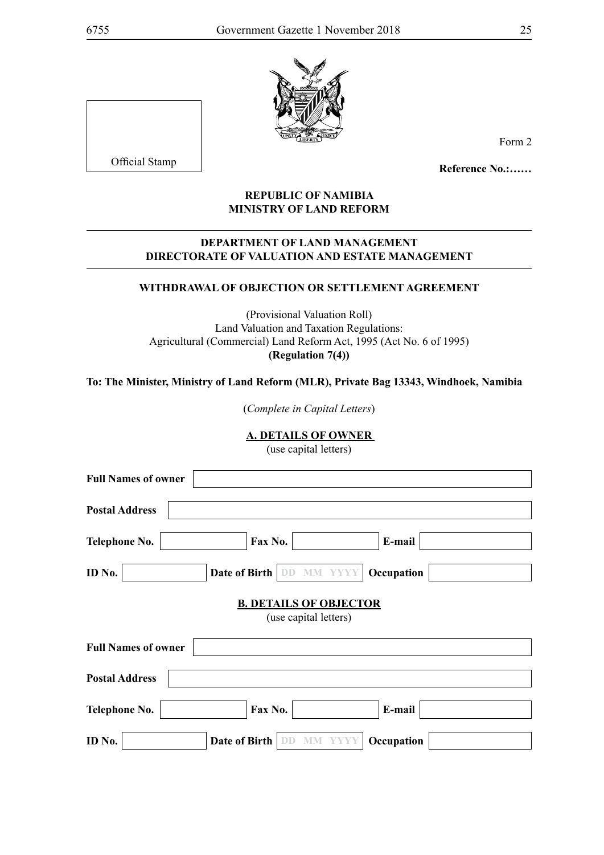

Official Stamp

Form 2

**Reference No.:……**

#### **REPUBLIC OF NAMIBIA MINISTRY OF LAND REFORM**

#### **DEPARTMENT OF LAND MANAGEMENT DIRECTORATE OF VALUATION AND ESTATE MANAGEMENT**

#### **WITHDRAWAL OF OBJECTION OR SETTLEMENT AGREEMENT**

(Provisional Valuation Roll) Land Valuation and Taxation Regulations: Agricultural (Commercial) Land Reform Act, 1995 (Act No. 6 of 1995) **(Regulation 7(4))**

**To: The Minister, Ministry of Land Reform (MLR), Private Bag 13343, Windhoek, Namibia**

(*Complete in Capital Letters*)

**A. DETAILS OF OWNER** 

(use capital letters)

| <b>Full Names of owner</b> |                                                        |                    |  |
|----------------------------|--------------------------------------------------------|--------------------|--|
| <b>Postal Address</b>      |                                                        |                    |  |
| <b>Telephone No.</b>       | Fax No.                                                | E-mail             |  |
| ID No.                     | Date of Birth<br><b>MM YYYY</b><br>DD                  | Occupation         |  |
|                            | <b>B. DETAILS OF OBJECTOR</b><br>(use capital letters) |                    |  |
| <b>Full Names of owner</b> |                                                        |                    |  |
| <b>Postal Address</b>      |                                                        |                    |  |
| <b>Telephone No.</b>       | Fax No.                                                | E-mail             |  |
| ID No.                     | Date of Birth                                          | Occupation<br>YYYY |  |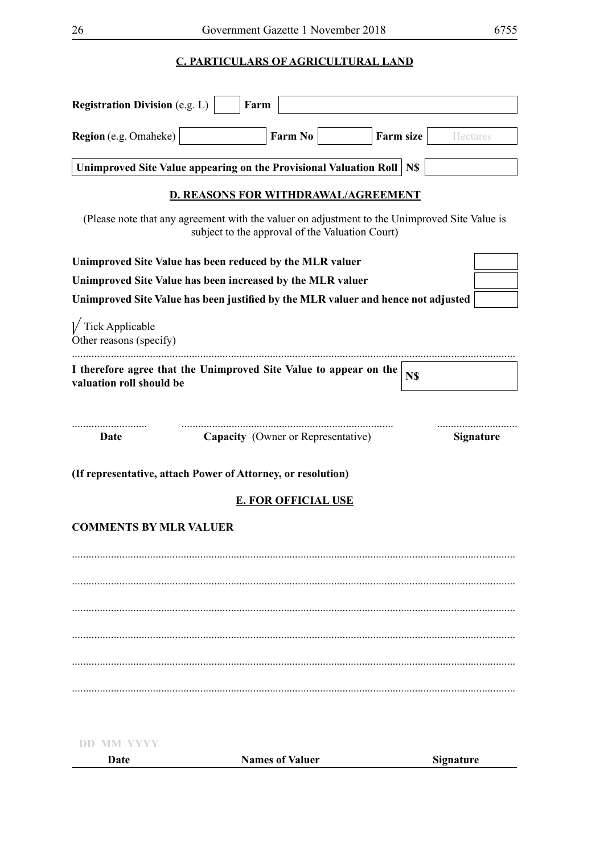## **C. PARTICULARS OF AGRICULTURAL LAND**

| <b>Registration Division (e.g. L)</b>                  | Farm                                                                                                                                             |                                    |           |                  |
|--------------------------------------------------------|--------------------------------------------------------------------------------------------------------------------------------------------------|------------------------------------|-----------|------------------|
| Region (e.g. Omaheke)                                  |                                                                                                                                                  | Farm No                            | Farm size | <b>Hectares</b>  |
|                                                        | Unimproved Site Value appearing on the Provisional Valuation Roll   N\$                                                                          |                                    |           |                  |
|                                                        | <b>D. REASONS FOR WITHDRAWAL/AGREEMENT</b>                                                                                                       |                                    |           |                  |
|                                                        | (Please note that any agreement with the valuer on adjustment to the Unimproved Site Value is<br>subject to the approval of the Valuation Court) |                                    |           |                  |
|                                                        | Unimproved Site Value has been reduced by the MLR valuer                                                                                         |                                    |           |                  |
|                                                        | Unimproved Site Value has been increased by the MLR valuer                                                                                       |                                    |           |                  |
|                                                        | Unimproved Site Value has been justified by the MLR valuer and hence not adjusted                                                                |                                    |           |                  |
| $\sqrt{\ }$ Tick Applicable<br>Other reasons (specify) |                                                                                                                                                  |                                    |           |                  |
| valuation roll should be                               | I therefore agree that the Unimproved Site Value to appear on the                                                                                |                                    | N\$       |                  |
| Date                                                   |                                                                                                                                                  | Capacity (Owner or Representative) |           | <b>Signature</b> |
|                                                        | (If representative, attach Power of Attorney, or resolution)                                                                                     |                                    |           |                  |
|                                                        |                                                                                                                                                  | <b>E. FOR OFFICIAL USE</b>         |           |                  |
| <b>COMMENTS BY MLR VALUER</b>                          |                                                                                                                                                  |                                    |           |                  |
|                                                        |                                                                                                                                                  |                                    |           |                  |
|                                                        |                                                                                                                                                  |                                    |           |                  |
|                                                        |                                                                                                                                                  |                                    |           |                  |
|                                                        |                                                                                                                                                  |                                    |           |                  |
|                                                        |                                                                                                                                                  |                                    |           |                  |

**DD MM YYYY Date Names of Valuer Signature**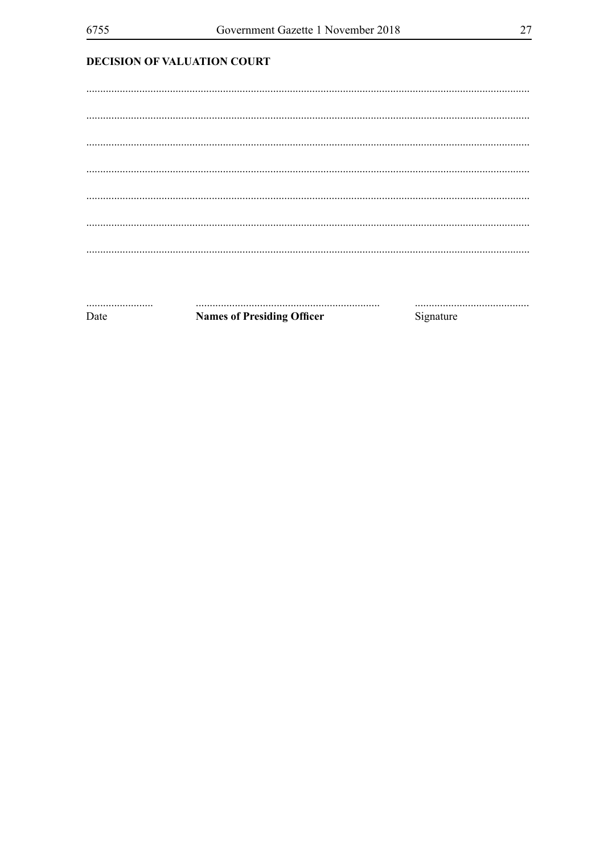## **DECISION OF VALUATION COURT**

Date

**Names of Presiding Officer** 

Signature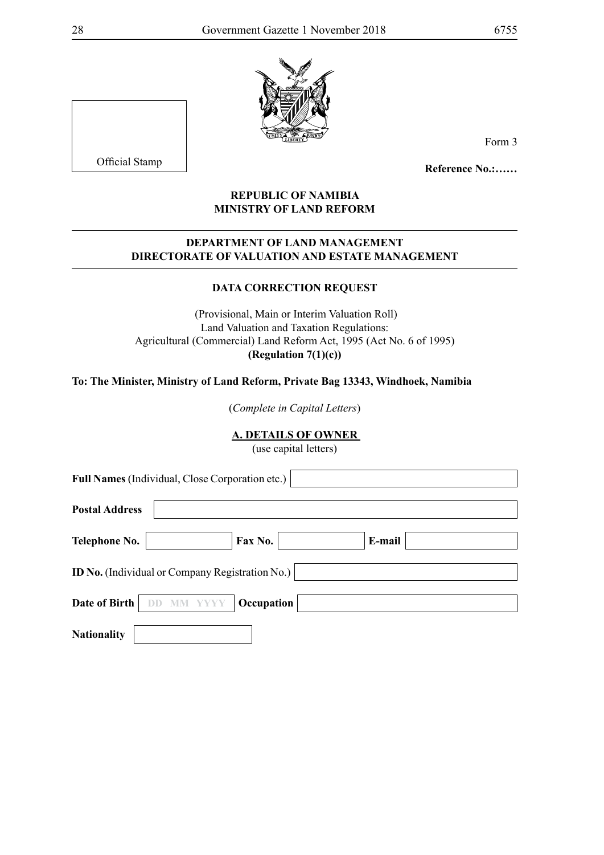

Official Stamp

Form 3

**Reference No.:……**

#### **REPUBLIC OF NAMIBIA MINISTRY OF LAND REFORM**

#### **DEPARTMENT OF LAND MANAGEMENT DIRECTORATE OF VALUATION AND ESTATE MANAGEMENT**

## **DATA CORRECTION REQUEST**

 (Provisional, Main or Interim Valuation Roll) Land Valuation and Taxation Regulations: Agricultural (Commercial) Land Reform Act, 1995 (Act No. 6 of 1995) **(Regulation 7(1)(c))**

**To: The Minister, Ministry of Land Reform, Private Bag 13343, Windhoek, Namibia**

(*Complete in Capital Letters*)

#### **A. DETAILS OF OWNER**

(use capital letters)

| <b>Full Names</b> (Individual, Close Corporation etc.) |                                                        |        |  |
|--------------------------------------------------------|--------------------------------------------------------|--------|--|
| <b>Postal Address</b>                                  |                                                        |        |  |
| Telephone No.                                          | Fax No.                                                | E-mail |  |
|                                                        | <b>ID No.</b> (Individual or Company Registration No.) |        |  |
| Date of Birth                                          | Occupation                                             |        |  |
| <b>Nationality</b>                                     |                                                        |        |  |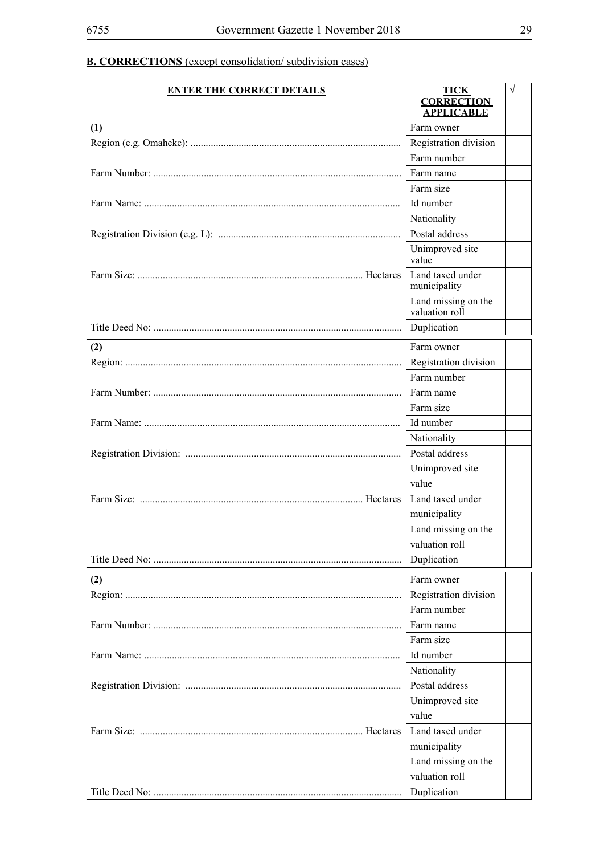## **B. CORRECTIONS** (except consolidation/ subdivision cases)

| <b>ENTER THE CORRECT DETAILS</b> | <b>TICK</b><br><b>CORRECTION</b><br><b>APPLICABLE</b> | $\sqrt{}$ |
|----------------------------------|-------------------------------------------------------|-----------|
| (1)                              | Farm owner                                            |           |
|                                  | Registration division                                 |           |
|                                  | Farm number                                           |           |
|                                  | Farm name                                             |           |
|                                  | Farm size                                             |           |
|                                  | Id number                                             |           |
|                                  | Nationality                                           |           |
|                                  | Postal address                                        |           |
|                                  | Unimproved site<br>value                              |           |
|                                  | Land taxed under<br>municipality                      |           |
|                                  | Land missing on the<br>valuation roll                 |           |
|                                  | Duplication                                           |           |
| (2)                              | Farm owner                                            |           |
|                                  | Registration division                                 |           |
|                                  | Farm number                                           |           |
|                                  | Farm name                                             |           |
|                                  | Farm size                                             |           |
|                                  | Id number                                             |           |
|                                  | Nationality                                           |           |
|                                  | Postal address                                        |           |
|                                  | Unimproved site                                       |           |
|                                  | value                                                 |           |
|                                  | Land taxed under                                      |           |
|                                  | municipality                                          |           |
|                                  | Land missing on the                                   |           |
|                                  | valuation roll                                        |           |
|                                  | Duplication                                           |           |
| (2)                              | Farm owner                                            |           |
|                                  | Registration division                                 |           |
|                                  | Farm number                                           |           |
|                                  | Farm name                                             |           |
|                                  | Farm size                                             |           |
|                                  | Id number                                             |           |
|                                  | Nationality                                           |           |
|                                  | Postal address                                        |           |
|                                  | Unimproved site                                       |           |
|                                  | value                                                 |           |
|                                  | Land taxed under                                      |           |
|                                  | municipality                                          |           |
|                                  | Land missing on the                                   |           |
|                                  | valuation roll                                        |           |
|                                  | Duplication                                           |           |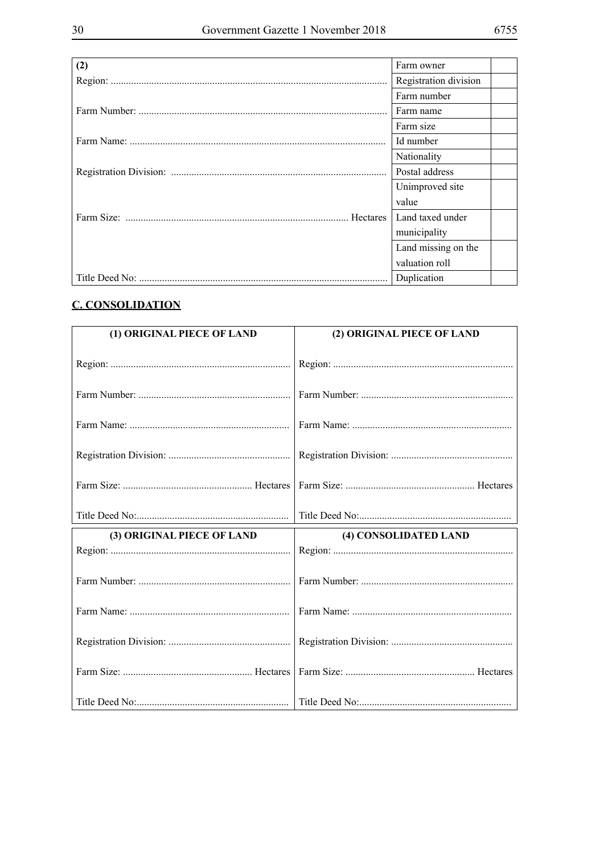| (2) | Farm owner            |
|-----|-----------------------|
|     | Registration division |
|     | Farm number           |
|     | Farm name             |
|     | Farm size             |
|     | Id number             |
|     | Nationality           |
|     | Postal address        |
|     | Unimproved site       |
|     | value                 |
|     | Land taxed under      |
|     | municipality          |
|     | Land missing on the   |
|     | valuation roll        |
|     | Duplication           |

## **C. CONSOLIDATION**

| (1) ORIGINAL PIECE OF LAND | (2) ORIGINAL PIECE OF LAND |
|----------------------------|----------------------------|
|                            |                            |
|                            |                            |
|                            |                            |
|                            |                            |
|                            |                            |
|                            |                            |
| (3) ORIGINAL PIECE OF LAND | (4) CONSOLIDATED LAND      |
|                            |                            |
|                            |                            |
|                            |                            |
|                            |                            |
|                            |                            |
|                            |                            |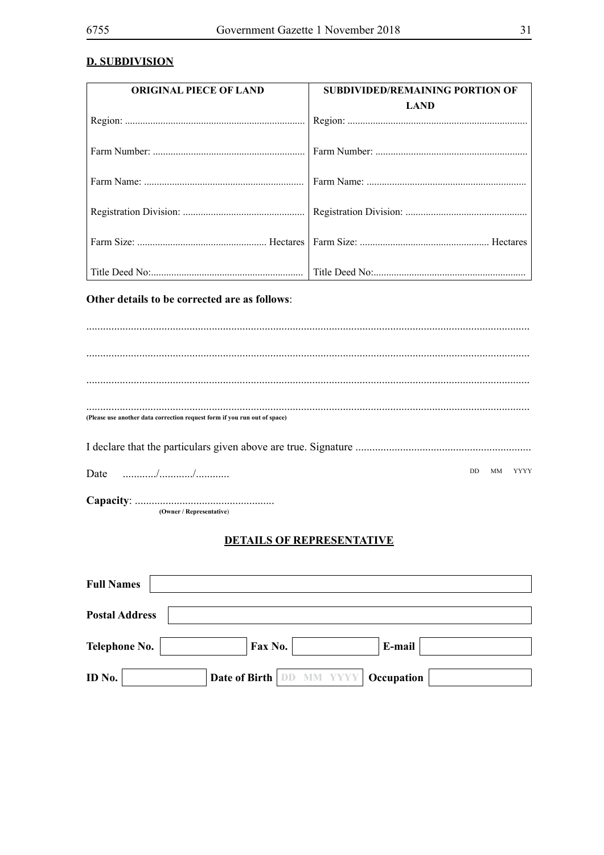### **D. SUBDIVISION**

| <b>ORIGINAL PIECE OF LAND</b>                                             | <b>SUBDIVIDED/REMAINING PORTION OF</b> |
|---------------------------------------------------------------------------|----------------------------------------|
|                                                                           | <b>LAND</b>                            |
|                                                                           |                                        |
|                                                                           |                                        |
|                                                                           |                                        |
|                                                                           |                                        |
|                                                                           |                                        |
|                                                                           |                                        |
|                                                                           |                                        |
|                                                                           |                                        |
|                                                                           |                                        |
|                                                                           |                                        |
| Other details to be corrected are as follows:                             |                                        |
|                                                                           |                                        |
|                                                                           |                                        |
|                                                                           |                                        |
|                                                                           |                                        |
|                                                                           |                                        |
|                                                                           |                                        |
|                                                                           |                                        |
| (Please use another data correction request form if you run out of space) |                                        |
|                                                                           |                                        |
|                                                                           |                                        |
| Date                                                                      | DD.<br>МM<br>YYYY                      |
|                                                                           |                                        |
| (Owner / Representative)                                                  |                                        |
|                                                                           |                                        |
|                                                                           | <b>DETAILS OF REPRESENTATIVE</b>       |
|                                                                           |                                        |
|                                                                           |                                        |
| <b>Full Names</b>                                                         |                                        |
| <b>Postal Address</b>                                                     |                                        |
|                                                                           |                                        |
| Fax No.<br><b>Telephone No.</b>                                           | E-mail                                 |
|                                                                           |                                        |

**Date of Birth DD MM YYYY Occupation** ID No.  $\boxed{\phantom{1}}$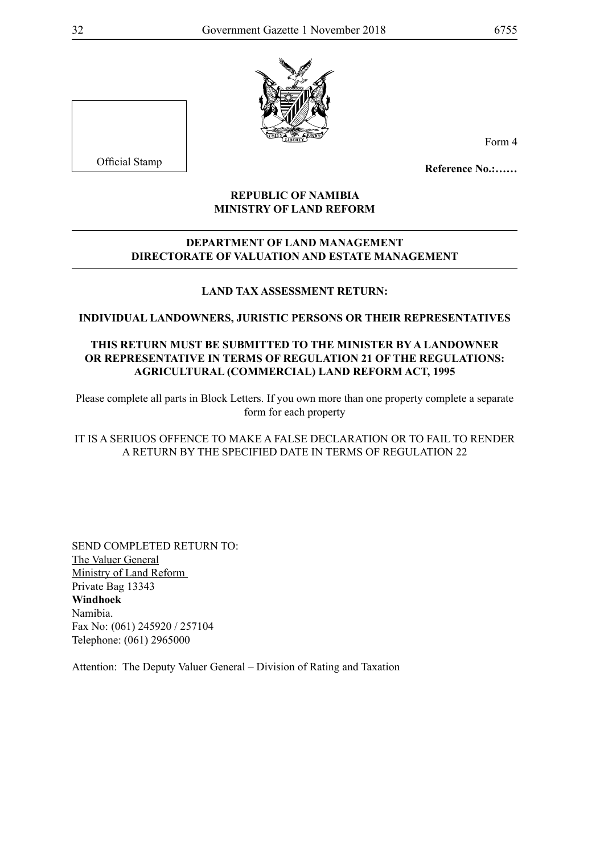

Official Stamp

Form 4

**Reference No.:……**

#### **REPUBLIC OF NAMIBIA MINISTRY OF LAND REFORM**

#### **DEPARTMENT OF LAND MANAGEMENT DIRECTORATE OF VALUATION AND ESTATE MANAGEMENT**

#### **LAND TAX ASSESSMENT RETURN:**

**INDIVIDUAL LANDOWNERS, JURISTIC PERSONS OR THEIR REPRESENTATIVES**

#### **THIS RETURN MUST BE SUBMITTED TO THE MINISTER BY A LANDOWNER OR REPRESENTATIVE IN TERMS OF REGULATION 21 OF THE REGULATIONS: AGRICULTURAL (COMMERCIAL) LAND REFORM ACT, 1995**

Please complete all parts in Block Letters. If you own more than one property complete a separate form for each property

#### IT IS A SERIUOS OFFENCE TO MAKE A FALSE DECLARATION OR TO FAIL TO RENDER A RETURN BY THE SPECIFIED DATE IN TERMS OF REGULATION 22

Send completed return TO: The Valuer General Ministry of Land Reform Private Bag 13343 **Windhoek** Namibia. Fax No: (061) 245920 / 257104 Telephone: (061) 2965000

Attention: The Deputy Valuer General – Division of Rating and Taxation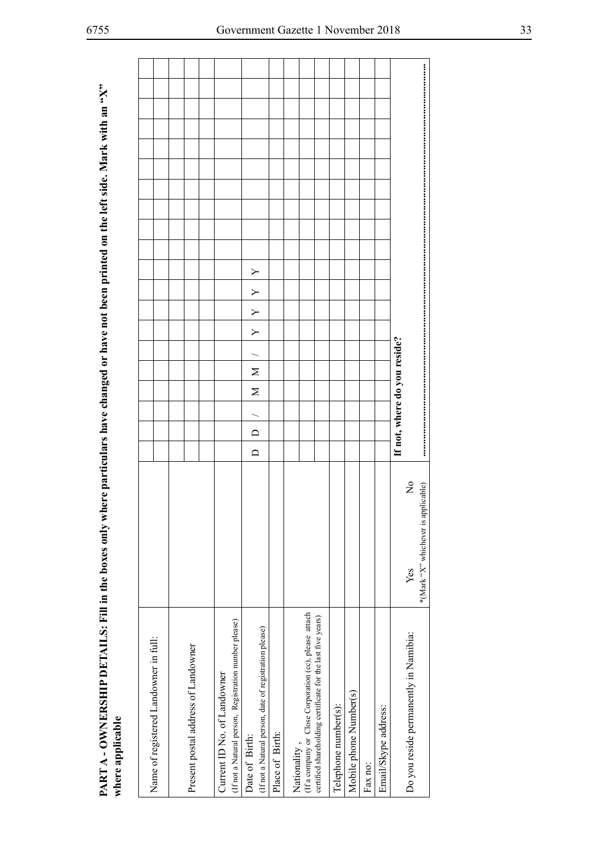| PART A - OWNERSHIP DETAILS: Fill in the boxes only where particulars have changed or have not been printed on the left side. Mark with an "X" |                                       |                                     |                                                                                      | Υ<br>Υ<br>Υ<br>Y<br>$\geq$<br>$\geq$<br>$\Box$<br>$\Box$                 |                 |              |                                                                                                                       |                      |                        |         |                      | If not, where do you reside? |                                                                          |
|-----------------------------------------------------------------------------------------------------------------------------------------------|---------------------------------------|-------------------------------------|--------------------------------------------------------------------------------------|--------------------------------------------------------------------------|-----------------|--------------|-----------------------------------------------------------------------------------------------------------------------|----------------------|------------------------|---------|----------------------|------------------------------|--------------------------------------------------------------------------|
|                                                                                                                                               |                                       |                                     |                                                                                      |                                                                          |                 |              |                                                                                                                       |                      |                        |         |                      |                              | $\overline{\mathsf{z}}$<br>applicable)<br>*(Mark "X" whichever is<br>Yes |
| where applicable                                                                                                                              | Name of registered Landowner in full: | Present postal address of Landowner | (If not a Natural person, Registration number please)<br>Current ID No. of Landowner | (If not a Natural person, date of registration please)<br>Date of Birth: | Place of Birth: | Nationality, | (If a company or Close Corporation (cc), please attach<br>certified shareholding certificate for the last five years) | Telephone number(s): | Mobile phone Number(s) | Fax no: | Email/Skype address: |                              | Do you reside permanently in Namibia:                                    |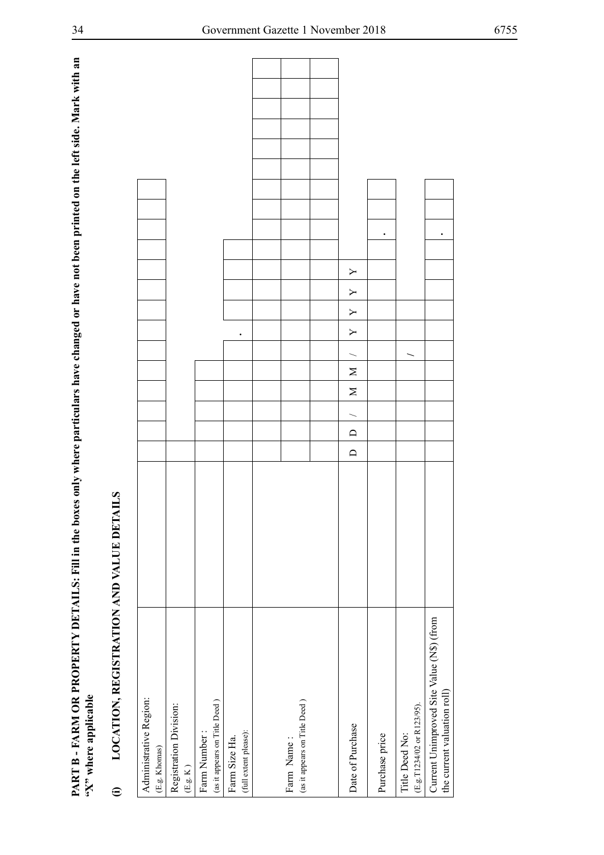| PART B - FARM OR PROPERTY DETAILS: Fill in the boxes only where particulars have changed or have not been printed on the left side. Mark with an<br>"X" where applicable |              |        |        |        |        |           |   |   |   |           |  |  |  |  |
|--------------------------------------------------------------------------------------------------------------------------------------------------------------------------|--------------|--------|--------|--------|--------|-----------|---|---|---|-----------|--|--|--|--|
| LOCATION, REGISTRATION AND VALUE DETAI<br>$\widehat{\mathbf{c}}$                                                                                                         | $\mathbf{S}$ |        |        |        |        |           |   |   |   |           |  |  |  |  |
| Administrative Region:<br>(E.g. Khomas)                                                                                                                                  |              |        |        |        |        |           |   |   |   |           |  |  |  |  |
| Registration Division:<br>(E.g. K)                                                                                                                                       |              |        |        |        |        |           |   |   |   |           |  |  |  |  |
| (as it appears on Title Deed)<br>Farm Number                                                                                                                             |              |        |        |        |        |           |   |   |   |           |  |  |  |  |
| (full extent please):<br>Farm Size Ha.                                                                                                                                   |              |        |        |        |        | $\bullet$ |   |   |   |           |  |  |  |  |
|                                                                                                                                                                          |              |        |        |        |        |           |   |   |   |           |  |  |  |  |
| (as it appears on Title Deed)<br>Farm Name                                                                                                                               |              |        |        |        |        |           |   |   |   |           |  |  |  |  |
|                                                                                                                                                                          |              |        |        |        |        |           |   |   |   |           |  |  |  |  |
| Date of Purchase                                                                                                                                                         |              | $\Box$ | $\Box$ | $\geq$ | $\geq$ | Υ         | Υ | Υ | Y |           |  |  |  |  |
| Purchase price                                                                                                                                                           |              |        |        |        |        |           |   |   |   | $\bullet$ |  |  |  |  |
| (E.g.T1234/02 or R123/95).<br>Title Deed No:                                                                                                                             |              |        |        |        |        |           |   |   |   |           |  |  |  |  |
| Current Unimproved Site Value (N\$) (from<br>the current valuation roll)                                                                                                 |              |        |        |        |        |           |   |   |   | ٠         |  |  |  |  |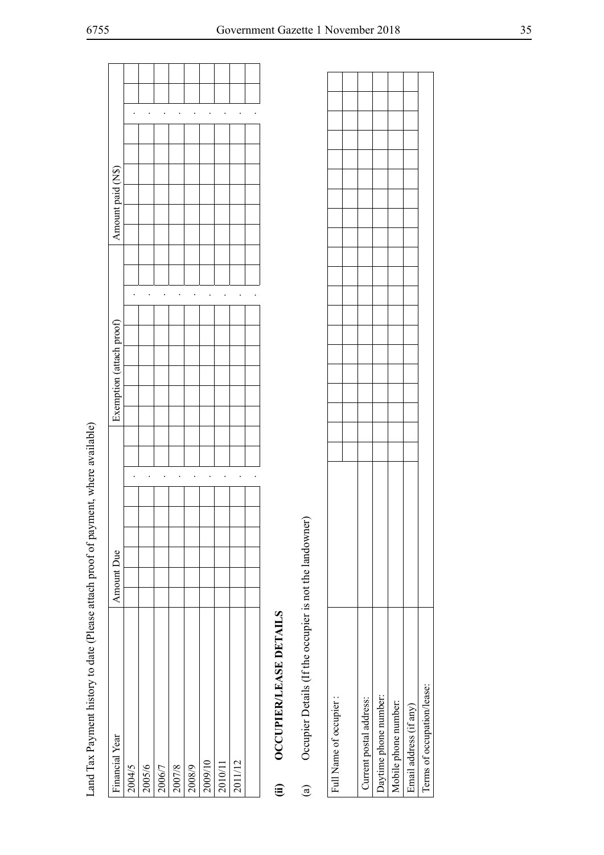| Land Tax Payment history to date (Please attach proof of payment, where available) |                      |                          |                      |  |
|------------------------------------------------------------------------------------|----------------------|--------------------------|----------------------|--|
| Financial Year                                                                     | Amount Due           | Exemption (attach proof) | Amount paid (N\$)    |  |
| 2004/5                                                                             |                      |                          |                      |  |
| 2005/6                                                                             |                      |                          |                      |  |
| 2006/7                                                                             | $\ddot{\phantom{0}}$ |                          |                      |  |
| 2007/8                                                                             | $\ddot{\phantom{0}}$ |                          |                      |  |
| 2008/9                                                                             | $\bullet$            |                          | $\ddot{\phantom{0}}$ |  |
| 2009/10                                                                            | $\bullet$            |                          | $\bullet$            |  |
| 2010/11                                                                            | $\bullet$            |                          |                      |  |
| 2011/12                                                                            | $\bullet$            |                          |                      |  |
|                                                                                    |                      |                          |                      |  |
| OCCUPIER/LEASE DETAILS<br><b>(ii)</b>                                              |                      |                          |                      |  |
| Occupier Details (If the occupier is not the landowner)<br>$\bigcirc$              |                      |                          |                      |  |
| Full Name of occupier:                                                             |                      |                          |                      |  |
| Current postal address:                                                            |                      |                          |                      |  |
| Daytime phone number:                                                              |                      |                          |                      |  |
| Mobile phone number:                                                               |                      |                          |                      |  |
| Email address (if any)                                                             |                      |                          |                      |  |
| Terms of occupation/lease:                                                         |                      |                          |                      |  |

| Full Name of occupier:     |  |  |  |  |  |  |  |
|----------------------------|--|--|--|--|--|--|--|
|                            |  |  |  |  |  |  |  |
| Current postal address:    |  |  |  |  |  |  |  |
| Daytime phone number:      |  |  |  |  |  |  |  |
| Mobile phone number:       |  |  |  |  |  |  |  |
| Email address (if any)     |  |  |  |  |  |  |  |
| Terms of occupation/lease: |  |  |  |  |  |  |  |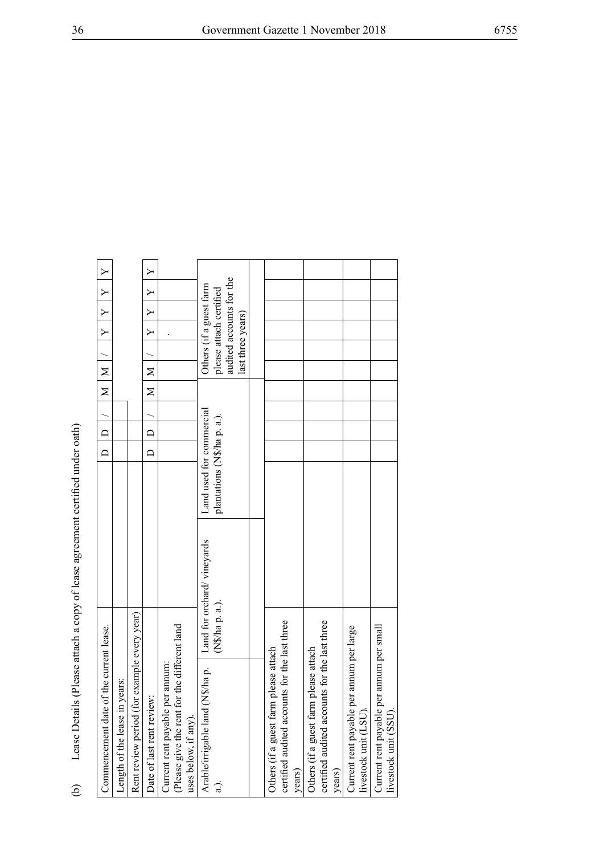| Normals of                                                                                                                                                                                                                    |  |
|-------------------------------------------------------------------------------------------------------------------------------------------------------------------------------------------------------------------------------|--|
|                                                                                                                                                                                                                               |  |
|                                                                                                                                                                                                                               |  |
|                                                                                                                                                                                                                               |  |
| ֖֧֧֧֧ׅ֧֧֧ׅ֧֧ׅ֧֛֪֧֧֧֦֧֧֪֧֧֧֧֛֪֧֛֪֧֛֪֧֛֚֚֚֚֚֚֚֚֚֚֚֚֚֚֚֚֚֚֚֚֚֚֚֚֚֬֡֓֡֝֓֝֓֝֓֜֓֓֓֜֓֝֬֜֓֝֬֝֬֝֬֝֬֜֜                                                                                                                                  |  |
|                                                                                                                                                                                                                               |  |
|                                                                                                                                                                                                                               |  |
| ;<br>)<br>)                                                                                                                                                                                                                   |  |
|                                                                                                                                                                                                                               |  |
|                                                                                                                                                                                                                               |  |
|                                                                                                                                                                                                                               |  |
|                                                                                                                                                                                                                               |  |
|                                                                                                                                                                                                                               |  |
|                                                                                                                                                                                                                               |  |
|                                                                                                                                                                                                                               |  |
|                                                                                                                                                                                                                               |  |
|                                                                                                                                                                                                                               |  |
|                                                                                                                                                                                                                               |  |
|                                                                                                                                                                                                                               |  |
|                                                                                                                                                                                                                               |  |
|                                                                                                                                                                                                                               |  |
|                                                                                                                                                                                                                               |  |
|                                                                                                                                                                                                                               |  |
|                                                                                                                                                                                                                               |  |
|                                                                                                                                                                                                                               |  |
|                                                                                                                                                                                                                               |  |
|                                                                                                                                                                                                                               |  |
|                                                                                                                                                                                                                               |  |
|                                                                                                                                                                                                                               |  |
|                                                                                                                                                                                                                               |  |
|                                                                                                                                                                                                                               |  |
| refirstration for description to the state of the contract of the contract of the contract of the contract of the contract of the contract of the contract of the contract of the contract of the contract of the contract of |  |
| 2221212                                                                                                                                                                                                                       |  |
|                                                                                                                                                                                                                               |  |
|                                                                                                                                                                                                                               |  |
|                                                                                                                                                                                                                               |  |
|                                                                                                                                                                                                                               |  |
|                                                                                                                                                                                                                               |  |
| $\frac{1}{2}$                                                                                                                                                                                                                 |  |
|                                                                                                                                                                                                                               |  |
|                                                                                                                                                                                                                               |  |
|                                                                                                                                                                                                                               |  |
|                                                                                                                                                                                                                               |  |
|                                                                                                                                                                                                                               |  |
| į                                                                                                                                                                                                                             |  |
|                                                                                                                                                                                                                               |  |
|                                                                                                                                                                                                                               |  |
|                                                                                                                                                                                                                               |  |
|                                                                                                                                                                                                                               |  |
|                                                                                                                                                                                                                               |  |
|                                                                                                                                                                                                                               |  |
|                                                                                                                                                                                                                               |  |
|                                                                                                                                                                                                                               |  |
|                                                                                                                                                                                                                               |  |
|                                                                                                                                                                                                                               |  |
|                                                                                                                                                                                                                               |  |
|                                                                                                                                                                                                                               |  |
|                                                                                                                                                                                                                               |  |
| $PRS$   $PTP$                                                                                                                                                                                                                 |  |
|                                                                                                                                                                                                                               |  |
|                                                                                                                                                                                                                               |  |
|                                                                                                                                                                                                                               |  |
|                                                                                                                                                                                                                               |  |

| Lease Details (Please attach a copy of lease agreement certified under oath)<br>Rent review period (for example every year)<br>Commencement date of the current lease.<br>in years:<br>Date of last rent review:<br>Length of the lease<br>.<br>ව |                                               |                                                         | $\Box$<br>$\Box$ | $\Box$<br>≏ | $\geq$<br>Σ | $\geq$<br>$\geq$                                                                                    | $\triangleright$<br>Y | $\mathsf{Y}$<br>Y | Y<br>$\triangleright$ | $\triangleright$<br>Y |  |
|---------------------------------------------------------------------------------------------------------------------------------------------------------------------------------------------------------------------------------------------------|-----------------------------------------------|---------------------------------------------------------|------------------|-------------|-------------|-----------------------------------------------------------------------------------------------------|-----------------------|-------------------|-----------------------|-----------------------|--|
| Current rent payable per annum:<br>(Please give the rent for the different land<br>uses below, if any).                                                                                                                                           |                                               |                                                         |                  |             |             |                                                                                                     |                       |                   |                       |                       |  |
| Arable/irrigable land (N\$/ha p.<br>$\frac{1}{a}$                                                                                                                                                                                                 | Land for orchard/vineyards<br>(N\$/ha p. a.). | Land used for commercial<br>plantations (N\$/ha p. a.). |                  |             |             | audited accounts for the<br>Others (if a guest farm<br>please attach certified<br>last three years) |                       |                   |                       |                       |  |
|                                                                                                                                                                                                                                                   |                                               |                                                         |                  |             |             |                                                                                                     |                       |                   |                       |                       |  |
| certified audited accounts for the last three<br>Others (if a guest farm please attach<br>years)                                                                                                                                                  |                                               |                                                         |                  |             |             |                                                                                                     |                       |                   |                       |                       |  |
| certified audited accounts for the last three<br>Others (if a guest farm please attach<br>years)                                                                                                                                                  |                                               |                                                         |                  |             |             |                                                                                                     |                       |                   |                       |                       |  |
| Current rent payable per annum per large<br>livestock unit (LSU).                                                                                                                                                                                 |                                               |                                                         |                  |             |             |                                                                                                     |                       |                   |                       |                       |  |
| Current rent payable per annum per small<br>livestock unit (SSU                                                                                                                                                                                   |                                               |                                                         |                  |             |             |                                                                                                     |                       |                   |                       |                       |  |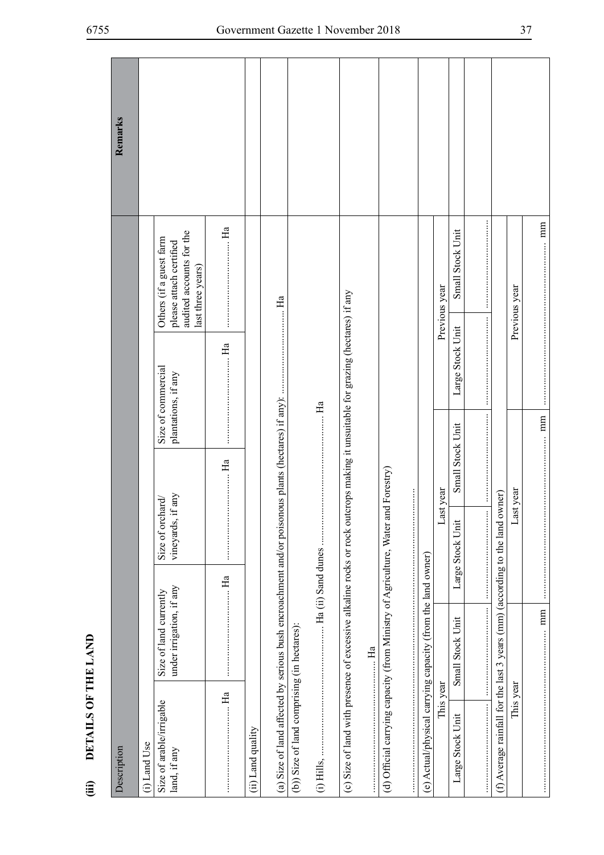|                              | Remarks     |              |                                                                                                     |             |                   |    |                                             |                                                                        |                                                                                   |                                                             |               |                  |                                                                              |               |             |
|------------------------------|-------------|--------------|-----------------------------------------------------------------------------------------------------|-------------|-------------------|----|---------------------------------------------|------------------------------------------------------------------------|-----------------------------------------------------------------------------------|-------------------------------------------------------------|---------------|------------------|------------------------------------------------------------------------------|---------------|-------------|
|                              |             |              | audited accounts for the<br>Others (if a guest farm<br>please attach certified<br>last three years) | $H_1$       |                   | Ha |                                             |                                                                        |                                                                                   |                                                             | Previous year | Small Stock Unit |                                                                              | Previous year |             |
|                              |             |              | Size of commercial<br>plantations, if any                                                           |             |                   |    |                                             | tcrops making it unsuitable for grazing (hectares) if any              |                                                                                   |                                                             |               | Large Stock Unit |                                                                              |               |             |
|                              |             |              |                                                                                                     | $\cdots$ Ha |                   |    |                                             |                                                                        | :<br>:<br>:<br>:<br>:                                                             |                                                             |               | Small Stock Unit |                                                                              |               | $\ldots$ mm |
|                              |             |              | if any<br>Size of orchard/<br>vineyards,                                                            |             |                   |    |                                             |                                                                        |                                                                                   |                                                             | Last year     | Large Stock Unit |                                                                              | Last year     |             |
|                              |             |              | under irrigation, if any<br>Size of land currently                                                  | $H_a$       |                   |    |                                             | $H_a$ .                                                                |                                                                                   |                                                             |               | Small Stock Unit |                                                                              |               | $\vdots$    |
| DETAILS OF THE LAND<br>(iii) | Description | (i) Land Use | Size of arable/irrigable<br>land, if any                                                            |             | (ii) Land quality |    | (b)) Size of land comprising (in hectares): | (c) Size of land with presence of excessive alkaline rocks or rock out | (d) Official carrying capacity (from Ministry of Agriculture, Water and Forestry) | (e) Actual/physical carrying capacity (from the land owner) | This year     | Large Stock Unit | (f) Average rainfall for the last 3 years (mm) (according to the land owner) | This year     |             |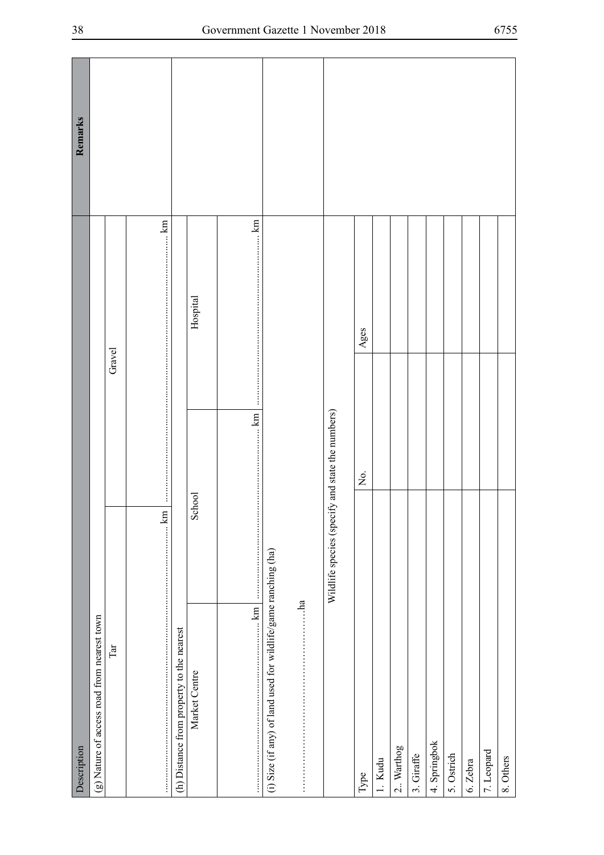| Description                                                    |                                                  |        |          | Remarks |
|----------------------------------------------------------------|--------------------------------------------------|--------|----------|---------|
| (g) Nature of access road from nearest town                    |                                                  |        |          |         |
| $\mathbb{T}\mathbf{a}\mathbf{I}$                               |                                                  | Gravel |          |         |
|                                                                |                                                  |        |          |         |
| (h) Distance from property to the nearest                      |                                                  |        |          |         |
| Market Centre                                                  | School                                           |        | Hospital |         |
| $\mathbf{km}$<br>$\frac{1}{2}$                                 | <b>km</b>                                        |        |          |         |
| (i) Size (if any) of land used for wildlife/game ranching (ha) |                                                  |        |          |         |
|                                                                |                                                  |        |          |         |
|                                                                | Wildlife species (specify and state the numbers) |        |          |         |
| Type                                                           | $\rm \dot{z}$                                    |        | Ages     |         |
| 1. Kudu                                                        |                                                  |        |          |         |
| 2. Warthog                                                     |                                                  |        |          |         |
| 3. Giraffe                                                     |                                                  |        |          |         |
| 4. Springbok                                                   |                                                  |        |          |         |
| 5. Ostrich                                                     |                                                  |        |          |         |
| 6. Zebra                                                       |                                                  |        |          |         |
| 7. Leopard                                                     |                                                  |        |          |         |
| 8. Others                                                      |                                                  |        |          |         |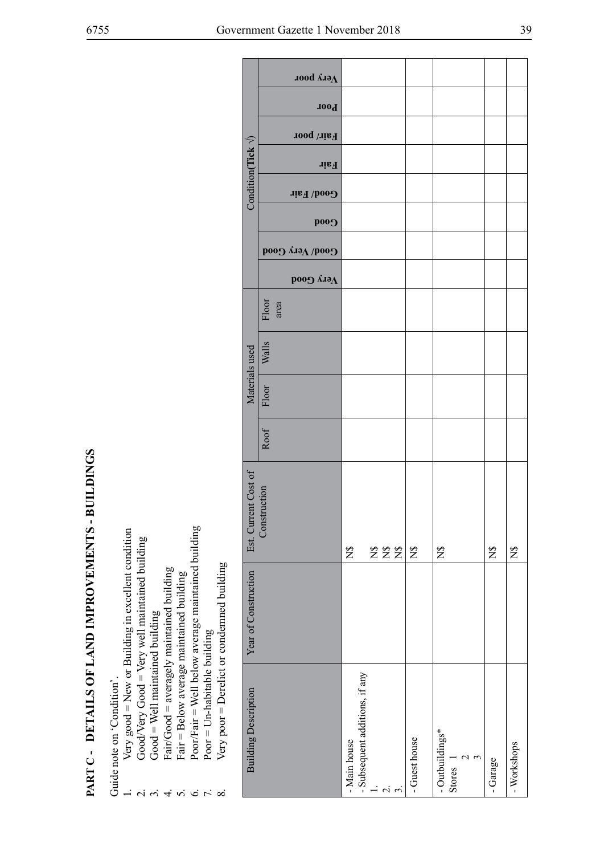- - -
- 
- 
- -
- 

|                                                   |                                                                                                                                                                                                                                                                                                                                                                                |                             | <b>Легу роог</b>       |              |                                |             |               |                 |            |          |             |
|---------------------------------------------------|--------------------------------------------------------------------------------------------------------------------------------------------------------------------------------------------------------------------------------------------------------------------------------------------------------------------------------------------------------------------------------|-----------------------------|------------------------|--------------|--------------------------------|-------------|---------------|-----------------|------------|----------|-------------|
|                                                   |                                                                                                                                                                                                                                                                                                                                                                                |                             | <b>Poor</b>            |              |                                |             |               |                 |            |          |             |
|                                                   |                                                                                                                                                                                                                                                                                                                                                                                |                             | Fair/poor              |              |                                |             |               |                 |            |          |             |
|                                                   |                                                                                                                                                                                                                                                                                                                                                                                | Condition(Tick $\sqrt{ }$ ) | Fair                   |              |                                |             |               |                 |            |          |             |
|                                                   |                                                                                                                                                                                                                                                                                                                                                                                |                             | Good/ Fair             |              |                                |             |               |                 |            |          |             |
|                                                   |                                                                                                                                                                                                                                                                                                                                                                                |                             | <b>Cood</b>            |              |                                |             |               |                 |            |          |             |
|                                                   |                                                                                                                                                                                                                                                                                                                                                                                |                             | <b>Соо</b> ф уегу Сооф |              |                                |             |               |                 |            |          |             |
|                                                   |                                                                                                                                                                                                                                                                                                                                                                                |                             | роод лад               |              |                                |             |               |                 |            |          |             |
|                                                   |                                                                                                                                                                                                                                                                                                                                                                                |                             | Floor                  |              |                                |             |               |                 |            |          |             |
|                                                   |                                                                                                                                                                                                                                                                                                                                                                                |                             | area                   |              |                                |             |               |                 |            |          |             |
|                                                   |                                                                                                                                                                                                                                                                                                                                                                                |                             | Walls                  |              |                                |             |               |                 |            |          |             |
|                                                   |                                                                                                                                                                                                                                                                                                                                                                                | Materials used              |                        |              |                                |             |               |                 |            |          |             |
|                                                   |                                                                                                                                                                                                                                                                                                                                                                                |                             | Floor                  |              |                                |             |               |                 |            |          |             |
|                                                   |                                                                                                                                                                                                                                                                                                                                                                                |                             | Roof                   |              |                                |             |               |                 |            |          |             |
|                                                   |                                                                                                                                                                                                                                                                                                                                                                                |                             |                        |              |                                |             |               |                 |            |          |             |
|                                                   |                                                                                                                                                                                                                                                                                                                                                                                | Est. Current Cost of        |                        |              |                                |             |               |                 |            |          |             |
|                                                   |                                                                                                                                                                                                                                                                                                                                                                                |                             | Construction           |              |                                |             |               |                 |            |          |             |
|                                                   |                                                                                                                                                                                                                                                                                                                                                                                |                             |                        | $\Sigma$     |                                | 222         | $\Sigma$      | $\mathbf{z}$    |            | $\Sigma$ | $\Sigma$    |
|                                                   |                                                                                                                                                                                                                                                                                                                                                                                |                             |                        |              |                                |             |               |                 |            |          |             |
|                                                   |                                                                                                                                                                                                                                                                                                                                                                                |                             |                        |              |                                |             |               |                 |            |          |             |
|                                                   |                                                                                                                                                                                                                                                                                                                                                                                | Year of Construction        |                        |              |                                |             |               |                 |            |          |             |
|                                                   |                                                                                                                                                                                                                                                                                                                                                                                |                             |                        |              |                                |             |               |                 |            |          |             |
| PART C - DETAILS OF LAND IMPROVEMENTS - BUILDINGS | Poor/Fair = Well below average maintained building<br>Very $good = New$ or Building in excellent condition<br>$Good/Very$ $Good = Very$ well maintained building<br>Very poor = Derelict or condemned building<br>Fair/Good = averagely maintained building<br>Fair = Below average maintained building<br>$Good = Well maintained building$<br>$Poor = Un-habitable building$ |                             |                        |              | - Subsequent additions, if any |             |               |                 |            |          |             |
|                                                   | Guide note on 'Condition'.                                                                                                                                                                                                                                                                                                                                                     | <b>Building Description</b> |                        |              |                                |             |               |                 |            |          |             |
|                                                   |                                                                                                                                                                                                                                                                                                                                                                                |                             |                        |              |                                |             |               | - Outbuildings* | $\epsilon$ |          |             |
|                                                   |                                                                                                                                                                                                                                                                                                                                                                                |                             |                        | - Main house |                                |             | - Guest house | Stores          |            | Garage   | - Workshops |
|                                                   | 5655<br>$\alpha$ $\alpha$<br>$\overline{4}$                                                                                                                                                                                                                                                                                                                                    |                             |                        |              |                                | $\alpha$ in |               |                 |            |          |             |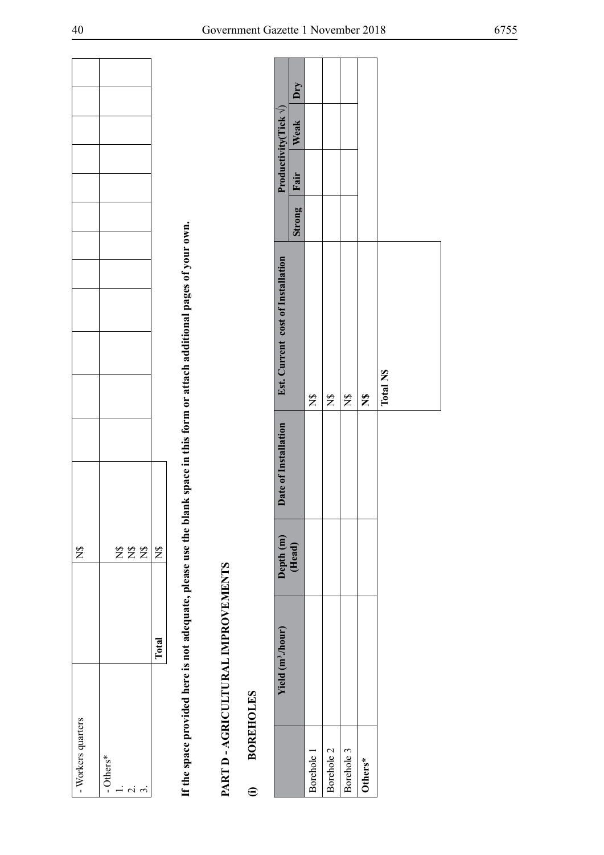| - Workers quarters |       | $\mathbb{Z}$        |  |  |  |  |
|--------------------|-------|---------------------|--|--|--|--|
| - Others*          |       |                     |  |  |  |  |
| $\overline{a}$     |       |                     |  |  |  |  |
| j<br>¢             |       | $Z\ddot{Z}\ddot{Z}$ |  |  |  |  |
| $\dot{\epsilon}$   |       |                     |  |  |  |  |
|                    | Total | $\frac{6}{2}$       |  |  |  |  |

| - Workers quarters                                 |                                    |              | $\frac{8}{1}$        |                      |                                                                                                                             |        |      |                                |     |
|----------------------------------------------------|------------------------------------|--------------|----------------------|----------------------|-----------------------------------------------------------------------------------------------------------------------------|--------|------|--------------------------------|-----|
| $-$ Others*<br>$\overline{a}$<br>$\alpha$ $\alpha$ |                                    |              | 222                  |                      |                                                                                                                             |        |      |                                |     |
|                                                    |                                    | <b>Total</b> | $\mathbb{Z}$         |                      |                                                                                                                             |        |      |                                |     |
|                                                    |                                    |              |                      |                      | If the space provided here is not adequate, please use the blank space in this form or attach additional pages of your own. |        |      |                                |     |
|                                                    |                                    |              |                      |                      |                                                                                                                             |        |      |                                |     |
|                                                    | PART D - AGRICULTURAL IMPROVEMENTS |              |                      |                      |                                                                                                                             |        |      |                                |     |
| $\widehat{\mathbf{c}}$                             | <b>BOREHOLES</b>                   |              |                      |                      |                                                                                                                             |        |      |                                |     |
|                                                    | Yield (m <sup>3</sup> ./hour)      |              | Depth <sub>(m)</sub> | Date of Installation | Est. Current cost of Installation                                                                                           |        |      | Productivity (Tick $\sqrt{}$ ) |     |
|                                                    |                                    |              | (Head)               |                      |                                                                                                                             | Strong | Fair | Weak                           | Dry |
| Borehole 1                                         |                                    |              |                      |                      | $\tilde{z}$                                                                                                                 |        |      |                                |     |
| Borehole 2                                         |                                    |              |                      |                      | $\tilde{z}$                                                                                                                 |        |      |                                |     |
| Borehole 3                                         |                                    |              |                      |                      | $\mathbf{z}$                                                                                                                |        |      |                                |     |
| Others*                                            |                                    |              |                      |                      | $\mathbf{z}$                                                                                                                |        |      |                                |     |
|                                                    |                                    |              |                      |                      | <b>Total NS</b>                                                                                                             |        |      |                                |     |
|                                                    |                                    |              |                      |                      |                                                                                                                             |        |      |                                |     |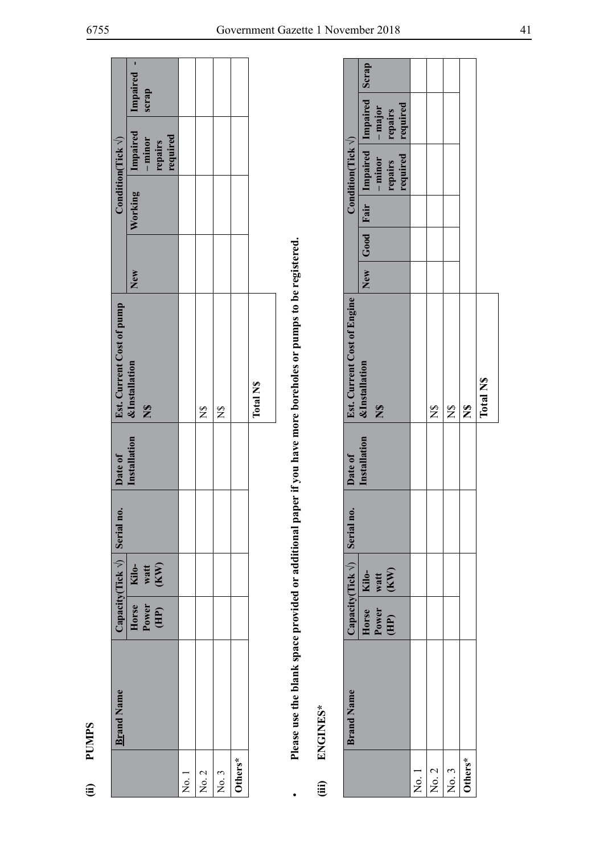| ¢<br>≏ |  |
|--------|--|
|        |  |

|                        | <b>Brand Name</b> |                        |                       | Capacity(Tick $\sqrt{}$ ) Serial no. | Date of      | Est. Current Cost of pump                                                                                      |     |         | Condition(Tick $\sqrt{ }$ )                  |                        |
|------------------------|-------------------|------------------------|-----------------------|--------------------------------------|--------------|----------------------------------------------------------------------------------------------------------------|-----|---------|----------------------------------------------|------------------------|
|                        |                   | Power<br>(HP)<br>Horse | Kilo-<br>watt<br>(KW) |                                      | Installation | <b>&amp;Installation</b><br>$\mathbf{z}$                                                                       | New | Working | Impaired<br>required<br>$-$ minor<br>repairs | ľ<br>Impaired<br>scrap |
| $\overline{\text{Re}}$ |                   |                        |                       |                                      |              |                                                                                                                |     |         |                                              |                        |
| No. 2                  |                   |                        |                       |                                      |              | $\overline{z}$                                                                                                 |     |         |                                              |                        |
| No. 3                  |                   |                        |                       |                                      |              | $\frac{8}{2}$                                                                                                  |     |         |                                              |                        |
| Others*                |                   |                        |                       |                                      |              |                                                                                                                |     |         |                                              |                        |
|                        |                   |                        |                       |                                      |              | <b>Total NS</b>                                                                                                |     |         |                                              |                        |
|                        |                   |                        |                       |                                      |              | Plases use the blank space provided are additional paper if you have more borgholes or number to be registered |     |         |                                              |                        |

- 
- 

| j                   | ENGINES*          |                        |                                       |              | Please use the blank space provided or additional paper if you have more boreholes or pumps to be registered. |  |                            |                                       |  |
|---------------------|-------------------|------------------------|---------------------------------------|--------------|---------------------------------------------------------------------------------------------------------------|--|----------------------------|---------------------------------------|--|
|                     |                   |                        |                                       |              |                                                                                                               |  |                            |                                       |  |
|                     | <b>Brand Name</b> |                        | Capacity(Tick $\sqrt{ }$ ) Serial no. | Date of      | <b>Est. Current Cost of Engine</b>                                                                            |  | Condition(Tick $\sqrt{}$ ) |                                       |  |
|                     |                   | Horse                  | Kilo-                                 | Installation | <b>&amp;Installation</b>                                                                                      |  |                            | New Good Fair Impaired Impaired Scrap |  |
|                     |                   | Power                  | watt<br>(KW)                          |              | $\mathbf{z}$                                                                                                  |  | $-$ minor $-$ major        |                                       |  |
|                     |                   | $\overline{\text{HP}}$ |                                       |              |                                                                                                               |  | repairs                    | repairs                               |  |
|                     |                   |                        |                                       |              |                                                                                                               |  | required                   | required                              |  |
| $\overline{N}$ o. 1 |                   |                        |                                       |              |                                                                                                               |  |                            |                                       |  |
| No. 2               |                   |                        |                                       |              | Ž                                                                                                             |  |                            |                                       |  |
| No. 3               |                   |                        |                                       |              | $\frac{8}{2}$                                                                                                 |  |                            |                                       |  |
| Others*             |                   |                        |                                       |              | $\hat{\mathbf{z}}$                                                                                            |  |                            |                                       |  |
|                     |                   |                        |                                       |              | Total N\$                                                                                                     |  |                            |                                       |  |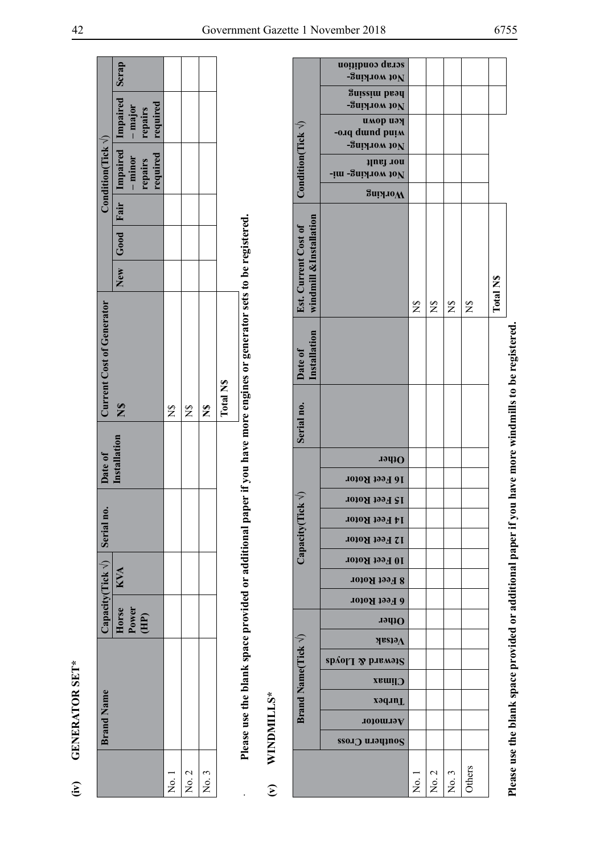| <b>SET</b>                         |
|------------------------------------|
| Ę<br>۲<br>ا<br>ر<br>1<br>ï<br>ৈ    |
| IER<br>$\frac{1}{2}$<br><b>NAC</b> |
|                                    |

# WINDMILLS\*  $\mathfrak{S}$

|                                                                                                                     |                                   |                                                | acrap condition                                    |             |             |                      |                |                  |                                                                |
|---------------------------------------------------------------------------------------------------------------------|-----------------------------------|------------------------------------------------|----------------------------------------------------|-------------|-------------|----------------------|----------------|------------------|----------------------------------------------------------------|
|                                                                                                                     |                                   |                                                | <b>Buix</b> 10N<br>Buissim bray                    |             |             |                      |                |                  |                                                                |
|                                                                                                                     |                                   |                                                | -Зигулом 10N                                       |             |             |                      |                |                  |                                                                |
|                                                                                                                     |                                   |                                                | имор иәң<br>-o.1q duind puim                       |             |             |                      |                |                  |                                                                |
|                                                                                                                     |                                   |                                                | -Зигулом 10N                                       |             |             |                      |                |                  |                                                                |
|                                                                                                                     |                                   | Condition(Tick $\langle \rangle$               | nor fault<br><b><i>Fim-guisting-</i></b>           |             |             |                      |                |                  |                                                                |
|                                                                                                                     |                                   |                                                | SuiyloW                                            |             |             |                      |                |                  |                                                                |
| Please use the blank space provided or additional paper if you have more engines or generator sets to be registered |                                   | windmill &Installation<br>Est. Current Cost of |                                                    | $\tilde{z}$ | $\tilde{z}$ | $\tilde{z}$          | $\mathfrak{B}$ | <b>Total N\$</b> |                                                                |
|                                                                                                                     |                                   | Installation<br>Date of                        |                                                    |             |             |                      |                |                  | have more windmills to be registered.                          |
|                                                                                                                     |                                   | Serial no.                                     |                                                    |             |             |                      |                |                  |                                                                |
|                                                                                                                     |                                   |                                                | Other                                              |             |             |                      |                |                  |                                                                |
|                                                                                                                     |                                   |                                                | 16 Feet Rotor                                      |             |             |                      |                |                  |                                                                |
|                                                                                                                     |                                   | 7                                              | 15 Feet Rotor                                      |             |             |                      |                |                  |                                                                |
|                                                                                                                     |                                   |                                                | 14 Feet Rotor                                      |             |             |                      |                |                  |                                                                |
|                                                                                                                     |                                   | Capacity(Tick                                  | 12 Feet Rotor                                      |             |             |                      |                |                  |                                                                |
|                                                                                                                     |                                   |                                                | 10 Feet Rotor                                      |             |             |                      |                |                  |                                                                |
|                                                                                                                     |                                   |                                                | <b>8 Feet Rotor</b>                                |             |             |                      |                |                  |                                                                |
|                                                                                                                     |                                   |                                                | 6 Feet Rotor                                       |             |             |                      |                |                  |                                                                |
|                                                                                                                     |                                   |                                                | Other                                              |             |             |                      |                |                  |                                                                |
|                                                                                                                     |                                   |                                                | $\lambda$ etsak                                    |             |             |                      |                |                  |                                                                |
|                                                                                                                     |                                   |                                                | $\mathbf{s}$ panal $\mathbf{y}$ banad $\mathbf{s}$ |             |             |                      |                |                  |                                                                |
|                                                                                                                     |                                   |                                                | <b>Climax</b>                                      |             |             |                      |                |                  |                                                                |
|                                                                                                                     |                                   | Brand Name(Tick V)                             | radurl                                             |             |             |                      |                |                  |                                                                |
|                                                                                                                     | WINDMILLS*                        |                                                | Aermotor                                           |             |             |                      |                |                  |                                                                |
|                                                                                                                     |                                   |                                                | Southern Cross                                     |             |             |                      |                |                  |                                                                |
|                                                                                                                     | $\widehat{\boldsymbol{\epsilon}}$ |                                                |                                                    | ,<br>Ž      | No. 2       | $\mathfrak{c}$<br>Σó | Others         |                  | Please use the blank space provided or additional paper if you |
|                                                                                                                     |                                   |                                                |                                                    |             |             |                      |                |                  |                                                                |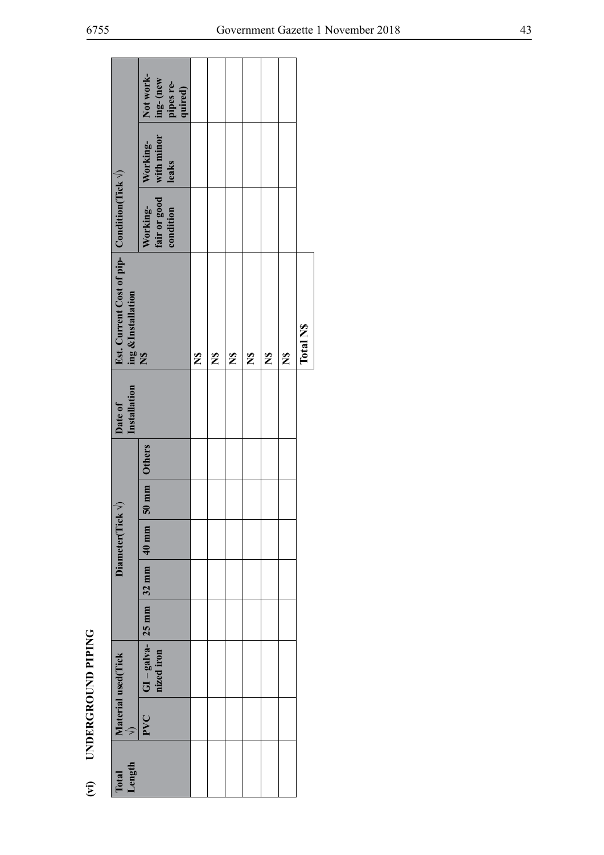|                         |                                                                                   | Not work-<br>ing-(new<br>pipes re-<br>quired)    |                      |              |              |                      |                      |                      |           |
|-------------------------|-----------------------------------------------------------------------------------|--------------------------------------------------|----------------------|--------------|--------------|----------------------|----------------------|----------------------|-----------|
|                         |                                                                                   | Working-<br>leaks                                |                      |              |              |                      |                      |                      |           |
|                         |                                                                                   | fair or good with minor<br>condition<br>Working- |                      |              |              |                      |                      |                      |           |
|                         | Est. Current Cost of pip- Condition(Tick $\sqrt{ }$ )<br>ing &Installation<br>N\$ |                                                  | $\tilde{\mathbf{z}}$ | $\mathbf{z}$ | $\mathbf{z}$ | $\tilde{\mathbf{z}}$ | $\tilde{\mathbf{z}}$ | $\tilde{\mathbf{z}}$ | Total N\$ |
|                         | Installation<br>Date of                                                           |                                                  |                      |              |              |                      |                      |                      |           |
|                         |                                                                                   |                                                  |                      |              |              |                      |                      |                      |           |
|                         |                                                                                   | 50 mm Others                                     |                      |              |              |                      |                      |                      |           |
|                         | Diameter(Tick $\sqrt{}$ )                                                         |                                                  |                      |              |              |                      |                      |                      |           |
|                         |                                                                                   |                                                  |                      |              |              |                      |                      |                      |           |
|                         |                                                                                   |                                                  |                      |              |              |                      |                      |                      |           |
| (vi) UNDERGROUND PIPING | Material used(Tick                                                                | $ GI - galva - 25$ mm 32 mm 40 mm<br>nized iron  |                      |              |              |                      |                      |                      |           |
|                         | $\varsigma$                                                                       | PVC                                              |                      |              |              |                      |                      |                      |           |
|                         | Length<br>Total                                                                   |                                                  |                      |              |              |                      |                      |                      |           |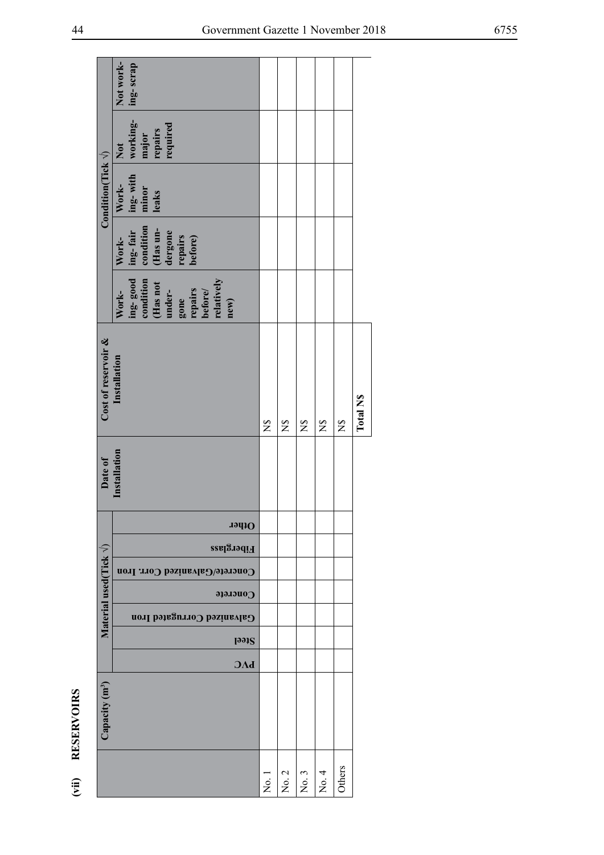|                  |                                  | Not work-<br>ing-scrap                                                                                                                                                                     |               |              |                                 |              |                |                 |
|------------------|----------------------------------|--------------------------------------------------------------------------------------------------------------------------------------------------------------------------------------------|---------------|--------------|---------------------------------|--------------|----------------|-----------------|
|                  |                                  | working-<br>required<br>major<br>repairs<br>Not                                                                                                                                            |               |              |                                 |              |                |                 |
|                  | Condition(Tick $\sqrt{ }$ )      | ing-with<br>minor<br>leaks<br>Work-                                                                                                                                                        |               |              |                                 |              |                |                 |
|                  |                                  | $\begin{array}{l} \mathbf{in}^{\mathbf{r}}_{\mathbf{g}} \text{ fair}\\ \text{condition}\\ \text{ (Has un-} \\ \text{dergone}\\ \text{ for pairs}\\ \text{ before)}\\ \end{array}$<br>Work- |               |              |                                 |              |                |                 |
|                  |                                  | ing-good<br>condition<br>(Has not<br>relatively<br>gone<br>repairs<br>before/<br>under-<br>Work-<br>new)                                                                                   |               |              |                                 |              |                |                 |
|                  | Cost of reservoir &              | Installation                                                                                                                                                                               | $\tilde{z}$   | $\mathbb{Z}$ | $\mathbf{S}$                    | $\mathbb{Z}$ | $\overline{z}$ | <b>Total NS</b> |
|                  | Date of                          | Installation                                                                                                                                                                               |               |              |                                 |              |                |                 |
|                  |                                  | Other                                                                                                                                                                                      |               |              |                                 |              |                |                 |
|                  |                                  | Fiberglass                                                                                                                                                                                 |               |              |                                 |              |                |                 |
|                  |                                  | Concrete/Galvanized Corr. Iron                                                                                                                                                             |               |              |                                 |              |                |                 |
|                  | Material used (Tick $\sqrt{ }$ ) | Concrete<br>Galvanized Corrugated Iron                                                                                                                                                     |               |              |                                 |              |                |                 |
|                  |                                  | <b>Steel</b>                                                                                                                                                                               |               |              |                                 |              |                |                 |
|                  |                                  | $\mathbf{b}\Lambda\mathbf{C}$                                                                                                                                                              |               |              |                                 |              |                |                 |
| (vii) RESERVOIRS | Capacity (m <sup>3</sup> )       |                                                                                                                                                                                            |               |              |                                 |              |                |                 |
|                  |                                  |                                                                                                                                                                                            | $\rm \dot{z}$ | No. 2        | $\mathfrak{c}$<br>$\rm \dot{z}$ | 4<br>Σó,     | Others         |                 |

(vii) RESERVOIRS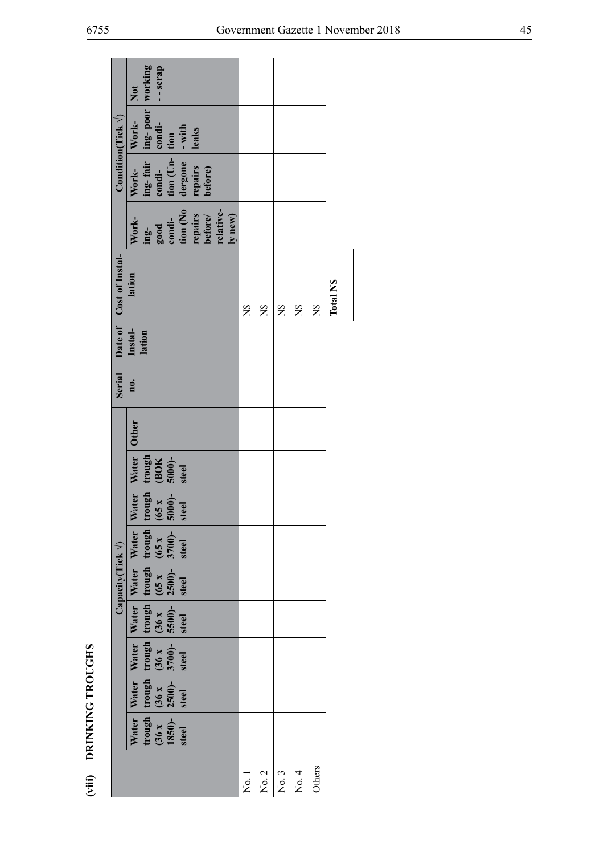|                         |                             | working<br>- scrap<br>Not                                                                                                                                                                                   |                |               |                  |              |                |                 |
|-------------------------|-----------------------------|-------------------------------------------------------------------------------------------------------------------------------------------------------------------------------------------------------------|----------------|---------------|------------------|--------------|----------------|-----------------|
|                         | Condition(Tick $\sqrt{ }$ ) | $\begin{tabular}{ l l } \hline ing-fair & ing-poor & w \\ \hline condi- & condi- & form \\ \hline fion (Un- & fion \\ degree & - with \\ repairs & leaks \\ \hline before) & \hline \end{tabular}$<br>Work- |                |               |                  |              |                |                 |
|                         |                             | Work-                                                                                                                                                                                                       |                |               |                  |              |                |                 |
|                         |                             | tion (No<br>repairs<br>before/<br>relative-<br>ing-<br>good<br>condi-<br>ly new)<br>Work-                                                                                                                   |                |               |                  |              |                |                 |
|                         | Cost of Instal-             | lation                                                                                                                                                                                                      | $\mathbb{Z}^2$ | $\frac{8}{5}$ | $\sum_{i=1}^{n}$ | $\mathbf{S}$ | $\mathbb{Z}^2$ | <b>Total NS</b> |
|                         | Date of                     | Instal-<br>lation                                                                                                                                                                                           |                |               |                  |              |                |                 |
|                         | Serial                      | no.                                                                                                                                                                                                         |                |               |                  |              |                |                 |
|                         |                             | <b>Other</b>                                                                                                                                                                                                |                |               |                  |              |                |                 |
|                         |                             | Water<br>trough<br>$(BOK5000)-steel$                                                                                                                                                                        |                |               |                  |              |                |                 |
|                         |                             | $\begin{array}{c}\n\text{trough} \\ (65 \text{ x } \\ 5000)- \\ \text{steel}\n\end{array}$<br>Water                                                                                                         |                |               |                  |              |                |                 |
|                         |                             |                                                                                                                                                                                                             |                |               |                  |              |                |                 |
|                         | Capacity(Tick $\sqrt{}$ )   |                                                                                                                                                                                                             |                |               |                  |              |                |                 |
|                         |                             |                                                                                                                                                                                                             |                |               |                  |              |                |                 |
|                         |                             |                                                                                                                                                                                                             |                |               |                  |              |                |                 |
|                         |                             | Water Water Water Water Water Water<br>trough trough trough trough trough (36 x (36 x (36 x (36 x (65 x (65 x 1850)- 3700)- 5500)- 2500)- 3700)-<br>steel steel steel steel steel steel steel steel         |                |               |                  |              |                |                 |
|                         |                             |                                                                                                                                                                                                             |                |               |                  |              |                |                 |
| (viii) DRINKING TROUGHS |                             |                                                                                                                                                                                                             | No.1           | No. 2         | No. 3            | No. 4        | Others         |                 |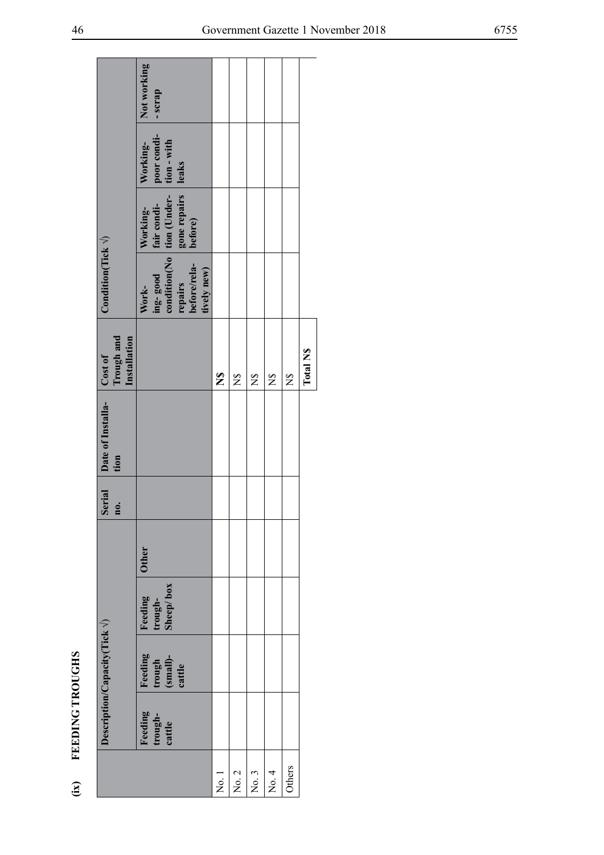| Ċ,     |
|--------|
|        |
|        |
| TROU   |
|        |
| ù<br>K |
|        |
| FEED   |
|        |
|        |

|                   |                                               | Not working<br>- scrap                                                                                                       |                     |                |                |                            |               |                      |
|-------------------|-----------------------------------------------|------------------------------------------------------------------------------------------------------------------------------|---------------------|----------------|----------------|----------------------------|---------------|----------------------|
|                   |                                               | poor condi-<br>tion - with<br>Working-<br>leaks                                                                              |                     |                |                |                            |               |                      |
|                   |                                               | ing-good fair condi-<br>condition(No tion (Under-<br>repairs gone repairs<br>before/rela- before)<br>fair condi-<br>Working- |                     |                |                |                            |               |                      |
|                   | Condition(Tick $\sqrt{}$ )                    | tively new)<br>Work-                                                                                                         |                     |                |                |                            |               |                      |
|                   | Trough and<br>Installation<br>Cost of         |                                                                                                                              | $\frac{6}{5}$       | $\mathbb{Z}^2$ | $\overline{z}$ | $\mathbb{S}^{\mathcal{S}}$ | $\frac{8}{2}$ | Total N <sub>S</sub> |
|                   | Serial Date of Installa-<br>tion              |                                                                                                                              |                     |                |                |                            |               |                      |
|                   | no.                                           |                                                                                                                              |                     |                |                |                            |               |                      |
|                   |                                               | <b>Other</b>                                                                                                                 |                     |                |                |                            |               |                      |
|                   |                                               | Sheep/box<br>Feeding<br>trough-                                                                                              |                     |                |                |                            |               |                      |
|                   | Description/Capacity(Tick $\langle \rangle$ ) | Feeding<br>$\begin{array}{c} \mathbf{trough} \\ (\mathbf{small})\text{-}\qquad \\ \mathbf{cattle} \end{array}$               |                     |                |                |                            |               |                      |
| FEEDING TROUGHS   |                                               | Feeding<br>trough-<br>cattle                                                                                                 |                     |                |                |                            |               |                      |
| $\widetilde{\Xi}$ |                                               |                                                                                                                              | $\overline{N}$ o. 1 | No. 2          | No. 3          | No. 4                      | Others        |                      |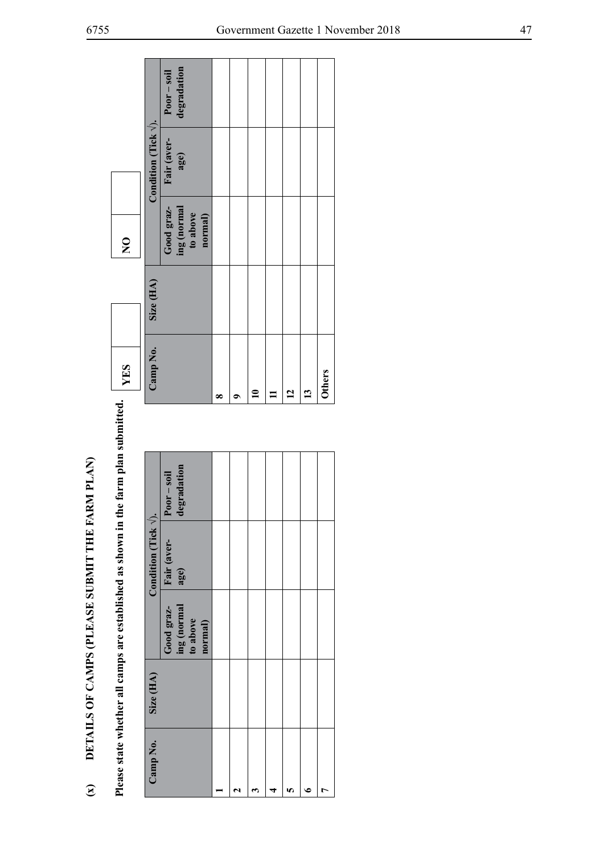| $\widehat{\mathbf{z}}$ |           |                                                  | DETAILS OF CAMPS (PLEASE SUBMIT THE I                      | FARM PLAN                    |                |               |           |                                                  |                               |                              |
|------------------------|-----------|--------------------------------------------------|------------------------------------------------------------|------------------------------|----------------|---------------|-----------|--------------------------------------------------|-------------------------------|------------------------------|
|                        |           |                                                  | Please state whether all camps are established as shown in | the farm plan submitted.     |                | <b>THES</b>   |           | $\mathsf{S}$                                     |                               |                              |
| Camp No.               | Size (HA) |                                                  | Condition (Tick $\sqrt{ }$ ).                              |                              |                | Camp No.      | Size (HA) |                                                  | Condition (Tick $\sqrt{ }$ ). |                              |
|                        |           | ing (normal<br>Good graz-<br>to above<br>normal) | Fair (aver-<br>age)                                        | degradation<br>$Poor - soil$ |                |               |           | Good graz-<br>ing (normal<br>to above<br>normal) | Fair (aver-<br>age)           | degradation<br>$Poor - soil$ |
|                        |           |                                                  |                                                            |                              | œ              |               |           |                                                  |                               |                              |
|                        |           |                                                  |                                                            |                              | 0              |               |           |                                                  |                               |                              |
| ణ                      |           |                                                  |                                                            |                              | $\mathbf{r}$   |               |           |                                                  |                               |                              |
|                        |           |                                                  |                                                            |                              | $\mathbf{I}$   |               |           |                                                  |                               |                              |
| n                      |           |                                                  |                                                            |                              | $\overline{1}$ |               |           |                                                  |                               |                              |
|                        |           |                                                  |                                                            |                              | 13             |               |           |                                                  |                               |                              |
|                        |           |                                                  |                                                            |                              |                | <b>Others</b> |           |                                                  |                               |                              |
|                        |           |                                                  |                                                            |                              |                |               |           |                                                  |                               |                              |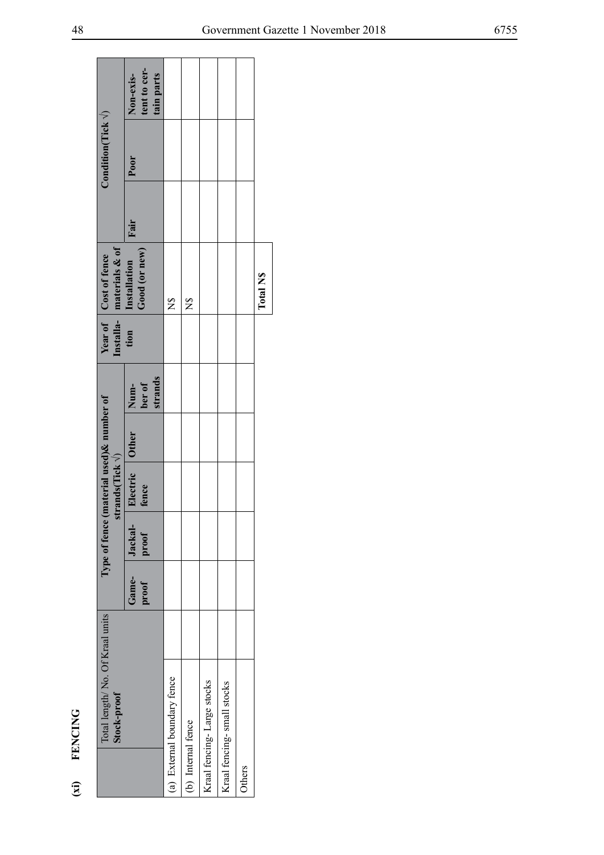| ۰. |
|----|
|    |

| $\overline{a}$     | <b>FENCING</b>                                 |                |                                           |                          |                           |                                                                        |      |                             |                                         |  |
|--------------------|------------------------------------------------|----------------|-------------------------------------------|--------------------------|---------------------------|------------------------------------------------------------------------|------|-----------------------------|-----------------------------------------|--|
|                    | Total length/No. Of Kraal units<br>Stock-proof |                | Type of fence (material used) & number of | strands(Tick $\sqrt{}$ ) |                           | Installa- materials & of<br>tion Installation<br>Year of Cost of fence |      | Condition(Tick $\sqrt{ }$ ) |                                         |  |
|                    |                                                | Game-<br>proof | Jackal-<br>proof                          | Electric Other<br>fence  | Num-<br>ber of<br>strands | Good (or new)                                                          | Fair | Poor                        | tent to cer-<br>tain parts<br>Non-exis- |  |
|                    | (a) External boundary fence                    |                |                                           |                          |                           | $\overline{z}$                                                         |      |                             |                                         |  |
| (b) Internal fence |                                                |                |                                           |                          |                           | $\frac{8}{2}$                                                          |      |                             |                                         |  |
|                    | Kraal fencing-Large stocks                     |                |                                           |                          |                           |                                                                        |      |                             |                                         |  |
|                    | Kraal fencing-small stocks                     |                |                                           |                          |                           |                                                                        |      |                             |                                         |  |
| Others             |                                                |                |                                           |                          |                           |                                                                        |      |                             |                                         |  |
|                    |                                                |                |                                           |                          |                           | Total N <sub>S</sub>                                                   |      |                             |                                         |  |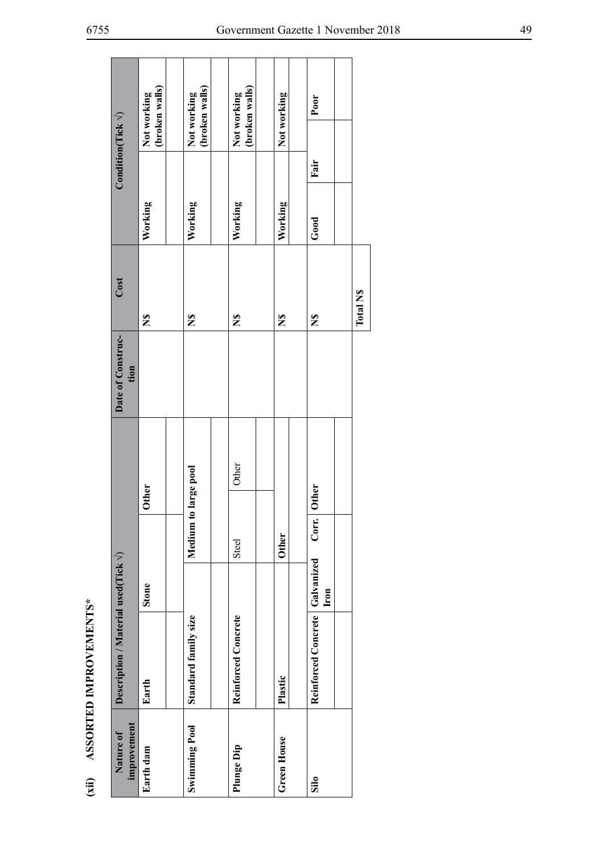| י<br>ו<br>$\frac{1}{2}$                                                                                                          |
|----------------------------------------------------------------------------------------------------------------------------------|
| i<br>:<br>Ľ                                                                                                                      |
| ֧֧֧֦֧֧֧֧֧֧֧֧֧֧֧֧֛֧֛֧֧֧֧֧֧֧֧֧֧֧֛֚֚֚֚֝֝֝֓֝֬֝֓֝֬֝֓֝֬֝֬֝֓֝֬֝֬֝֬֝֬֝֓֝֬֜֝֬֜֝֬֝֬֜֝֬֜֝֬֝֬֝֬֝֬֝֬<br>֧֛֛֛֛֛֛֛֪֛֜֜֜֜֜֜֜֜֝֝֬֝<br>:<br>ו<br>ו |
| $\sqrt{2}$<br>$\mathbf{r}$<br>٦                                                                                                  |
|                                                                                                                                  |

| improvement<br>Nature of | Description / Material used (Tick $\sqrt{}$ ) |              |                |       | Date of Construc-<br>tion | Cost         |               | Condition(Tick $\sqrt{ }$ ) |                               |  |
|--------------------------|-----------------------------------------------|--------------|----------------|-------|---------------------------|--------------|---------------|-----------------------------|-------------------------------|--|
| Earth dam                | Earth                                         | <b>Stone</b> | <b>Other</b>   |       |                           | $\mathbf{z}$ | Working       |                             | (broken walls)<br>Not working |  |
| <b>Swimming Pool</b>     | Standard family size                          | Medium to    | large pool     |       |                           | $\mathbf{z}$ | Working       |                             | (broken walls)<br>Not working |  |
| Plunge Dip               | Reinforced Concrete                           | Steel        |                | Other |                           | $\mathbf{z}$ | Working       |                             | (broken walls)<br>Not working |  |
| <b>Green House</b>       | Plastic                                       | <b>Other</b> |                |       |                           | $\mathbf{z}$ | Working       |                             | Not working                   |  |
| $\sin$                   | Reinforced Concrete   Galvanized              | Iron         | Other<br>Corr. |       |                           | $\mathbf{z}$ | $_{\rm Good}$ | Fair                        | Poor                          |  |
|                          |                                               |              |                |       |                           | Total NS     |               |                             |                               |  |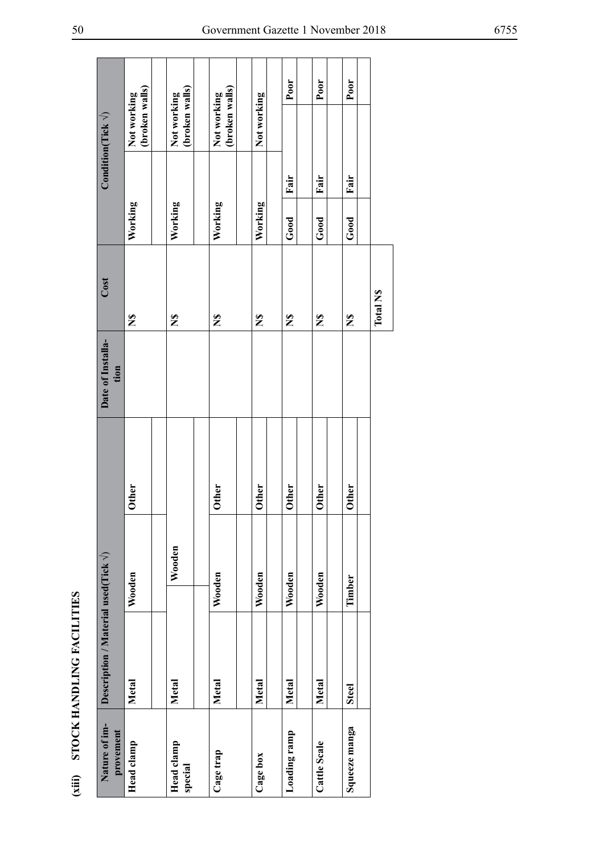| י<br>י<br><b>ELEMENT TAT CAR AND THE</b> |
|------------------------------------------|
|                                          |
|                                          |
|                                          |
| <b>AND DOCT</b>                          |
|                                          |
| )<br>1                                   |
| í                                        |

| (xiii) STOCK HANDLING FACILITIES | Description / Material used (Tick $\sqrt{ }$ )<br>Nature of im-<br>provement | <b>Other</b><br>Wooden<br>Metal<br>Head clamp | Wooden<br>Metal<br>Head clamp<br>special | <b>Other</b><br>Wooden<br>Metal<br>Cage trap | <b>Other</b><br>Wooden<br>Metal<br>Cage box | <b>Other</b><br>Wooden<br>Metal<br>Loading ramp | <b>Other</b><br>Wooden<br>Metal<br>Cattle Scale | <b>Other</b><br>Timber<br><b>Steel</b><br>Squeeze manga |          |
|----------------------------------|------------------------------------------------------------------------------|-----------------------------------------------|------------------------------------------|----------------------------------------------|---------------------------------------------|-------------------------------------------------|-------------------------------------------------|---------------------------------------------------------|----------|
|                                  | Date of Installa-<br>tion                                                    |                                               |                                          |                                              |                                             |                                                 |                                                 |                                                         |          |
|                                  | Cost                                                                         | $\tilde{\mathbf{z}}$                          | $\tilde{\mathbf{z}}$                     | $\mathbf{z}$                                 | $\tilde{\mathbf{z}}$                        | $\tilde{\mathbf{z}}$                            | $\tilde{\mathbf{z}}$                            | $\mathbf{z}$                                            | Total NS |
|                                  |                                                                              | Working                                       | Working                                  | Working                                      | Working                                     | Fair<br>Good                                    | Fair<br>Good                                    | Fair<br>Good                                            |          |
|                                  | $\text{Condition}( \text{Tick } \sqrt{})$                                    | (broken walls)<br>Not working                 | (broken walls)<br>Not working            | (broken walls)<br>Not working                | Not working                                 | Poor                                            | Poor                                            | Poor                                                    |          |
|                                  |                                                                              |                                               |                                          |                                              |                                             |                                                 |                                                 |                                                         |          |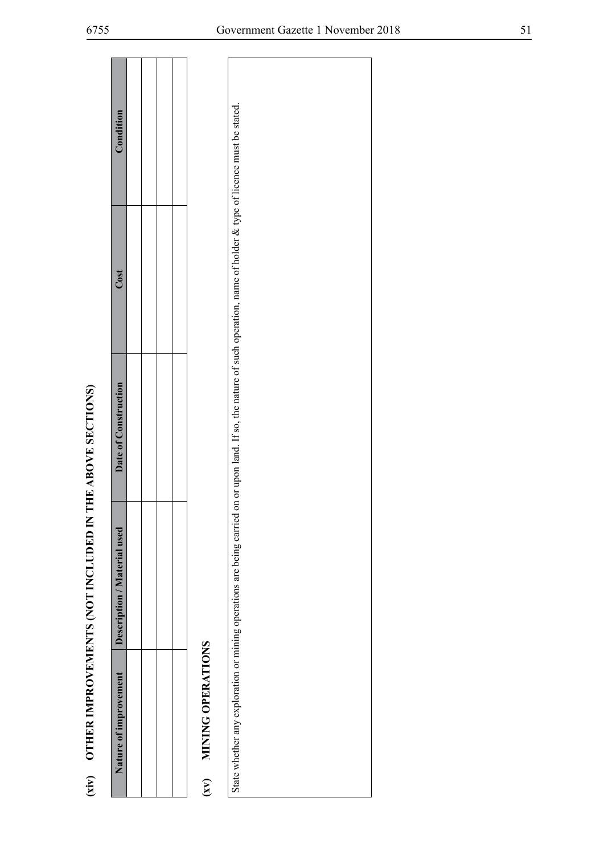|                        | (xiv) OTHER IMPROVEMENTS (NOT INCLUDED IN                                                                                                                                   | THE ABOVE SECTIONS)  |      |           |
|------------------------|-----------------------------------------------------------------------------------------------------------------------------------------------------------------------------|----------------------|------|-----------|
| Nature of improvement  | Description / Material used                                                                                                                                                 | Date of Construction | Cost | Condition |
|                        |                                                                                                                                                                             |                      |      |           |
|                        |                                                                                                                                                                             |                      |      |           |
|                        |                                                                                                                                                                             |                      |      |           |
|                        |                                                                                                                                                                             |                      |      |           |
| (xv) MINING OPERATIONS |                                                                                                                                                                             |                      |      |           |
|                        | State whether any exploration or mining operations are being carried on or upon land. If so, the nature of such operation, name of holder & type of licence must be stated. |                      |      |           |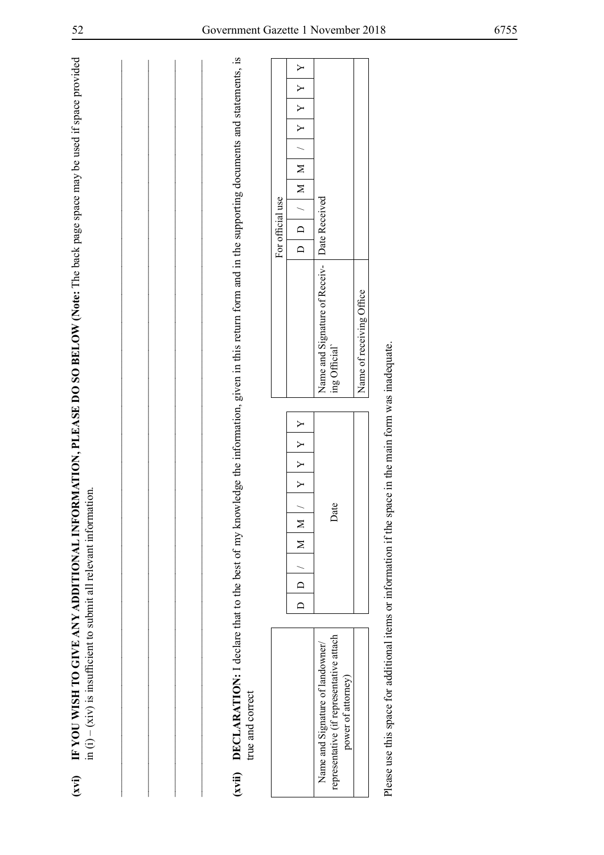| true and correct                                                                                   | (xvii) DECLARATION: I declare that to the best of my knowledge the information, given in this return form and in the supporting documents and statements, is |                                               |                                                    |               |                  |        |        |              |   |
|----------------------------------------------------------------------------------------------------|--------------------------------------------------------------------------------------------------------------------------------------------------------------|-----------------------------------------------|----------------------------------------------------|---------------|------------------|--------|--------|--------------|---|
|                                                                                                    |                                                                                                                                                              |                                               | For official use                                   |               |                  |        |        |              |   |
|                                                                                                    | $\mathsf{Y}$<br>Y<br>$\geq$<br>$\rightarrow$<br>$\geq$<br>$\geq$<br>$\Box$<br>$\Box$                                                                         |                                               | $\overline{\mathsf{D}}$<br>$\overline{\mathsf{d}}$ | $\frac{1}{2}$ | $\overline{\Xi}$ | $\geq$ | $\geq$ | $\mathsf{Y}$ | Y |
| representative (if representative attach<br>Name and Signature of landowner/<br>power of attorney) | Date                                                                                                                                                         | Name and Signature of Receiv-<br>ing Official | Date Received                                      |               |                  |        |        |              |   |
|                                                                                                    |                                                                                                                                                              | Name of receiving Office                      |                                                    |               |                  |        |        |              |   |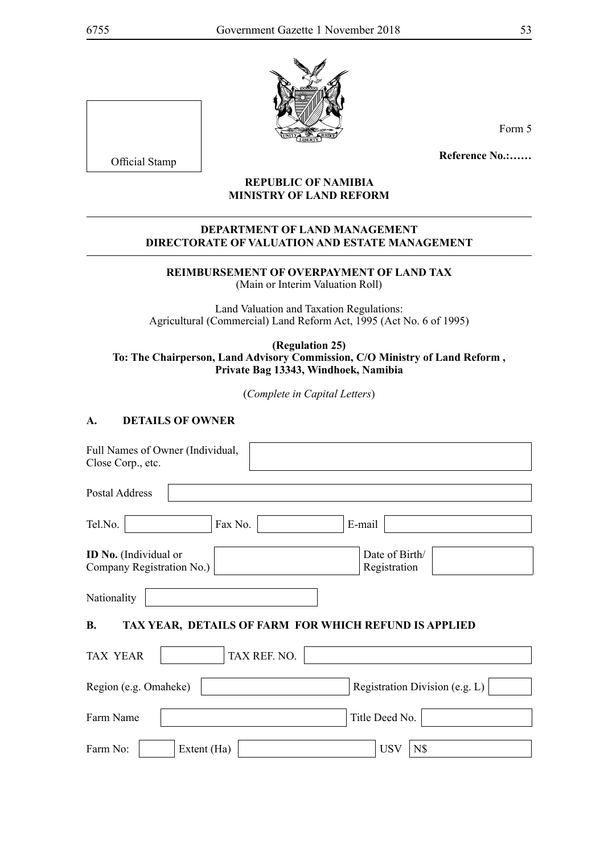

Form 5

**Reference No.:……**

#### **REPUBLIC OF NAMIBIA MINISTRY OF LAND REFORM**

#### **DEPARTMENT OF LAND MANAGEMENT DIRECTORATE OF VALUATION AND ESTATE MANAGEMENT**

#### **Reimbursement of Overpayment of Land Tax** (Main or Interim Valuation Roll)

Land Valuation and Taxation Regulations: Agricultural (Commercial) Land Reform Act, 1995 (Act No. 6 of 1995)

#### **(Regulation 25) To: The Chairperson, Land Advisory Commission, C/O Ministry of Land Reform , Private Bag 13343, Windhoek, Namibia**

(*Complete in Capital Letters*)

#### **A. DETAILS OF OWNER**

| Full Names of Owner (Individual,<br>Close Corp., etc.              |                                |
|--------------------------------------------------------------------|--------------------------------|
| Postal Address                                                     |                                |
| Tel.No.<br>Fax No.                                                 | E-mail                         |
| <b>ID No.</b> (Individual or<br>Company Registration No.)          | Date of Birth/<br>Registration |
| Nationality                                                        |                                |
| <b>B.</b><br>TAX YEAR, DETAILS OF FARM FOR WHICH REFUND IS APPLIED |                                |
| TAX REF. NO.<br><b>TAX YEAR</b>                                    |                                |
| Region (e.g. Omaheke)                                              | Registration Division (e.g. L) |
| Farm Name                                                          | Title Deed No.                 |
| Farm No:<br>Extent (Ha)                                            | <b>USV</b><br>N\$              |

Official Stamp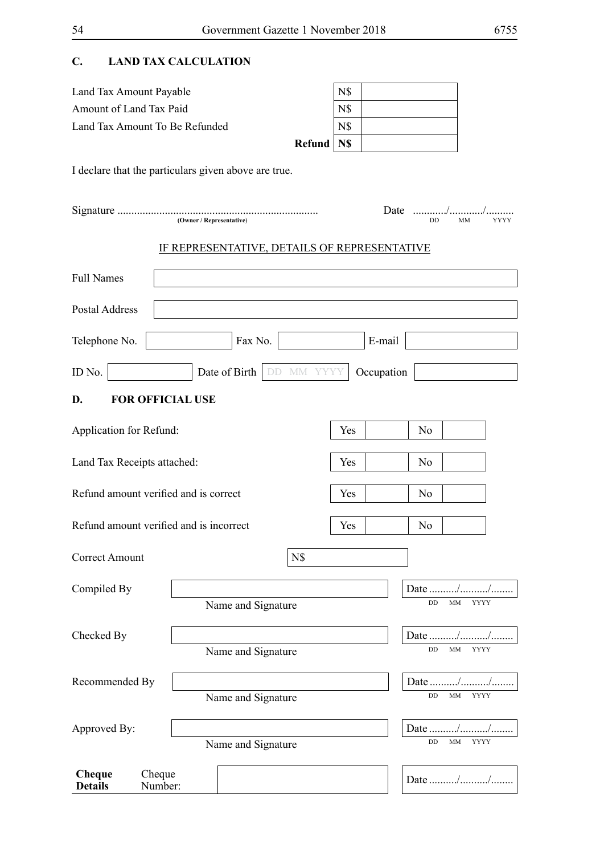## **C. LAND Tax Calculation**

| Land Tax Amount Payable        |              | N\$ |  |
|--------------------------------|--------------|-----|--|
| Amount of Land Tax Paid        |              | N\$ |  |
| Land Tax Amount To Be Refunded |              | N\$ |  |
|                                | Refund   N\$ |     |  |

I declare that the particulars given above are true.

|                             | (Owner / Representative)                     |                                  | Date       | DD<br>MM                              | YYYY |
|-----------------------------|----------------------------------------------|----------------------------------|------------|---------------------------------------|------|
|                             | IF REPRESENTATIVE, DETAILS OF REPRESENTATIVE |                                  |            |                                       |      |
| <b>Full Names</b>           |                                              |                                  |            |                                       |      |
| <b>Postal Address</b>       |                                              |                                  |            |                                       |      |
| Telephone No.               | Fax No.                                      |                                  | E-mail     |                                       |      |
| ID No.                      | Date of Birth                                | MM YYY<br>$\mathbb{D}\mathbb{D}$ | Occupation |                                       |      |
| D.                          | <b>FOR OFFICIAL USE</b>                      |                                  |            |                                       |      |
| Application for Refund:     |                                              |                                  | Yes        | No                                    |      |
| Land Tax Receipts attached: |                                              |                                  | Yes        | No                                    |      |
|                             | Refund amount verified and is correct        |                                  | Yes        | No                                    |      |
|                             | Refund amount verified and is incorrect      |                                  | Yes        | No                                    |      |
| Correct Amount              |                                              | N\$                              |            |                                       |      |
| Compiled By                 | Name and Signature                           |                                  |            | Date<br>DD<br>MM<br><b>YYYY</b>       |      |
| Checked By                  | Name and Signature                           |                                  |            | Date //<br>МM<br><b>YYYY</b><br>DD    |      |
| Recommended By              | Name and Signature                           |                                  |            | Date //<br>MM<br><b>YYYY</b><br>DD    |      |
| Approved By:                | Name and Signature                           |                                  |            | Date<br>$\rm DD$<br>MM<br><b>YYYY</b> |      |
| Cheque<br><b>Details</b>    | Cheque<br>Number:                            |                                  |            | Date //                               |      |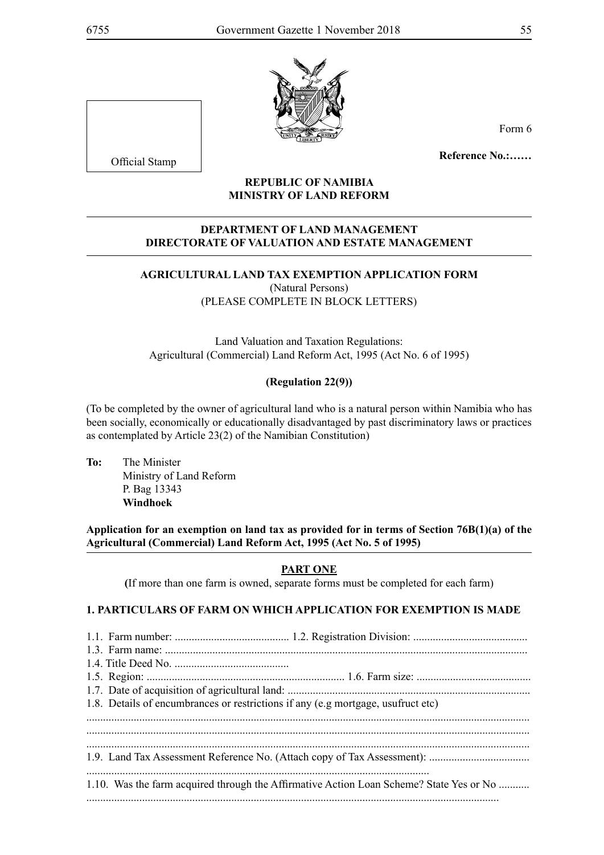

Form 6

**Reference No.:……**

#### **REPUBLIC OF NAMIBIA MINISTRY OF LAND REFORM**

#### **DEPARTMENT OF LAND MANAGEMENT DIRECTORATE OF VALUATION AND ESTATE MANAGEMENT**

#### **AGRICULTURAL LAND TAX EXEMPTION APPLICATION FORM** (Natural Persons) (PLEASE COMPLETE IN BLOCK LETTERS)

Land Valuation and Taxation Regulations: Agricultural (Commercial) Land Reform Act, 1995 (Act No. 6 of 1995)

#### **(Regulation 22(9))**

(To be completed by the owner of agricultural land who is a natural person within Namibia who has been socially, economically or educationally disadvantaged by past discriminatory laws or practices as contemplated by Article 23(2) of the Namibian Constitution)

**To:** The Minister Ministry of Land Reform P. Bag 13343 **Windhoek** 

**Application for an exemption on land tax as provided for in terms of Section 76B(1)(a) of the Agricultural (Commercial) Land Reform Act, 1995 (Act No. 5 of 1995)**

#### **PART ONE**

**(**If more than one farm is owned, separate forms must be completed for each farm)

#### **1. PARTICULARS OF FARM ON WHICH APPLICATION FOR EXEMPTION IS MADE**

| 1.8. Details of encumbrances or restrictions if any (e.g mortgage, usufruct etc)        |
|-----------------------------------------------------------------------------------------|
|                                                                                         |
|                                                                                         |
|                                                                                         |
| 1.10. Was the farm acquired through the Affirmative Action Loan Scheme? State Yes or No |
|                                                                                         |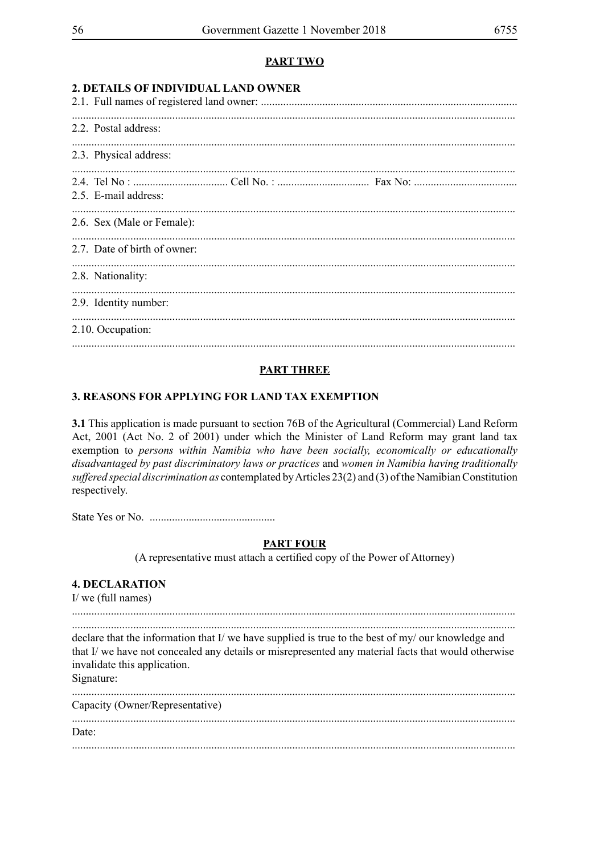#### **PART TWO**

| 2. DETAILS OF INDIVIDUAL LAND OWNER |  |  |
|-------------------------------------|--|--|
| 2.2. Postal address:                |  |  |
| 2.3. Physical address:              |  |  |
| 2.5. E-mail address:                |  |  |
| 2.6. Sex (Male or Female):          |  |  |
| 2.7. Date of birth of owner:        |  |  |
| 2.8. Nationality:                   |  |  |
| 2.9. Identity number:               |  |  |
| 2.10. Occupation:                   |  |  |
|                                     |  |  |

#### **PART THREE**

#### 3. REASONS FOR APPLYING FOR LAND TAX EXEMPTION

3.1 This application is made pursuant to section 76B of the Agricultural (Commercial) Land Reform Act, 2001 (Act No. 2 of 2001) under which the Minister of Land Reform may grant land tax exemption to persons within Namibia who have been socially, economically or educationally disadvantaged by past discriminatory laws or practices and women in Namibia having traditionally suffered special discrimination as contemplated by Articles 23(2) and (3) of the Namibian Constitution respectively.

#### **PART FOUR**

(A representative must attach a certified copy of the Power of Attorney)

#### **4. DECLARATION**

 $I$  we (full names)

declare that the information that I/ we have supplied is true to the best of my/ our knowledge and that I/ we have not concealed any details or misrepresented any material facts that would otherwise invalidate this application. Signature:

| Capacity (Owner/Representative) |  |
|---------------------------------|--|
| Date:                           |  |
|                                 |  |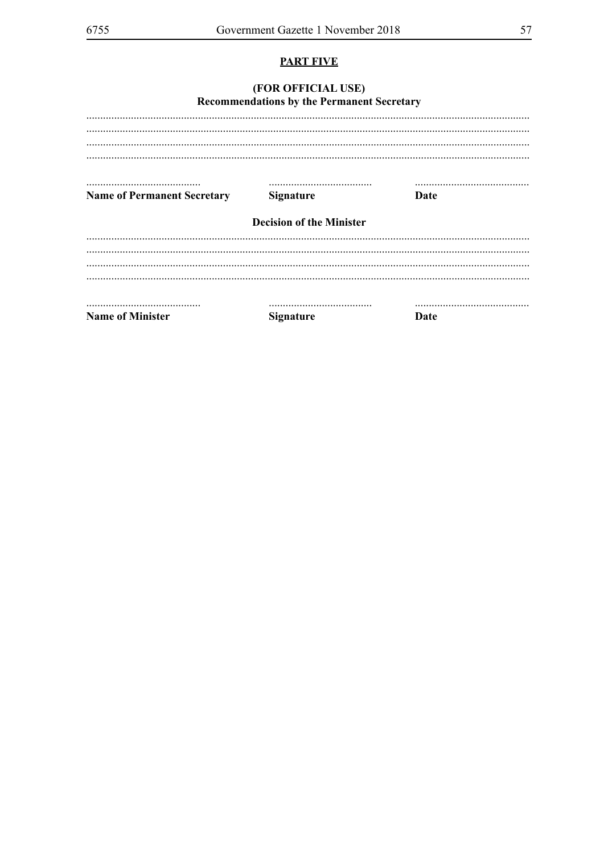## **PART FIVE**

#### (FOR OFFICIAL USE) Recommendations by the Permanent Secretary

| <b>Name of Permanent Secretary</b> | <b>Signature</b>                | Date |  |
|------------------------------------|---------------------------------|------|--|
|                                    |                                 |      |  |
|                                    |                                 |      |  |
|                                    | <b>Decision of the Minister</b> |      |  |
|                                    |                                 |      |  |
|                                    |                                 |      |  |
|                                    |                                 |      |  |
|                                    |                                 |      |  |
|                                    |                                 |      |  |
|                                    |                                 |      |  |

**Name of Minister** 

**Signature** 

**Date**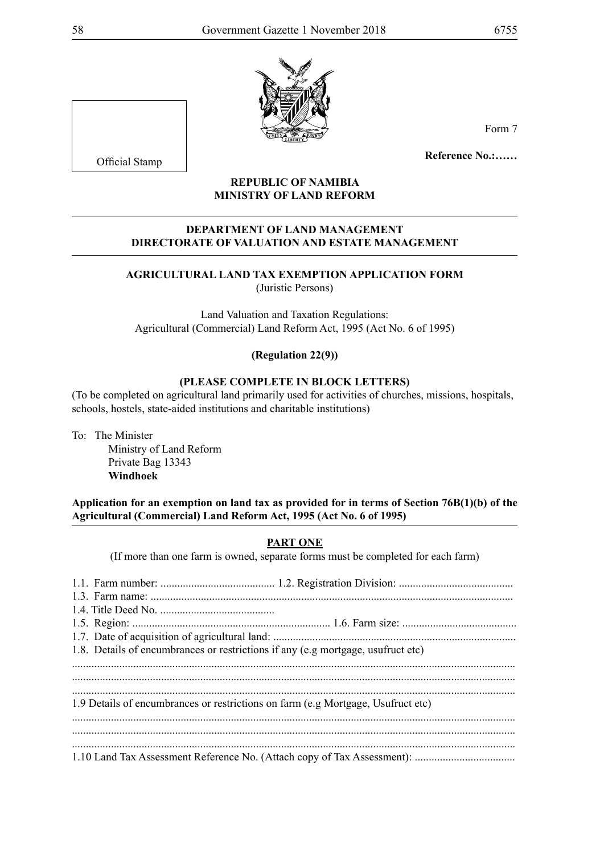

Form 7

**Reference No.:……**

#### **REPUBLIC OF NAMIBIA MINISTRY OF LAND REFORM**

#### **DEPARTMENT OF LAND MANAGEMENT DIRECTORATE OF VALUATION AND ESTATE MANAGEMENT**

#### **AGRICULTURAL LAND TAX EXEMPTION APPLICATION FORM** (Juristic Persons)

Land Valuation and Taxation Regulations: Agricultural (Commercial) Land Reform Act, 1995 (Act No. 6 of 1995)

#### **(Regulation 22(9))**

#### **(PLEASE COMPLETE IN BLOCK LETTERS)**

(To be completed on agricultural land primarily used for activities of churches, missions, hospitals, schools, hostels, state-aided institutions and charitable institutions)

To: The Minister

Ministry of Land Reform Private Bag 13343 **Windhoek** 

**Application for an exemption on land tax as provided for in terms of Section 76B(1)(b) of the Agricultural (Commercial) Land Reform Act, 1995 (Act No. 6 of 1995)** 

#### **PART ONE**

(If more than one farm is owned, separate forms must be completed for each farm)

| 1.8. Details of encumbrances or restrictions if any (e.g mortgage, usufruct etc) |  |
|----------------------------------------------------------------------------------|--|
|                                                                                  |  |
|                                                                                  |  |
|                                                                                  |  |
| 1.9 Details of encumbrances or restrictions on farm (e.g Mortgage, Usufruct etc) |  |
|                                                                                  |  |
|                                                                                  |  |
|                                                                                  |  |
|                                                                                  |  |

Official Stamp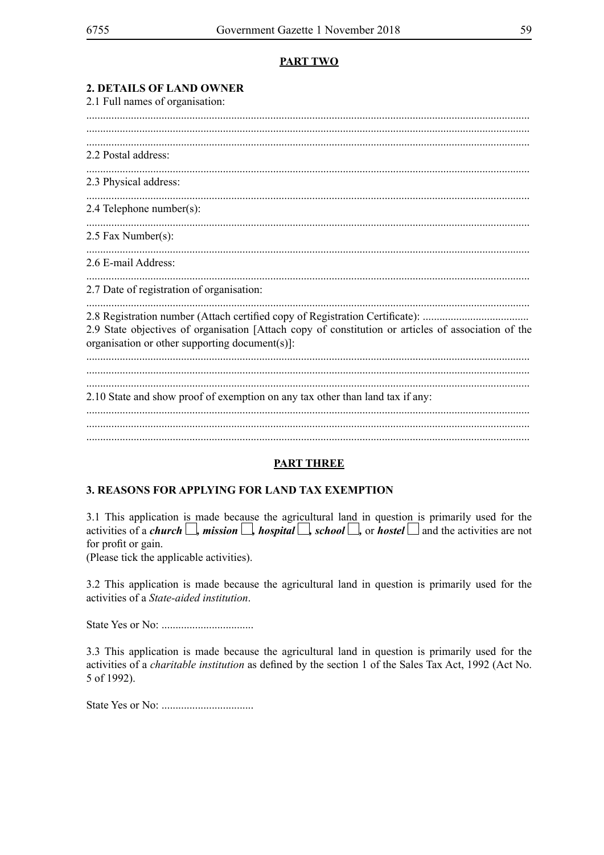#### **PART TWO**

| 2. DETAILS OF LAND OWNER<br>2.1 Full names of organisation:                                                                                                                                                                           |
|---------------------------------------------------------------------------------------------------------------------------------------------------------------------------------------------------------------------------------------|
|                                                                                                                                                                                                                                       |
| 2.2 Postal address:                                                                                                                                                                                                                   |
| 2.3 Physical address:                                                                                                                                                                                                                 |
| 2.4 Telephone number(s):                                                                                                                                                                                                              |
| 2.5 Fax Number(s):                                                                                                                                                                                                                    |
| 2.6 E-mail Address:                                                                                                                                                                                                                   |
| 2.7 Date of registration of organisation:                                                                                                                                                                                             |
| 2.8 Registration number (Attach certified copy of Registration Certificate):<br>2.9 State objectives of organisation [Attach copy of constitution or articles of association of the<br>organisation or other supporting document(s)]: |
| 2.10 State and show proof of exemption on any tax other than land tax if any:                                                                                                                                                         |
|                                                                                                                                                                                                                                       |

#### **PART THREE**

#### 3. REASONS FOR APPLYING FOR LAND TAX EXEMPTION

3.1 This application is made because the agricultural land in question is primarily used for the activities of a *church*  $\Box$ , *mission*  $\Box$ , *hospital*  $\Box$ , *school*  $\Box$ , or *hostel*  $\Box$  and the activities are not for profit or gain.

(Please tick the applicable activities).

3.2 This application is made because the agricultural land in question is primarily used for the activities of a State-aided institution.

3.3 This application is made because the agricultural land in question is primarily used for the activities of a *charitable institution* as defined by the section 1 of the Sales Tax Act, 1992 (Act No. 5 of 1992).